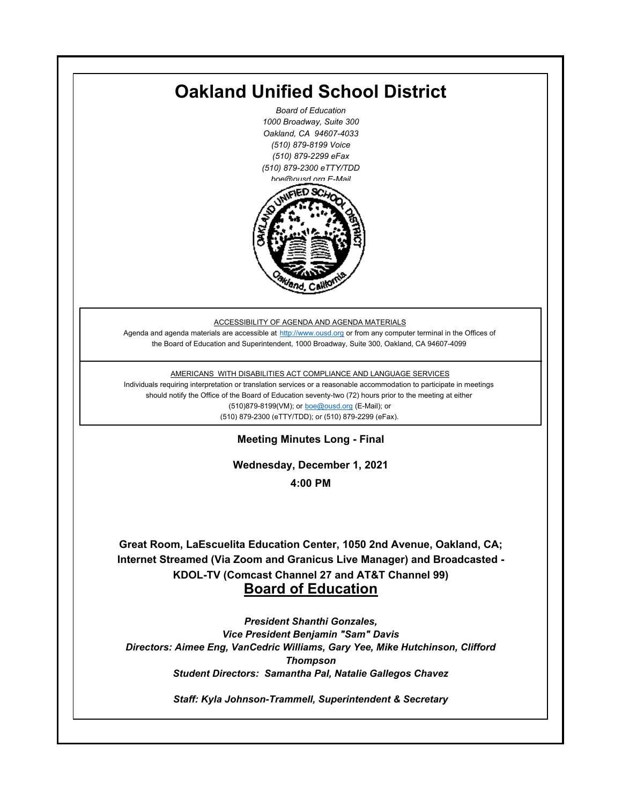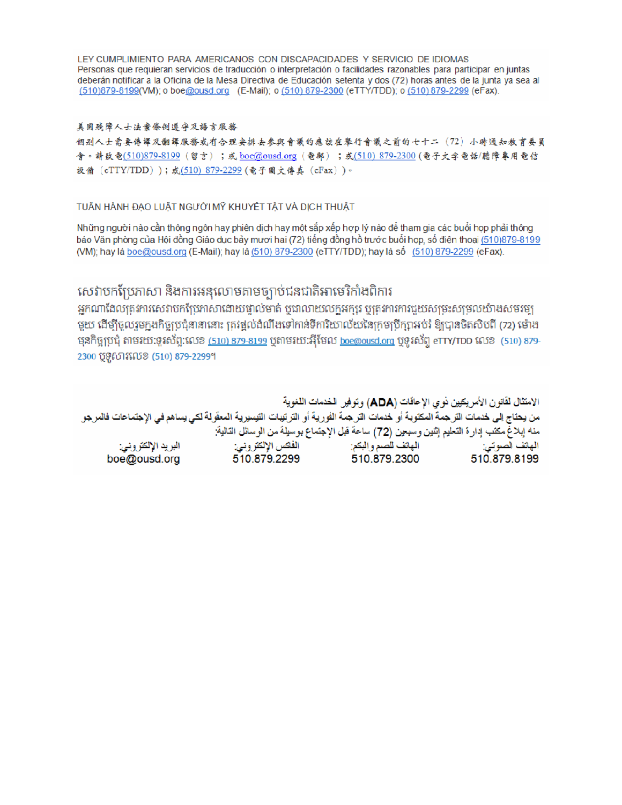LEY CUMPLIMIENTO PARA AMERICANOS CON DISCAPACIDADES Y SERVICIO DE IDIOMAS Personas que requieran servicios de traducción o interpretación o facilidades razonables para participar en juntas deberán notificar a la Oficina de la Mesa Directiva de Educación setenta y dos (72) horas antes de la junta ya sea al (510)879-8199(VM); o boe@ousd.org (E-Mail); o (510) 879-2300 (eTTY/TDD); o (510) 879-2299 (eFax).

### 美国残障人士法案條例遵守及語言服務

個别人士需要傳譯及翻譯服務或有合理安排去參與會議的應該在舉行會議之前的七十二 (72) 小時通知教育委員 會。請致電(510)879-8199(留言);或 boe@ousd.org (電郵) ;或(510) 879-2300 (電子文字電話/聽障專用電信 設備 (eTTY/TDD));或(510)879-2299(電子圖文傳真 (eFax))。

### TUÂN HÀNH ĐẠO LUẬT NGƯỜI MỸ KHUYẾT TẤT VÀ DỊCH THUẬT

Những người nào cần thông ngôn hay phiên dịch hay một sắp xếp hợp lý nào để tham gia các buổi họp phải thông báo Văn phòng của Hội đồng Giáo dục bảy mươi hai (72) tiếng đồng hồ trước buổi họp, số điện thoại (510)879-8199 (VM); hay là boe@ousd.org (E-Mail); hay là (510) 879-2300 (eTTY/TDD); hay là số (510) 879-2299 (eFax).

## សេវាបកប្រែភាសា និងការអនុលោមតាមច្បាប់ជនជាតិអាមេរិកាំងពិការ

អកណាដែលតេវការសេវាបកប្រែភាសាដោយផ្ទាល់មាត់ ឬជាលាយលក្ខអក្សរ ឬត្រូវការការជួយសម្រះសម្រលយ៉ាងសមរម្យ មយ ដើម្បីចលរមកងកិច្ចប្រជុំនានានោះ ត្រូវផ្តល់ដំណឹងទៅកាន់ទីការិយាល័យនៃក្រមប្រឹក្សាអប់រំ ឱ្យបានចិតសិបពី (72) ម៉ោង ម្មនកិច្ចប្រជុំ តាមរយៈទូរស័ព្ទ:លេខ (<u>510) 879-8199</u> បុតាមរយៈអ៊ីមែល <u>boe@ousd.org</u> បុទ្**រ**ស័ព្ទ eTTY/TDD លេខ (510) 879-2300 ប៊ូទ្មិសារលេខ (510) 879-2299។

الامتثال لقانون الأمريكيين نو ي الإعاقات (ADA) وتوفير الخدمات اللغوية من يحتاج إلى خدمات التر جمة المكتوبة أو خدمات التر جمة الفورية أو الترتيبات التيسيرية المعفّولة لكي يساهم في الإجتماعات فالمرجو منه إبلاغ مكتب إدارة التعليم إثنين وسبعين (72) ساعة قبل الإجتماع بوسيلة من الوسائل التالية: البريد الإلكتروني: 510.879.2299 boe@ousd.org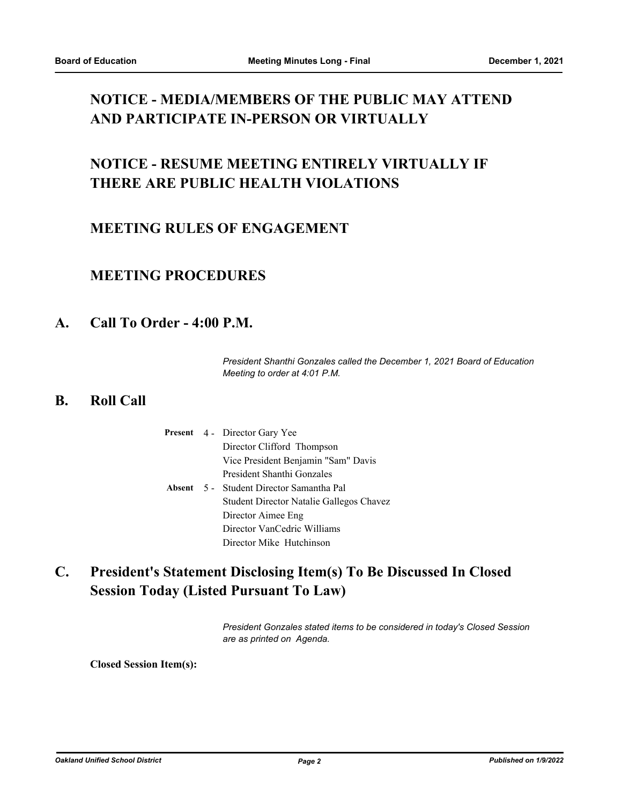# **NOTICE - MEDIA/MEMBERS OF THE PUBLIC MAY ATTEND AND PARTICIPATE IN-PERSON OR VIRTUALLY**

# **NOTICE - RESUME MEETING ENTIRELY VIRTUALLY IF THERE ARE PUBLIC HEALTH VIOLATIONS**

## **MEETING RULES OF ENGAGEMENT**

## **MEETING PROCEDURES**

## **A. Call To Order - 4:00 P.M.**

*President Shanthi Gonzales called the December 1, 2021 Board of Education Meeting to order at 4:01 P.M.*

## **B. Roll Call**

|  | <b>Present</b> 4 - Director Gary Yee     |  |
|--|------------------------------------------|--|
|  | Director Clifford Thompson               |  |
|  | Vice President Benjamin "Sam" Davis      |  |
|  | President Shanthi Gonzales               |  |
|  | Absent 5 - Student Director Samantha Pal |  |
|  | Student Director Natalie Gallegos Chavez |  |
|  | Director Aimee Eng                       |  |
|  | Director VanCedric Williams              |  |
|  | Director Mike Hutchinson                 |  |

### **President's Statement Disclosing Item(s) To Be Discussed In Closed Session Today (Listed Pursuant To Law) C.**

*President Gonzales stated items to be considered in today's Closed Session are as printed on Agenda.*

**Closed Session Item(s):**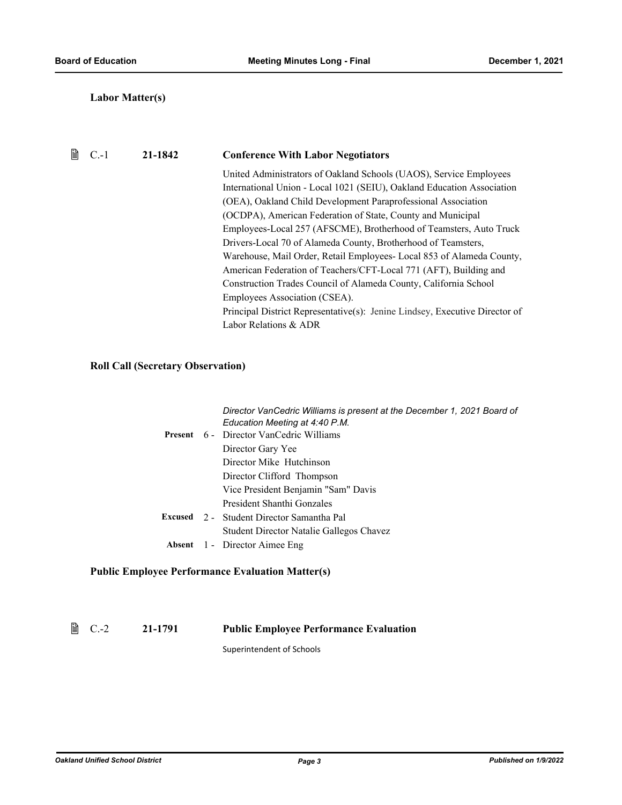### **Labor Matter(s)**

### C.-1 **21-1842 Conference With Labor Negotiators**

United Administrators of Oakland Schools (UAOS), Service Employees International Union - Local 1021 (SEIU), Oakland Education Association (OEA), Oakland Child Development Paraprofessional Association (OCDPA), American Federation of State, County and Municipal Employees-Local 257 (AFSCME), Brotherhood of Teamsters, Auto Truck Drivers-Local 70 of Alameda County, Brotherhood of Teamsters, Warehouse, Mail Order, Retail Employees- Local 853 of Alameda County, American Federation of Teachers/CFT-Local 771 (AFT), Building and Construction Trades Council of Alameda County, California School Employees Association (CSEA). Principal District Representative(s): Jenine Lindsey, Executive Director of Labor Relations & ADR

### **Roll Call (Secretary Observation)**

|         | Director VanCedric Williams is present at the December 1, 2021 Board of<br>Education Meeting at 4:40 P.M. |
|---------|-----------------------------------------------------------------------------------------------------------|
| Present | 6 - Director VanCedric Williams                                                                           |
|         | Director Gary Yee                                                                                         |
|         | Director Mike Hutchinson                                                                                  |
|         | Director Clifford Thompson                                                                                |
|         | Vice President Benjamin "Sam" Davis                                                                       |
|         | President Shanthi Gonzales                                                                                |
|         | <b>Excused</b> 2 - Student Director Samantha Pal                                                          |
|         | Student Director Natalie Gallegos Chavez                                                                  |
| Absent  | 1 - Director Aimee Eng                                                                                    |
|         |                                                                                                           |

### **Public Employee Performance Evaluation Matter(s)**

C.-2 **21-1791 Public Employee Performance Evaluation**

Superintendent of Schools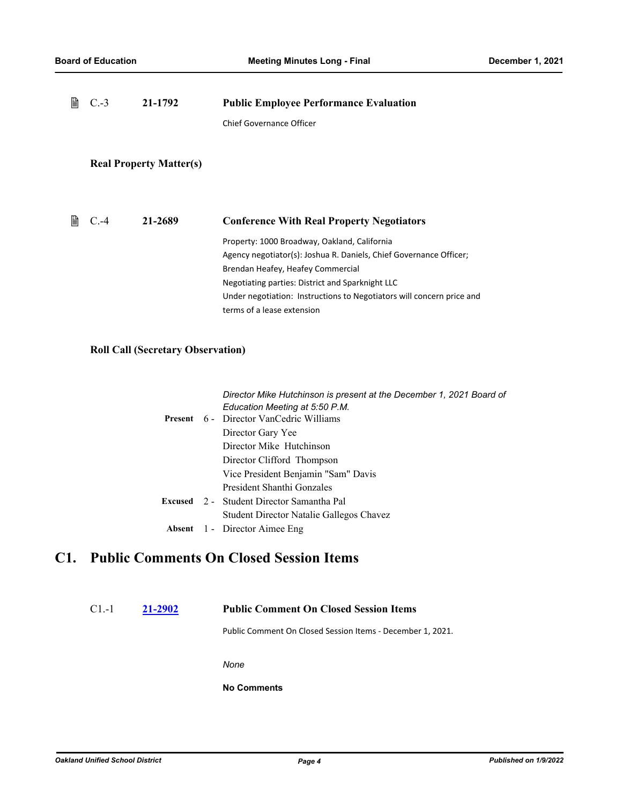| H | $C.-3$  | 21-1792                        | <b>Public Employee Performance Evaluation</b>                                                                                                                                                                                                                                                                      |
|---|---------|--------------------------------|--------------------------------------------------------------------------------------------------------------------------------------------------------------------------------------------------------------------------------------------------------------------------------------------------------------------|
|   |         |                                | Chief Governance Officer                                                                                                                                                                                                                                                                                           |
|   |         | <b>Real Property Matter(s)</b> |                                                                                                                                                                                                                                                                                                                    |
| 誾 | $C. -4$ | 21-2689                        | <b>Conference With Real Property Negotiators</b>                                                                                                                                                                                                                                                                   |
|   |         |                                | Property: 1000 Broadway, Oakland, California<br>Agency negotiator(s): Joshua R. Daniels, Chief Governance Officer;<br>Brendan Heafey, Heafey Commercial<br>Negotiating parties: District and Sparknight LLC<br>Under negotiation: Instructions to Negotiators will concern price and<br>terms of a lease extension |

### **Roll Call (Secretary Observation)**

|         | Director Mike Hutchinson is present at the December 1, 2021 Board of<br>Education Meeting at 5:50 P.M. |
|---------|--------------------------------------------------------------------------------------------------------|
| Present | 6 - Director VanCedric Williams                                                                        |
|         | Director Gary Yee                                                                                      |
|         | Director Mike Hutchinson                                                                               |
|         | Director Clifford Thompson                                                                             |
|         | Vice President Benjamin "Sam" Davis                                                                    |
|         | President Shanthi Gonzales                                                                             |
|         | <b>Excused</b> 2 - Student Director Samantha Pal                                                       |
|         | Student Director Natalie Gallegos Chavez                                                               |
|         | <b>Absent</b> 1 - Director Aimee Eng                                                                   |
|         |                                                                                                        |

# **C1. Public Comments On Closed Session Items**

C1.-1 **[21-2902](http://ousd.legistar.com/gateway.aspx?m=l&id=/matter.aspx?key=54036) Public Comment On Closed Session Items**

Public Comment On Closed Session Items - December 1, 2021.

*None*

**No Comments**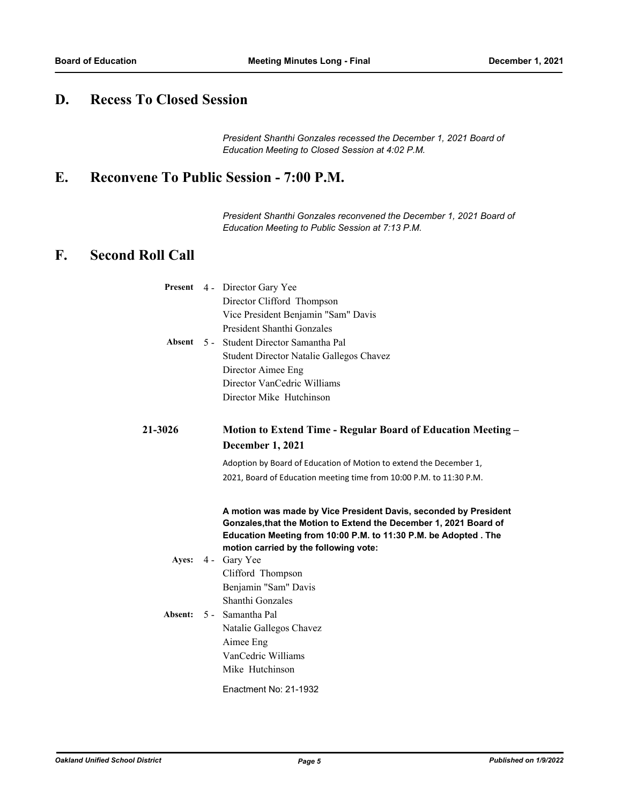# **D. Recess To Closed Session**

*President Shanthi Gonzales recessed the December 1, 2021 Board of Education Meeting to Closed Session at 4:02 P.M.*

# **E. Reconvene To Public Session - 7:00 P.M.**

*President Shanthi Gonzales reconvened the December 1, 2021 Board of Education Meeting to Public Session at 7:13 P.M.*

## **F. Second Roll Call**

|         | Present 4 - Director Gary Yee                                       |
|---------|---------------------------------------------------------------------|
|         | Director Clifford Thompson                                          |
|         | Vice President Benjamin "Sam" Davis                                 |
|         | President Shanthi Gonzales                                          |
|         | Absent 5 - Student Director Samantha Pal                            |
|         | Student Director Natalie Gallegos Chavez                            |
|         | Director Aimee Eng                                                  |
|         | Director VanCedric Williams                                         |
|         | Director Mike Hutchinson                                            |
|         |                                                                     |
| 21-3026 | Motion to Extend Time - Regular Board of Education Meeting -        |
|         | <b>December 1, 2021</b>                                             |
|         | Adoption by Board of Education of Motion to extend the December 1,  |
|         | 2021, Board of Education meeting time from 10:00 P.M. to 11:30 P.M. |
|         |                                                                     |
|         | A motion was made by Vice President Davis, seconded by President    |
|         | Gonzales, that the Motion to Extend the December 1, 2021 Board of   |
|         | Education Meeting from 10:00 P.M. to 11:30 P.M. be Adopted . The    |
|         | motion carried by the following vote:                               |
| Ayes:   | 4 - Gary Yee                                                        |
|         | Clifford Thompson<br>Benjamin "Sam" Davis                           |
|         | Shanthi Gonzales                                                    |
|         | Absent: 5 - Samantha Pal                                            |
|         | Natalie Gallegos Chavez                                             |
|         | Aimee Eng                                                           |
|         | VanCedric Williams                                                  |
|         | Mike Hutchinson                                                     |
|         |                                                                     |
|         |                                                                     |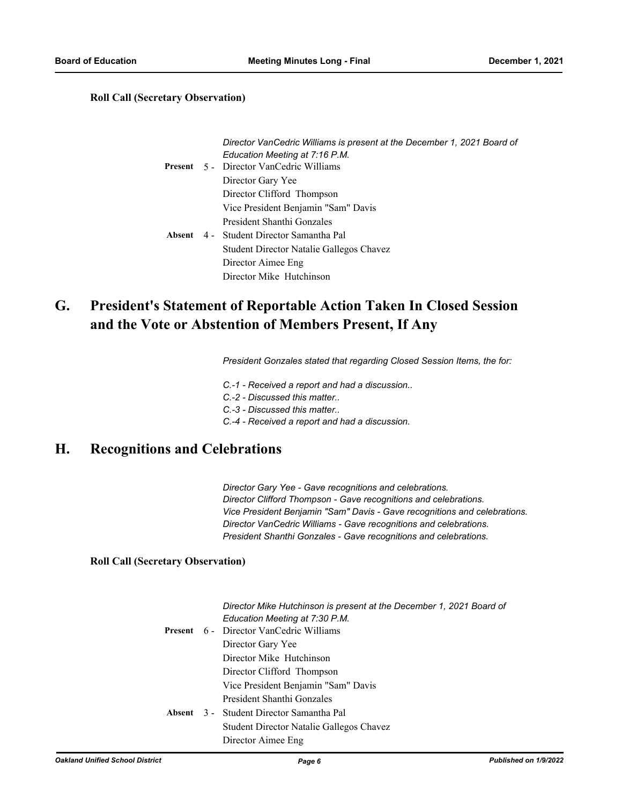### **Roll Call (Secretary Observation)**

|        | Director VanCedric Williams is present at the December 1, 2021 Board of |
|--------|-------------------------------------------------------------------------|
|        | Education Meeting at 7:16 P.M.                                          |
|        | <b>Present</b> 5 - Director VanCedric Williams                          |
|        | Director Gary Yee                                                       |
|        | Director Clifford Thompson                                              |
|        | Vice President Benjamin "Sam" Davis                                     |
|        | President Shanthi Gonzales                                              |
| Absent | 4 - Student Director Samantha Pal                                       |
|        | Student Director Natalie Gallegos Chavez                                |
|        | Director Aimee Eng                                                      |
|        | Director Mike Hutchinson                                                |

### **President's Statement of Reportable Action Taken In Closed Session and the Vote or Abstention of Members Present, If Any G.**

*President Gonzales stated that regarding Closed Session Items, the for:*

*C.-1 - Received a report and had a discussion..*

- *C.-2 Discussed this matter..*
- *C.-3 Discussed this matter..*
- *C.-4 Received a report and had a discussion.*

## **H. Recognitions and Celebrations**

*Director Gary Yee - Gave recognitions and celebrations. Director Clifford Thompson - Gave recognitions and celebrations. Vice President Benjamin "Sam" Davis - Gave recognitions and celebrations. Director VanCedric Williams - Gave recognitions and celebrations. President Shanthi Gonzales - Gave recognitions and celebrations.*

### **Roll Call (Secretary Observation)**

|         | Director Mike Hutchinson is present at the December 1, 2021 Board of<br>Education Meeting at 7:30 P.M. |
|---------|--------------------------------------------------------------------------------------------------------|
| Present | 6 - Director VanCedric Williams                                                                        |
|         | Director Gary Yee                                                                                      |
|         | Director Mike Hutchinson                                                                               |
|         | Director Clifford Thompson                                                                             |
|         | Vice President Benjamin "Sam" Davis                                                                    |
|         | President Shanthi Gonzales                                                                             |
| Absent  | 3 - Student Director Samantha Pal                                                                      |
|         | Student Director Natalie Gallegos Chavez                                                               |
|         | Director Aimee Eng                                                                                     |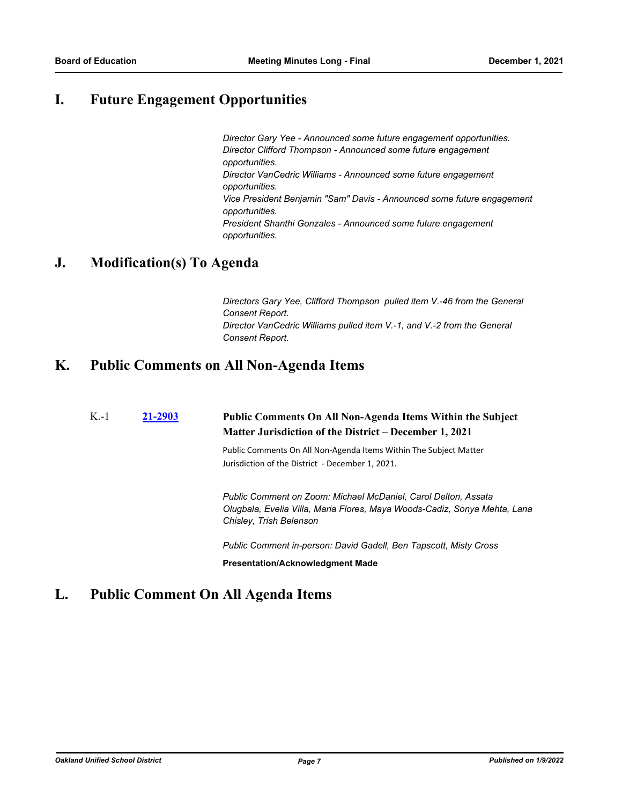# **I. Future Engagement Opportunities**

*Director Gary Yee - Announced some future engagement opportunities. Director Clifford Thompson - Announced some future engagement opportunities. Director VanCedric Williams - Announced some future engagement opportunities. Vice President Benjamin "Sam" Davis - Announced some future engagement opportunities. President Shanthi Gonzales - Announced some future engagement opportunities.*

## **J. Modification(s) To Agenda**

*Directors Gary Yee, Clifford Thompson pulled item V.-46 from the General Consent Report. Director VanCedric Williams pulled item V.-1, and V.-2 from the General Consent Report.*

## **K. Public Comments on All Non-Agenda Items**

#### **[21-2903](http://ousd.legistar.com/gateway.aspx?m=l&id=/matter.aspx?key=54037) Public Comments On All Non-Agenda Items Within the Subject Matter Jurisdiction of the District – December 1, 2021** K.-1

Public Comments On All Non-Agenda Items Within The Subject Matter Jurisdiction of the District - December 1, 2021.

*Public Comment on Zoom: Michael McDaniel, Carol Delton, Assata Olugbala, Evelia Villa, Maria Flores, Maya Woods-Cadiz, Sonya Mehta, Lana Chisley, Trish Belenson*

*Public Comment in-person: David Gadell, Ben Tapscott, Misty Cross*

**Presentation/Acknowledgment Made**

## **L. Public Comment On All Agenda Items**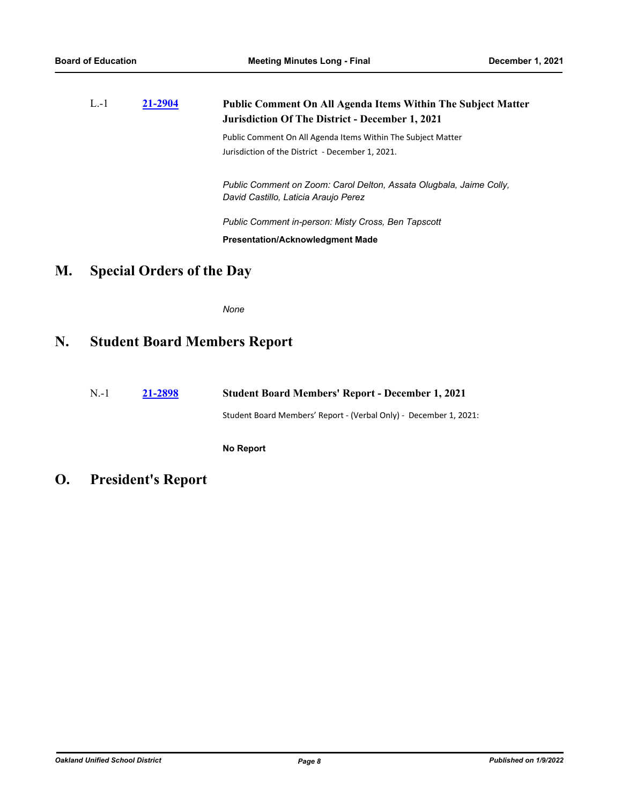| $L-1$ | 21-2904 | <b>Public Comment On All Agenda Items Within The Subject Matter</b><br><b>Jurisdiction Of The District - December 1, 2021</b> |
|-------|---------|-------------------------------------------------------------------------------------------------------------------------------|
|       |         | Public Comment On All Agenda Items Within The Subject Matter<br>Jurisdiction of the District - December 1, 2021.              |
|       |         | Public Comment on Zoom: Carol Delton, Assata Olugbala, Jaime Colly,<br>David Castillo, Laticia Araujo Perez                   |
|       |         | Public Comment in-person: Misty Cross, Ben Tapscott<br><b>Presentation/Acknowledgment Made</b>                                |

# **M. Special Orders of the Day**

*None*

## **N. Student Board Members Report**

N.-1 **[21-2898](http://ousd.legistar.com/gateway.aspx?m=l&id=/matter.aspx?key=54032) Student Board Members' Report - December 1, 2021**

Student Board Members' Report - (Verbal Only) - December 1, 2021:

**No Report**

**O. President's Report**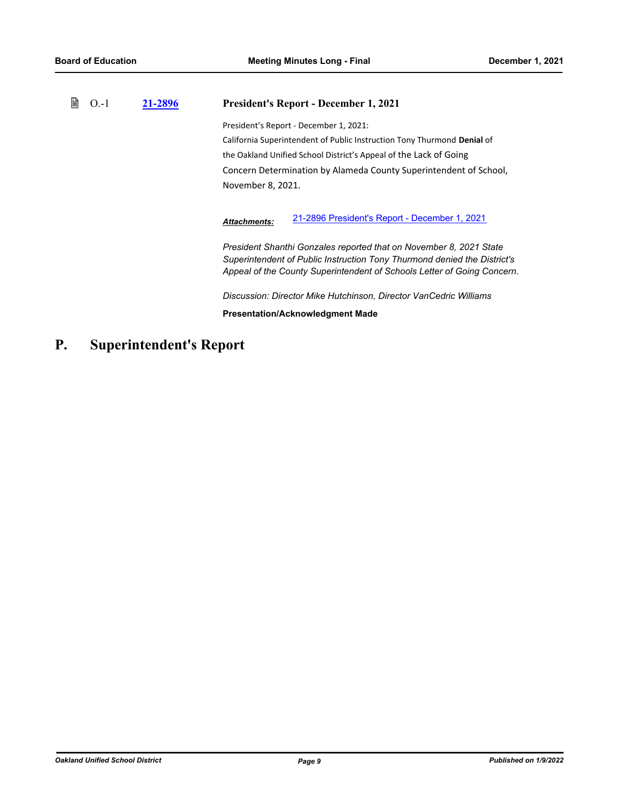| 閶 | $O.-1$ | 21-2896 | <b>President's Report - December 1, 2021</b>                                                                                                                                                                              |
|---|--------|---------|---------------------------------------------------------------------------------------------------------------------------------------------------------------------------------------------------------------------------|
|   |        |         | President's Report - December 1, 2021:                                                                                                                                                                                    |
|   |        |         | California Superintendent of Public Instruction Tony Thurmond Denial of                                                                                                                                                   |
|   |        |         | the Oakland Unified School District's Appeal of the Lack of Going                                                                                                                                                         |
|   |        |         | Concern Determination by Alameda County Superintendent of School,                                                                                                                                                         |
|   |        |         | November 8, 2021.                                                                                                                                                                                                         |
|   |        |         | 21-2896 President's Report - December 1, 2021<br><b>Attachments:</b>                                                                                                                                                      |
|   |        |         | President Shanthi Gonzales reported that on November 8, 2021 State<br>Superintendent of Public Instruction Tony Thurmond denied the District's<br>Appeal of the County Superintendent of Schools Letter of Going Concern. |
|   |        |         | Discussion: Director Mike Hutchinson, Director VanCedric Williams                                                                                                                                                         |
|   |        |         | <b>Presentation/Acknowledgment Made</b>                                                                                                                                                                                   |

# **P. Superintendent's Report**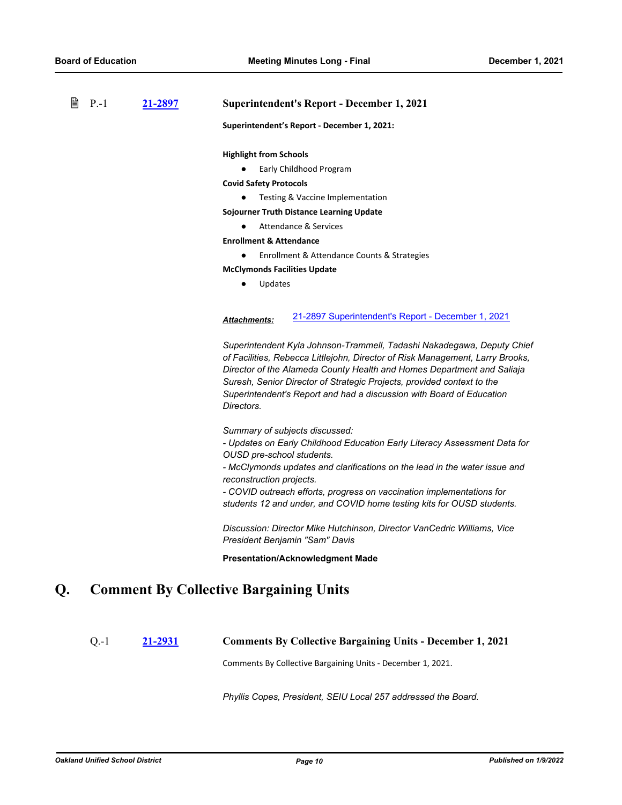昏

# P.-1 **[21-2897](http://ousd.legistar.com/gateway.aspx?m=l&id=/matter.aspx?key=54031) Superintendent's Report - December 1, 2021 Superintendent's Report - December 1, 2021: Highlight from Schools** ● Early Childhood Program **Covid Safety Protocols** ● Testing & Vaccine Implementation **Sojourner Truth Distance Learning Update** Attendance & Services **Enrollment & Attendance** ● Enrollment & Attendance Counts & Strategies **McClymonds Facilities Update** ● Updates *Attachments:* [21-2897 Superintendent's Report - December 1, 2021](http://ousd.legistar.com/gateway.aspx?M=F&ID=101648.pptx) *Superintendent Kyla Johnson-Trammell, Tadashi Nakadegawa, Deputy Chief of Facilities, Rebecca Littlejohn, Director of Risk Management, Larry Brooks, Director of the Alameda County Health and Homes Department and Saliaja Suresh, Senior Director of Strategic Projects, provided context to the Superintendent's Report and had a discussion with Board of Education Directors. Summary of subjects discussed: - Updates on Early Childhood Education Early Literacy Assessment Data for OUSD pre-school students. - McClymonds updates and clarifications on the lead in the water issue and reconstruction projects.*

*- COVID outreach efforts, progress on vaccination implementations for students 12 and under, and COVID home testing kits for OUSD students.*

*Discussion: Director Mike Hutchinson, Director VanCedric Williams, Vice President Benjamin "Sam" Davis*

**Presentation/Acknowledgment Made**

# **Q. Comment By Collective Bargaining Units**

Q.-1 **[21-2931](http://ousd.legistar.com/gateway.aspx?m=l&id=/matter.aspx?key=54065) Comments By Collective Bargaining Units - December 1, 2021**

Comments By Collective Bargaining Units - December 1, 2021.

*Phyllis Copes, President, SEIU Local 257 addressed the Board.*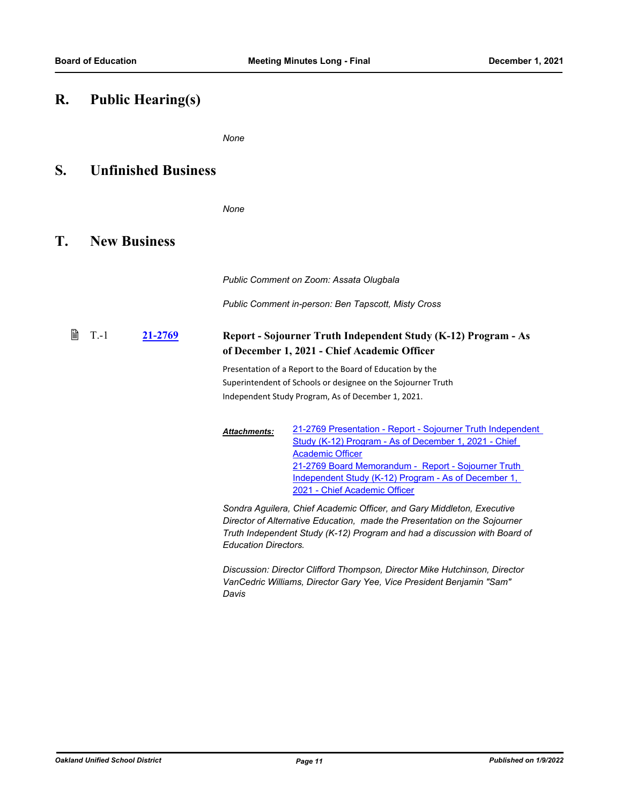# **R. Public Hearing(s)**

*None*

# **S. Unfinished Business**

*None*

## **T. New Business**

|            |         |                             | Public Comment on Zoom: Assata Olugbala<br>Public Comment in-person: Ben Tapscott, Misty Cross                                                                                                                                                                                                  |
|------------|---------|-----------------------------|-------------------------------------------------------------------------------------------------------------------------------------------------------------------------------------------------------------------------------------------------------------------------------------------------|
| 閶<br>$T-1$ | 21-2769 |                             | Report - Sojourner Truth Independent Study (K-12) Program - As<br>of December 1, 2021 - Chief Academic Officer                                                                                                                                                                                  |
|            |         |                             | Presentation of a Report to the Board of Education by the<br>Superintendent of Schools or designee on the Sojourner Truth<br>Independent Study Program, As of December 1, 2021.                                                                                                                 |
|            |         | <b>Attachments:</b>         | 21-2769 Presentation - Report - Sojourner Truth Independent<br>Study (K-12) Program - As of December 1, 2021 - Chief<br><b>Academic Officer</b><br>21-2769 Board Memorandum - Report - Sojourner Truth<br>Independent Study (K-12) Program - As of December 1,<br>2021 - Chief Academic Officer |
|            |         | <b>Education Directors.</b> | Sondra Aguilera, Chief Academic Officer, and Gary Middleton, Executive<br>Director of Alternative Education, made the Presentation on the Sojourner<br>Truth Independent Study (K-12) Program and had a discussion with Board of                                                                |
|            |         | Davis                       | Discussion: Director Clifford Thompson, Director Mike Hutchinson, Director<br>VanCedric Williams, Director Gary Yee, Vice President Benjamin "Sam"                                                                                                                                              |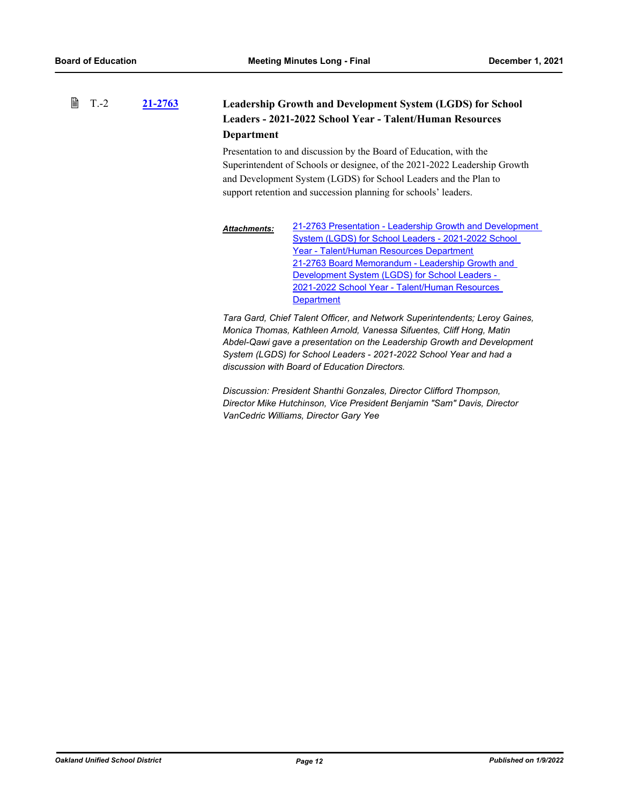T.-2

昏

### **[21-2763](http://ousd.legistar.com/gateway.aspx?m=l&id=/matter.aspx?key=53897) Leadership Growth and Development System (LGDS) for School Leaders - 2021-2022 School Year - Talent/Human Resources Department**

Presentation to and discussion by the Board of Education, with the Superintendent of Schools or designee, of the 2021-2022 Leadership Growth and Development System (LGDS) for School Leaders and the Plan to support retention and succession planning for schools' leaders.

[21-2763 Presentation - Leadership Growth and Development](http://ousd.legistar.com/gateway.aspx?M=F&ID=101652.pptx)  System (LGDS) for School Leaders - 2021-2022 School Year - Talent/Human Resources Department [21-2763 Board Memorandum - Leadership Growth and](http://ousd.legistar.com/gateway.aspx?M=F&ID=101653.pdf)  Development System (LGDS) for School Leaders - 2021-2022 School Year - Talent/Human Resources **Department** *Attachments:*

*Tara Gard, Chief Talent Officer, and Network Superintendents; Leroy Gaines, Monica Thomas, Kathleen Arnold, Vanessa Sifuentes, Cliff Hong, Matin Abdel-Qawi gave a presentation on the Leadership Growth and Development System (LGDS) for School Leaders - 2021-2022 School Year and had a discussion with Board of Education Directors.*

*Discussion: President Shanthi Gonzales, Director Clifford Thompson, Director Mike Hutchinson, Vice President Benjamin "Sam" Davis, Director VanCedric Williams, Director Gary Yee*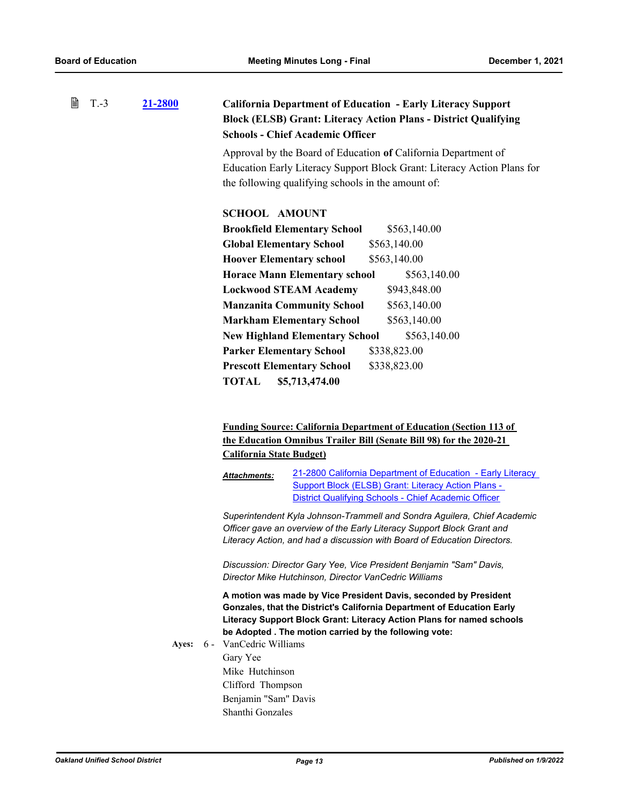| 閶<br>$T.-3$ | 21-2800 | <b>California Department of Education - Early Literacy Support</b><br><b>Block (ELSB) Grant: Literacy Action Plans - District Qualifying</b><br><b>Schools - Chief Academic Officer</b>                                                                                       |
|-------------|---------|-------------------------------------------------------------------------------------------------------------------------------------------------------------------------------------------------------------------------------------------------------------------------------|
|             |         | Approval by the Board of Education of California Department of                                                                                                                                                                                                                |
|             |         | Education Early Literacy Support Block Grant: Literacy Action Plans for                                                                                                                                                                                                       |
|             |         | the following qualifying schools in the amount of:                                                                                                                                                                                                                            |
|             |         |                                                                                                                                                                                                                                                                               |
|             |         | <b>SCHOOL AMOUNT</b>                                                                                                                                                                                                                                                          |
|             |         | <b>Brookfield Elementary School</b><br>\$563,140.00                                                                                                                                                                                                                           |
|             |         | <b>Global Elementary School</b><br>\$563,140.00                                                                                                                                                                                                                               |
|             |         | <b>Hoover Elementary school</b><br>\$563,140.00                                                                                                                                                                                                                               |
|             |         | <b>Horace Mann Elementary school</b><br>\$563,140.00                                                                                                                                                                                                                          |
|             |         | <b>Lockwood STEAM Academy</b><br>\$943,848.00                                                                                                                                                                                                                                 |
|             |         | \$563,140.00<br><b>Manzanita Community School</b>                                                                                                                                                                                                                             |
|             |         | <b>Markham Elementary School</b><br>\$563,140.00                                                                                                                                                                                                                              |
|             |         | <b>New Highland Elementary School</b><br>\$563,140.00                                                                                                                                                                                                                         |
|             |         | <b>Parker Elementary School</b><br>\$338,823.00                                                                                                                                                                                                                               |
|             |         | <b>Prescott Elementary School</b><br>\$338,823.00                                                                                                                                                                                                                             |
|             |         | <b>TOTAL</b><br>\$5,713,474.00                                                                                                                                                                                                                                                |
|             |         |                                                                                                                                                                                                                                                                               |
|             |         |                                                                                                                                                                                                                                                                               |
|             |         | <b>Funding Source: California Department of Education (Section 113 of</b>                                                                                                                                                                                                     |
|             |         | the Education Omnibus Trailer Bill (Senate Bill 98) for the 2020-21                                                                                                                                                                                                           |
|             |         | <b>California State Budget)</b>                                                                                                                                                                                                                                               |
|             |         | 21-2800 California Department of Education - Early Literacy<br>Attachments:<br><b>Support Block (ELSB) Grant: Literacy Action Plans -</b><br>District Qualifying Schools - Chief Academic Officer                                                                             |
|             |         | Superintendent Kyla Johnson-Trammell and Sondra Aguilera, Chief Academic<br>Officer gave an overview of the Early Literacy Support Block Grant and<br>Literacy Action, and had a discussion with Board of Education Directors.                                                |
|             |         | Discussion: Director Gary Yee, Vice President Benjamin "Sam" Davis,<br>Director Mike Hutchinson, Director VanCedric Williams                                                                                                                                                  |
|             |         | A motion was made by Vice President Davis, seconded by President<br>Gonzales, that the District's California Department of Education Early<br>Literacy Support Block Grant: Literacy Action Plans for named schools<br>be Adopted . The motion carried by the following vote: |
|             | Ayes:   | 6 - VanCedric Williams                                                                                                                                                                                                                                                        |
|             |         | Gary Yee                                                                                                                                                                                                                                                                      |
|             |         | Mike Hutchinson                                                                                                                                                                                                                                                               |
|             |         | Clifford Thompson                                                                                                                                                                                                                                                             |
|             |         | Benjamin "Sam" Davis                                                                                                                                                                                                                                                          |
|             |         | Shanthi Gonzales                                                                                                                                                                                                                                                              |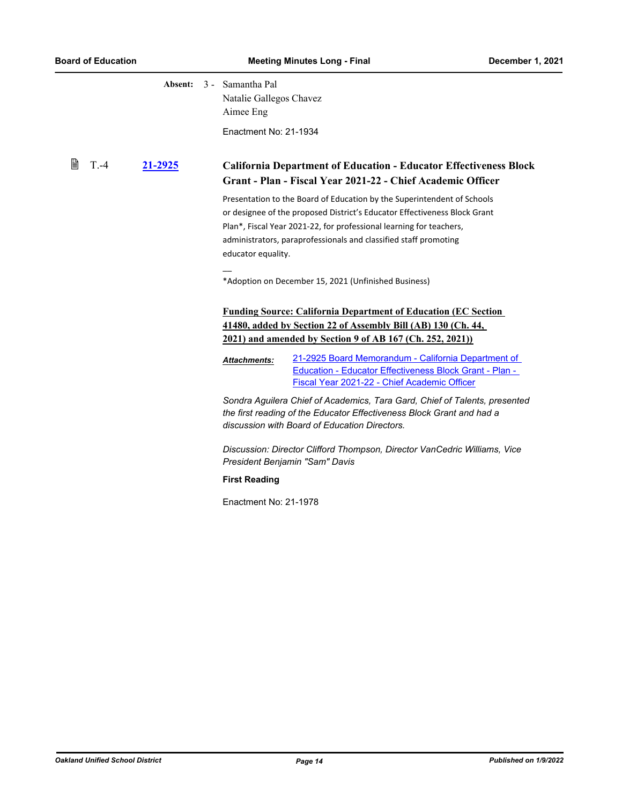|   |                    | Absent: 3 - Samantha Pal<br>Natalie Gallegos Chavez<br>Aimee Eng<br>Enactment No: 21-1934                                                                                                                                                                                                                                                                                                                                                                                                                                                                                                                                                                                                                                                                                                                                                                                                                                                                                                                                                                                                                                                                                                                                                                                |
|---|--------------------|--------------------------------------------------------------------------------------------------------------------------------------------------------------------------------------------------------------------------------------------------------------------------------------------------------------------------------------------------------------------------------------------------------------------------------------------------------------------------------------------------------------------------------------------------------------------------------------------------------------------------------------------------------------------------------------------------------------------------------------------------------------------------------------------------------------------------------------------------------------------------------------------------------------------------------------------------------------------------------------------------------------------------------------------------------------------------------------------------------------------------------------------------------------------------------------------------------------------------------------------------------------------------|
| 冒 | $T - 4$<br>21-2925 | <b>California Department of Education - Educator Effectiveness Block</b><br>Grant - Plan - Fiscal Year 2021-22 - Chief Academic Officer<br>Presentation to the Board of Education by the Superintendent of Schools<br>or designee of the proposed District's Educator Effectiveness Block Grant<br>Plan*, Fiscal Year 2021-22, for professional learning for teachers,<br>administrators, paraprofessionals and classified staff promoting<br>educator equality.<br>*Adoption on December 15, 2021 (Unfinished Business)<br><b>Funding Source: California Department of Education (EC Section)</b><br>41480, added by Section 22 of Assembly Bill (AB) 130 (Ch. 44,<br>2021) and amended by Section 9 of AB 167 (Ch. 252, 2021))<br>21-2925 Board Memorandum - California Department of<br><b>Attachments:</b><br>Education - Educator Effectiveness Block Grant - Plan -<br>Fiscal Year 2021-22 - Chief Academic Officer<br>Sondra Aguilera Chief of Academics, Tara Gard, Chief of Talents, presented<br>the first reading of the Educator Effectiveness Block Grant and had a<br>discussion with Board of Education Directors.<br>Discussion: Director Clifford Thompson, Director VanCedric Williams, Vice<br>President Benjamin "Sam" Davis<br><b>First Reading</b> |
|   |                    | Enactment No: 21-1978                                                                                                                                                                                                                                                                                                                                                                                                                                                                                                                                                                                                                                                                                                                                                                                                                                                                                                                                                                                                                                                                                                                                                                                                                                                    |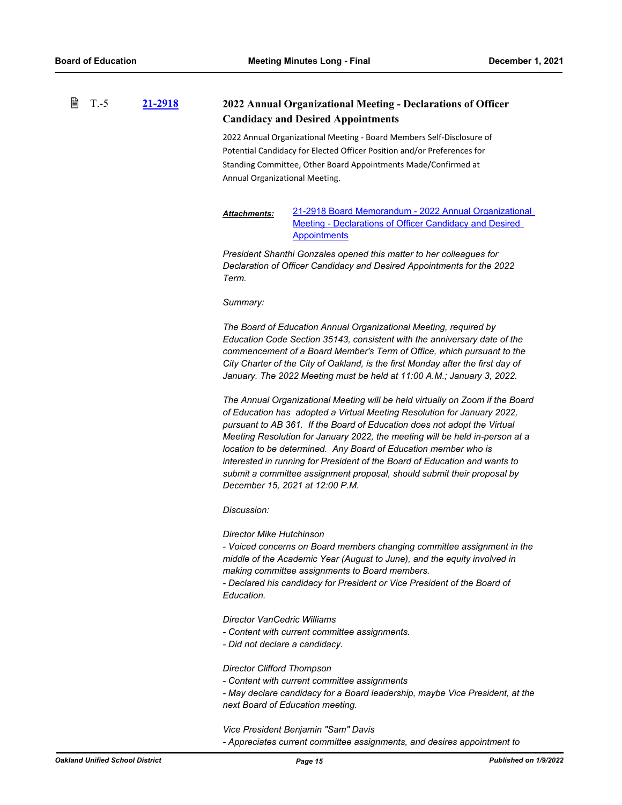#### 窅 T.-5 **[21-2918](http://ousd.legistar.com/gateway.aspx?m=l&id=/matter.aspx?key=54052) 2022 Annual Organizational Meeting - Declarations of Officer Candidacy and Desired Appointments**

2022 Annual Organizational Meeting - Board Members Self-Disclosure of Potential Candidacy for Elected Officer Position and/or Preferences for Standing Committee, Other Board Appointments Made/Confirmed at Annual Organizational Meeting.

[21-2918 Board Memorandum - 2022 Annual Organizational](http://ousd.legistar.com/gateway.aspx?M=F&ID=101655.pdf)  Meeting - Declarations of Officer Candidacy and Desired **Appointments** *Attachments:*

*President Shanthi Gonzales opened this matter to her colleagues for Declaration of Officer Candidacy and Desired Appointments for the 2022 Term.* 

*Summary:* 

*The Board of Education Annual Organizational Meeting, required by Education Code Section 35143, consistent with the anniversary date of the commencement of a Board Member's Term of Office, which pursuant to the City Charter of the City of Oakland, is the first Monday after the first day of*  January. The 2022 Meeting must be held at 11:00 A.M.; January 3, 2022.

*The Annual Organizational Meeting will be held virtually on Zoom if the Board of Education has adopted a Virtual Meeting Resolution for January 2022, pursuant to AB 361. If the Board of Education does not adopt the Virtual Meeting Resolution for January 2022, the meeting will be held in-person at a location to be determined. Any Board of Education member who is interested in running for President of the Board of Education and wants to submit a committee assignment proposal, should submit their proposal by December 15, 2021 at 12:00 P.M.*

*Discussion:*

*Director Mike Hutchinson* 

*- Voiced concerns on Board members changing committee assignment in the middle of the Academic Year (August to June), and the equity involved in making committee assignments to Board members.*

*- Declared his candidacy for President or Vice President of the Board of Education.*

*Director VanCedric Williams*

- *Content with current committee assignments.*
- *Did not declare a candidacy.*

### *Director Clifford Thompson*

- *Content with current committee assignments*
- *May declare candidacy for a Board leadership, maybe Vice President, at the next Board of Education meeting.*

*Vice President Benjamin "Sam" Davis*

*- Appreciates current committee assignments, and desires appointment to*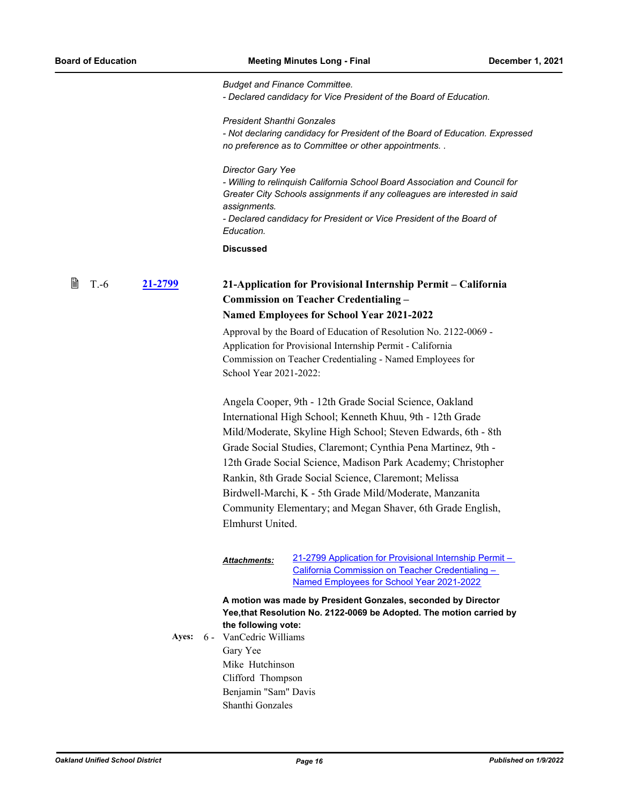|             |                | <b>Budget and Finance Committee.</b><br>- Declared candidacy for Vice President of the Board of Education.                                                                                                                                                                                                                                                                                                                                                                                                                  |
|-------------|----------------|-----------------------------------------------------------------------------------------------------------------------------------------------------------------------------------------------------------------------------------------------------------------------------------------------------------------------------------------------------------------------------------------------------------------------------------------------------------------------------------------------------------------------------|
|             |                | <b>President Shanthi Gonzales</b><br>- Not declaring candidacy for President of the Board of Education. Expressed<br>no preference as to Committee or other appointments                                                                                                                                                                                                                                                                                                                                                    |
|             |                | Director Gary Yee<br>- Willing to relinquish California School Board Association and Council for<br>Greater City Schools assignments if any colleagues are interested in said<br>assignments.<br>- Declared candidacy for President or Vice President of the Board of<br>Education.                                                                                                                                                                                                                                         |
|             |                | <b>Discussed</b>                                                                                                                                                                                                                                                                                                                                                                                                                                                                                                            |
| 閶<br>$T.-6$ | <u>21-2799</u> | 21-Application for Provisional Internship Permit – California<br><b>Commission on Teacher Credentialing -</b><br><b>Named Employees for School Year 2021-2022</b>                                                                                                                                                                                                                                                                                                                                                           |
|             |                | Approval by the Board of Education of Resolution No. 2122-0069 -<br>Application for Provisional Internship Permit - California<br>Commission on Teacher Credentialing - Named Employees for<br>School Year 2021-2022:                                                                                                                                                                                                                                                                                                       |
|             |                | Angela Cooper, 9th - 12th Grade Social Science, Oakland<br>International High School; Kenneth Khuu, 9th - 12th Grade<br>Mild/Moderate, Skyline High School; Steven Edwards, 6th - 8th<br>Grade Social Studies, Claremont; Cynthia Pena Martinez, 9th -<br>12th Grade Social Science, Madison Park Academy; Christopher<br>Rankin, 8th Grade Social Science, Claremont; Melissa<br>Birdwell-Marchi, K - 5th Grade Mild/Moderate, Manzanita<br>Community Elementary; and Megan Shaver, 6th Grade English,<br>Elmhurst United. |
|             |                | 21-2799 Application for Provisional Internship Permit -<br>Attachments:<br>California Commission on Teacher Credentialing -<br>Named Employees for School Year 2021-2022                                                                                                                                                                                                                                                                                                                                                    |
|             | Ayes:          | A motion was made by President Gonzales, seconded by Director<br>Yee, that Resolution No. 2122-0069 be Adopted. The motion carried by<br>the following vote:<br>6 - VanCedric Williams<br>Gary Yee<br>Mike Hutchinson<br>Clifford Thompson<br>Benjamin "Sam" Davis<br>Shanthi Gonzales                                                                                                                                                                                                                                      |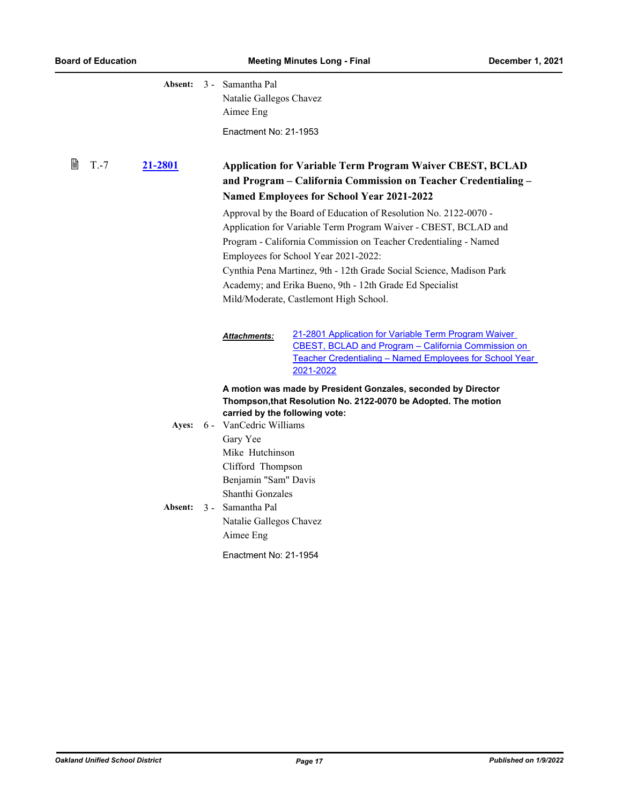|              | <b>Absent:</b> | 3 - Samantha Pal<br>Natalie Gallegos Chavez<br>Aimee Eng<br>Enactment No: 21-1953                                                                                                                                                                                                                                                                                                                                                                                                                                                                                                                                       |
|--------------|----------------|-------------------------------------------------------------------------------------------------------------------------------------------------------------------------------------------------------------------------------------------------------------------------------------------------------------------------------------------------------------------------------------------------------------------------------------------------------------------------------------------------------------------------------------------------------------------------------------------------------------------------|
| 閶<br>$T - 7$ | 21-2801        | <b>Application for Variable Term Program Waiver CBEST, BCLAD</b><br>and Program - California Commission on Teacher Credentialing -<br><b>Named Employees for School Year 2021-2022</b><br>Approval by the Board of Education of Resolution No. 2122-0070 -<br>Application for Variable Term Program Waiver - CBEST, BCLAD and<br>Program - California Commission on Teacher Credentialing - Named<br>Employees for School Year 2021-2022:<br>Cynthia Pena Martinez, 9th - 12th Grade Social Science, Madison Park<br>Academy; and Erika Bueno, 9th - 12th Grade Ed Specialist<br>Mild/Moderate, Castlemont High School. |
|              |                | 21-2801 Application for Variable Term Program Waiver<br><u> Attachments:</u><br>CBEST, BCLAD and Program - California Commission on<br>Teacher Credentialing - Named Employees for School Year<br>2021-2022                                                                                                                                                                                                                                                                                                                                                                                                             |
|              | Ayes:          | A motion was made by President Gonzales, seconded by Director<br>Thompson, that Resolution No. 2122-0070 be Adopted. The motion<br>carried by the following vote:<br>6 - VanCedric Williams<br>Gary Yee<br>Mike Hutchinson<br>Clifford Thompson<br>Benjamin "Sam" Davis<br>Shanthi Gonzales                                                                                                                                                                                                                                                                                                                             |
|              | Absent:        | 3 - Samantha Pal<br>Natalie Gallegos Chavez<br>Aimee Eng<br>Enactment No: 21-1954                                                                                                                                                                                                                                                                                                                                                                                                                                                                                                                                       |
|              |                |                                                                                                                                                                                                                                                                                                                                                                                                                                                                                                                                                                                                                         |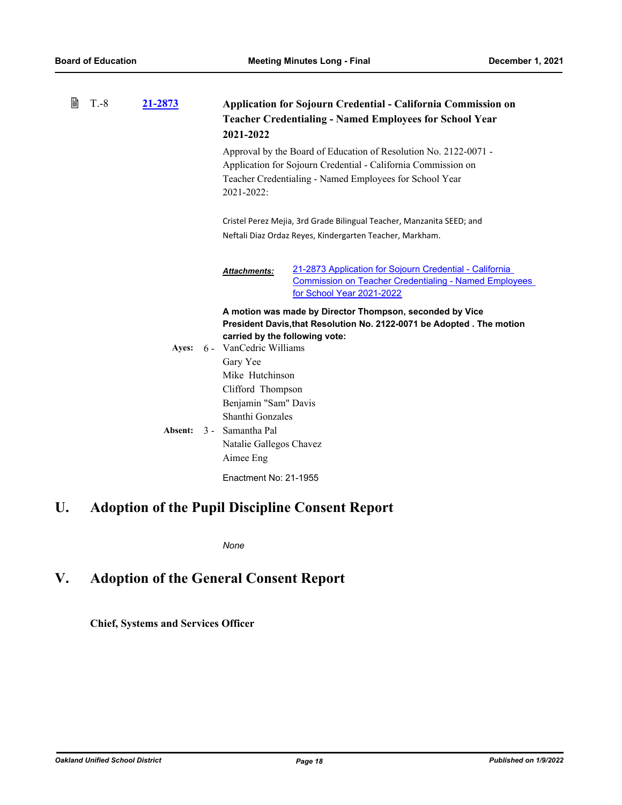| 閆 | $T.-8$ | <u>21-2873</u> | <b>Application for Sojourn Credential - California Commission on</b><br><b>Teacher Credentialing - Named Employees for School Year</b><br>2021-2022                                                        |
|---|--------|----------------|------------------------------------------------------------------------------------------------------------------------------------------------------------------------------------------------------------|
|   |        |                | Approval by the Board of Education of Resolution No. 2122-0071 -<br>Application for Sojourn Credential - California Commission on<br>Teacher Credentialing - Named Employees for School Year<br>2021-2022: |
|   |        |                | Cristel Perez Mejia, 3rd Grade Bilingual Teacher, Manzanita SEED; and<br>Neftali Diaz Ordaz Reyes, Kindergarten Teacher, Markham.                                                                          |
|   |        |                | 21-2873 Application for Sojourn Credential - California<br><b>Attachments:</b><br><b>Commission on Teacher Credentialing - Named Employees</b><br>for School Year 2021-2022                                |
|   |        |                | A motion was made by Director Thompson, seconded by Vice<br>President Davis, that Resolution No. 2122-0071 be Adopted. The motion<br>carried by the following vote:                                        |
|   |        | Ayes:          | 6 - VanCedric Williams                                                                                                                                                                                     |
|   |        |                | Gary Yee<br>Mike Hutchinson                                                                                                                                                                                |
|   |        |                | Clifford Thompson                                                                                                                                                                                          |
|   |        |                | Benjamin "Sam" Davis                                                                                                                                                                                       |
|   |        |                | Shanthi Gonzales                                                                                                                                                                                           |
|   |        | Absent:        | 3 - Samantha Pal                                                                                                                                                                                           |
|   |        |                | Natalie Gallegos Chavez<br>Aimee Eng                                                                                                                                                                       |
|   |        |                | Enactment No: 21-1955                                                                                                                                                                                      |
|   |        |                |                                                                                                                                                                                                            |

# **U. Adoption of the Pupil Discipline Consent Report**

*None*

# **V. Adoption of the General Consent Report**

**Chief, Systems and Services Officer**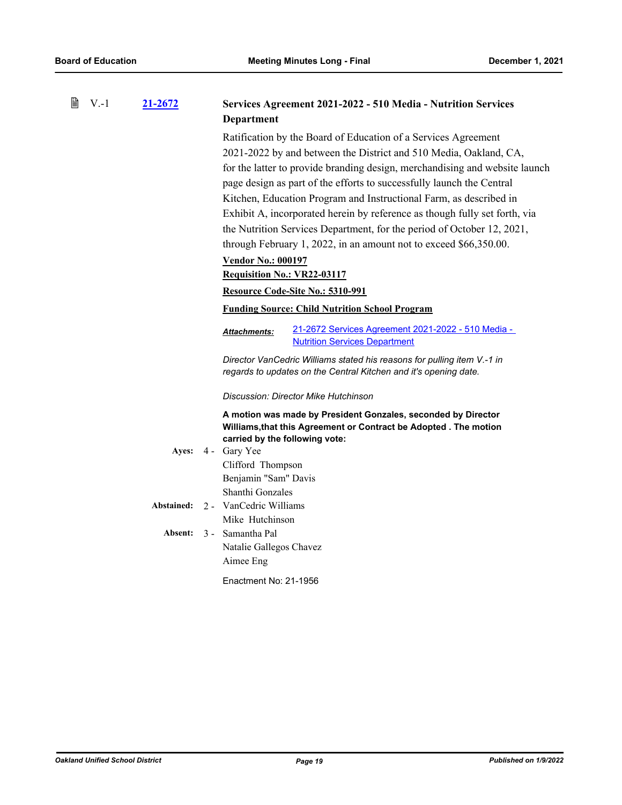| B | $V - 1$ | 21-2672    | Services Agreement 2021-2022 - 510 Media - Nutrition Services               |
|---|---------|------------|-----------------------------------------------------------------------------|
|   |         |            | Department                                                                  |
|   |         |            | Ratification by the Board of Education of a Services Agreement              |
|   |         |            | 2021-2022 by and between the District and 510 Media, Oakland, CA,           |
|   |         |            | for the latter to provide branding design, merchandising and website launch |
|   |         |            | page design as part of the efforts to successfully launch the Central       |
|   |         |            | Kitchen, Education Program and Instructional Farm, as described in          |
|   |         |            | Exhibit A, incorporated herein by reference as though fully set forth, via  |
|   |         |            | the Nutrition Services Department, for the period of October 12, 2021,      |
|   |         |            | through February 1, 2022, in an amount not to exceed \$66,350.00.           |
|   |         |            | <b>Vendor No.: 000197</b>                                                   |
|   |         |            | <b>Requisition No.: VR22-03117</b>                                          |
|   |         |            | Resource Code-Site No.: 5310-991                                            |
|   |         |            | <b>Funding Source: Child Nutrition School Program</b>                       |
|   |         |            | 21-2672 Services Agreement 2021-2022 - 510 Media -<br>Attachments:          |
|   |         |            | <b>Nutrition Services Department</b>                                        |
|   |         |            | Director VanCedric Williams stated his reasons for pulling item V.-1 in     |
|   |         |            | regards to updates on the Central Kitchen and it's opening date.            |
|   |         |            | Discussion: Director Mike Hutchinson                                        |
|   |         |            | A motion was made by President Gonzales, seconded by Director               |
|   |         |            | Williams, that this Agreement or Contract be Adopted. The motion            |
|   |         |            | carried by the following vote:<br>Ayes: 4 - Gary Yee                        |
|   |         |            | Clifford Thompson                                                           |
|   |         |            | Benjamin "Sam" Davis                                                        |
|   |         |            | Shanthi Gonzales                                                            |
|   |         | Abstained: | 2 - VanCedric Williams                                                      |
|   |         |            | Mike Hutchinson                                                             |
|   |         | Absent:    | 3 - Samantha Pal                                                            |
|   |         |            | Natalie Gallegos Chavez                                                     |
|   |         |            | Aimee Eng                                                                   |
|   |         |            | Enactment No: 21-1956                                                       |
|   |         |            |                                                                             |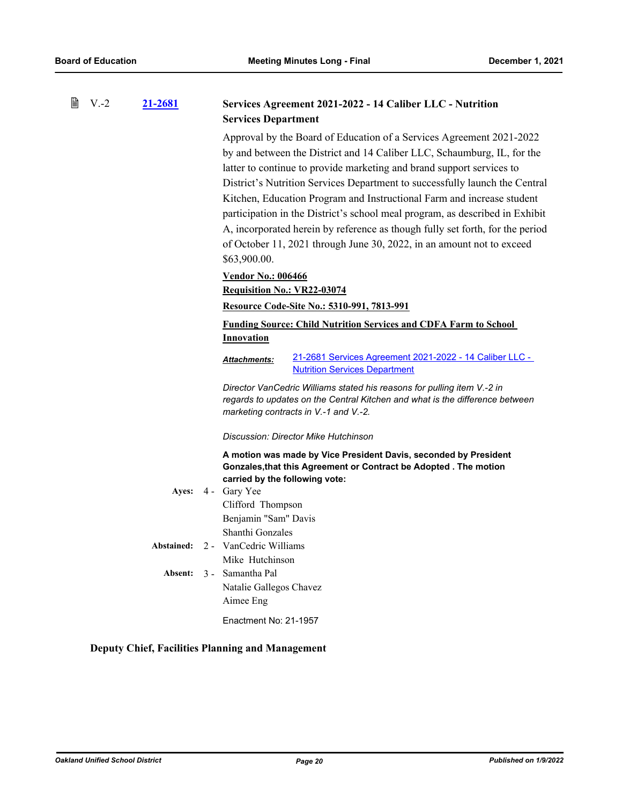| 閆 | $V.-2$ | 21-2681    | <b>Services Department</b>               | Services Agreement 2021-2022 - 14 Caliber LLC - Nutrition                                                                                                                                                                                                                                                                                                                                                                                                                                                                                                                                                                   |
|---|--------|------------|------------------------------------------|-----------------------------------------------------------------------------------------------------------------------------------------------------------------------------------------------------------------------------------------------------------------------------------------------------------------------------------------------------------------------------------------------------------------------------------------------------------------------------------------------------------------------------------------------------------------------------------------------------------------------------|
|   |        |            | \$63,900.00.                             | Approval by the Board of Education of a Services Agreement 2021-2022<br>by and between the District and 14 Caliber LLC, Schaumburg, IL, for the<br>latter to continue to provide marketing and brand support services to<br>District's Nutrition Services Department to successfully launch the Central<br>Kitchen, Education Program and Instructional Farm and increase student<br>participation in the District's school meal program, as described in Exhibit<br>A, incorporated herein by reference as though fully set forth, for the period<br>of October 11, 2021 through June 30, 2022, in an amount not to exceed |
|   |        |            | <b>Vendor No.: 006466</b>                | Requisition No.: VR22-03074                                                                                                                                                                                                                                                                                                                                                                                                                                                                                                                                                                                                 |
|   |        |            |                                          | Resource Code-Site No.: 5310-991, 7813-991                                                                                                                                                                                                                                                                                                                                                                                                                                                                                                                                                                                  |
|   |        |            |                                          | <b>Funding Source: Child Nutrition Services and CDFA Farm to School</b>                                                                                                                                                                                                                                                                                                                                                                                                                                                                                                                                                     |
|   |        |            | <b>Innovation</b>                        |                                                                                                                                                                                                                                                                                                                                                                                                                                                                                                                                                                                                                             |
|   |        |            | Attachments:                             | 21-2681 Services Agreement 2021-2022 - 14 Caliber LLC -<br><b>Nutrition Services Department</b>                                                                                                                                                                                                                                                                                                                                                                                                                                                                                                                             |
|   |        |            |                                          | Director VanCedric Williams stated his reasons for pulling item V.-2 in<br>regards to updates on the Central Kitchen and what is the difference between<br>marketing contracts in V.-1 and V.-2.                                                                                                                                                                                                                                                                                                                                                                                                                            |
|   |        |            |                                          | Discussion: Director Mike Hutchinson                                                                                                                                                                                                                                                                                                                                                                                                                                                                                                                                                                                        |
|   |        |            |                                          | A motion was made by Vice President Davis, seconded by President<br>Gonzales, that this Agreement or Contract be Adopted. The motion<br>carried by the following vote:                                                                                                                                                                                                                                                                                                                                                                                                                                                      |
|   |        |            | Ayes: 4 - Gary Yee                       |                                                                                                                                                                                                                                                                                                                                                                                                                                                                                                                                                                                                                             |
|   |        |            | Clifford Thompson                        |                                                                                                                                                                                                                                                                                                                                                                                                                                                                                                                                                                                                                             |
|   |        |            | Benjamin "Sam" Davis<br>Shanthi Gonzales |                                                                                                                                                                                                                                                                                                                                                                                                                                                                                                                                                                                                                             |
|   |        | Abstained: | 2 - VanCedric Williams                   |                                                                                                                                                                                                                                                                                                                                                                                                                                                                                                                                                                                                                             |
|   |        |            | Mike Hutchinson                          |                                                                                                                                                                                                                                                                                                                                                                                                                                                                                                                                                                                                                             |
|   |        | Absent:    | 3 - Samantha Pal                         |                                                                                                                                                                                                                                                                                                                                                                                                                                                                                                                                                                                                                             |
|   |        |            | Natalie Gallegos Chavez<br>Aimee Eng     |                                                                                                                                                                                                                                                                                                                                                                                                                                                                                                                                                                                                                             |
|   |        |            |                                          |                                                                                                                                                                                                                                                                                                                                                                                                                                                                                                                                                                                                                             |
|   |        |            | Enactment No: 21-1957                    |                                                                                                                                                                                                                                                                                                                                                                                                                                                                                                                                                                                                                             |

### **Deputy Chief, Facilities Planning and Management**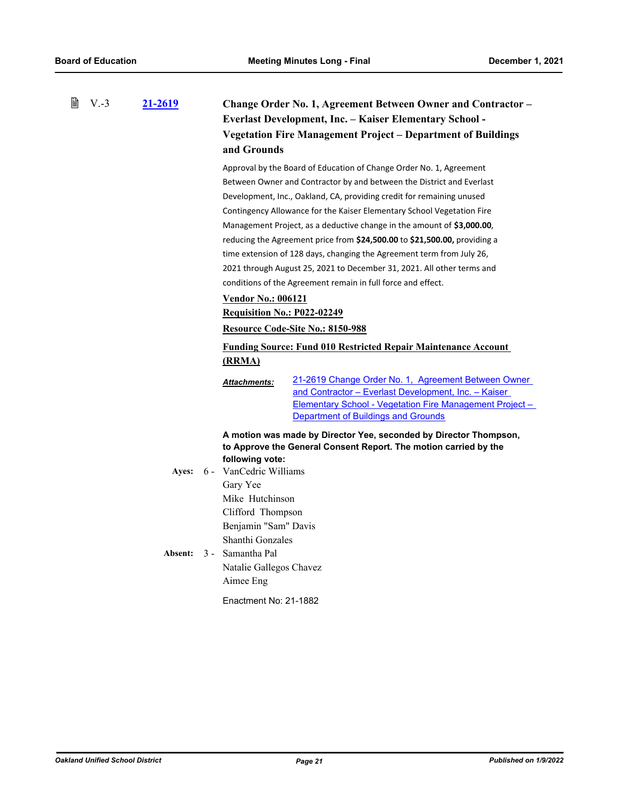| $\mathbb{B}$ V.-3 | 21-2619 | Change Order No. 1, Agreement Between Owner and Contractor –   |
|-------------------|---------|----------------------------------------------------------------|
|                   |         | <b>Everlast Development, Inc. – Kaiser Elementary School -</b> |
|                   |         | Vegetation Fire Management Project – Department of Buildings   |
|                   |         | and Grounds                                                    |

Approval by the Board of Education of Change Order No. 1, Agreement Between Owner and Contractor by and between the District and Everlast Development, Inc., Oakland, CA, providing credit for remaining unused Contingency Allowance for the Kaiser Elementary School Vegetation Fire Management Project, as a deductive change in the amount of **\$3,000.00**, reducing the Agreement price from **\$24,500.00** to **\$21,500.00,** providing a time extension of 128 days, changing the Agreement term from July 26, 2021 through August 25, 2021 to December 31, 2021. All other terms and conditions of the Agreement remain in full force and effect.

# **Vendor No.: 006121**

## **Requisition No.: P022-02249**

**Resource Code-Site No.: 8150-988**

### **Funding Source: Fund 010 Restricted Repair Maintenance Account (RRMA)**

21-2619 Change Order No. 1, Agreement Between Owner and Contractor – Everlast Development, Inc. – Kaiser [Elementary School - Vegetation Fire Management Project –](http://ousd.legistar.com/gateway.aspx?M=F&ID=101508.pdf)  Department of Buildings and Grounds *Attachments:*

**A motion was made by Director Yee, seconded by Director Thompson, to Approve the General Consent Report. The motion carried by the following vote:**

Ayes: 6 - VanCedric Williams Gary Yee Mike Hutchinson Clifford Thompson Benjamin "Sam" Davis Shanthi Gonzales Absent: 3 - Samantha Pal Natalie Gallegos Chavez Aimee Eng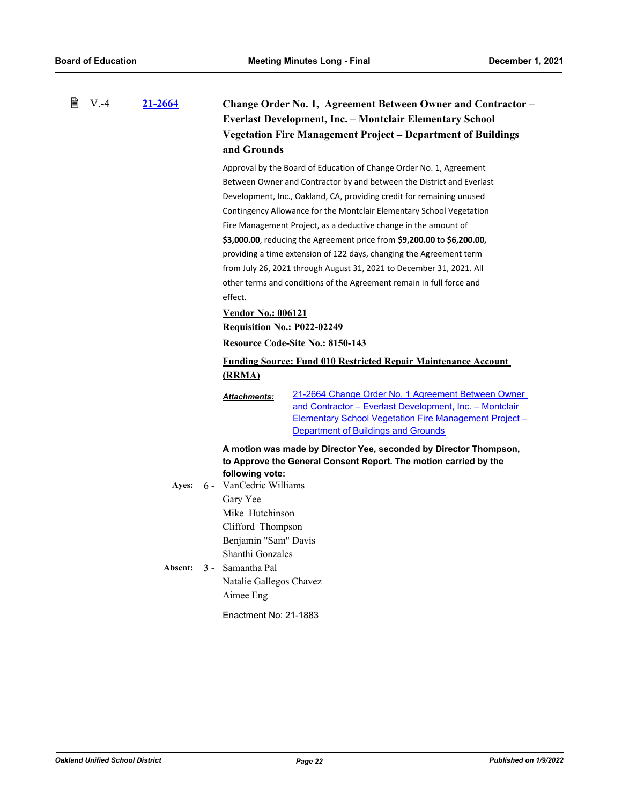| 閶 | V.4 | 21-2664 | and Grounds                                                                                                           | Change Order No. 1, Agreement Between Owner and Contractor –<br><b>Everlast Development, Inc. - Montclair Elementary School</b><br><b>Vegetation Fire Management Project – Department of Buildings</b>                                                                                                                                                                                                                                                                                                                                                                                                                                                             |
|---|-----|---------|-----------------------------------------------------------------------------------------------------------------------|--------------------------------------------------------------------------------------------------------------------------------------------------------------------------------------------------------------------------------------------------------------------------------------------------------------------------------------------------------------------------------------------------------------------------------------------------------------------------------------------------------------------------------------------------------------------------------------------------------------------------------------------------------------------|
|   |     |         | effect.<br><b>Vendor No.: 006121</b>                                                                                  | Approval by the Board of Education of Change Order No. 1, Agreement<br>Between Owner and Contractor by and between the District and Everlast<br>Development, Inc., Oakland, CA, providing credit for remaining unused<br>Contingency Allowance for the Montclair Elementary School Vegetation<br>Fire Management Project, as a deductive change in the amount of<br>\$3,000.00, reducing the Agreement price from \$9,200.00 to \$6,200.00,<br>providing a time extension of 122 days, changing the Agreement term<br>from July 26, 2021 through August 31, 2021 to December 31, 2021. All<br>other terms and conditions of the Agreement remain in full force and |
|   |     |         | Requisition No.: P022-02249                                                                                           |                                                                                                                                                                                                                                                                                                                                                                                                                                                                                                                                                                                                                                                                    |
|   |     |         |                                                                                                                       | Resource Code-Site No.: 8150-143                                                                                                                                                                                                                                                                                                                                                                                                                                                                                                                                                                                                                                   |
|   |     |         |                                                                                                                       | <b>Funding Source: Fund 010 Restricted Repair Maintenance Account</b>                                                                                                                                                                                                                                                                                                                                                                                                                                                                                                                                                                                              |
|   |     |         | <u>(RRMA)</u>                                                                                                         |                                                                                                                                                                                                                                                                                                                                                                                                                                                                                                                                                                                                                                                                    |
|   |     |         | <b>Attachments:</b>                                                                                                   | 21-2664 Change Order No. 1 Agreement Between Owner<br>and Contractor - Everlast Development, Inc. - Montclair<br><b>Elementary School Vegetation Fire Management Project -</b><br>Department of Buildings and Grounds                                                                                                                                                                                                                                                                                                                                                                                                                                              |
|   |     | Ayes:   | following vote:<br>6 - VanCedric Williams<br>Gary Yee<br>Mike Hutchinson<br>Clifford Thompson<br>Benjamin "Sam" Davis | A motion was made by Director Yee, seconded by Director Thompson,<br>to Approve the General Consent Report. The motion carried by the                                                                                                                                                                                                                                                                                                                                                                                                                                                                                                                              |
|   |     | Absent: | Shanthi Gonzales<br>3 - Samantha Pal<br>Natalie Gallegos Chavez<br>Aimee Eng<br>Enactment No: 21-1883                 |                                                                                                                                                                                                                                                                                                                                                                                                                                                                                                                                                                                                                                                                    |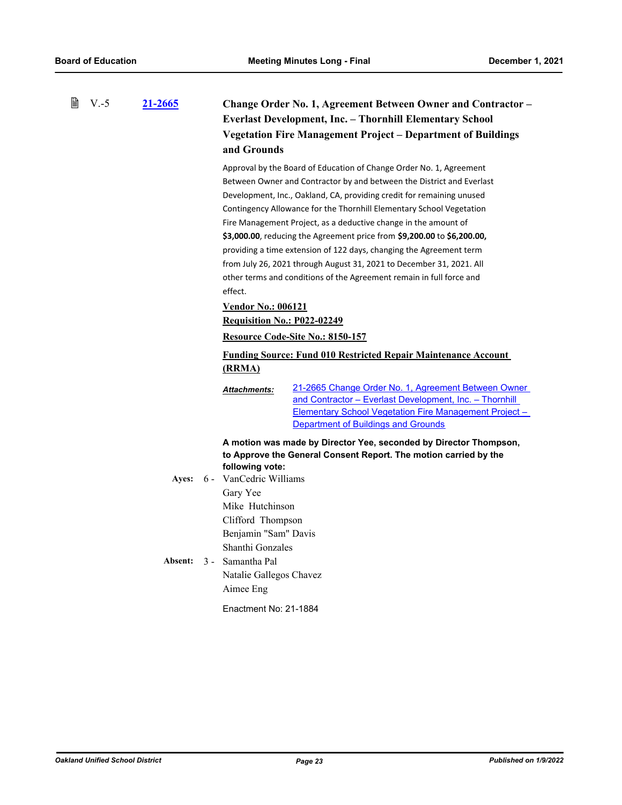| ■ V.-5 | 21-2665 | Change Order No. 1, Agreement Between Owner and Contractor –    |
|--------|---------|-----------------------------------------------------------------|
|        |         | <b>Everlast Development, Inc. – Thornhill Elementary School</b> |
|        |         | Vegetation Fire Management Project – Department of Buildings    |
|        |         | and Grounds                                                     |

Approval by the Board of Education of Change Order No. 1, Agreement Between Owner and Contractor by and between the District and Everlast Development, Inc., Oakland, CA, providing credit for remaining unused Contingency Allowance for the Thornhill Elementary School Vegetation Fire Management Project, as a deductive change in the amount of **\$3,000.00**, reducing the Agreement price from **\$9,200.00** to **\$6,200.00,**  providing a time extension of 122 days, changing the Agreement term from July 26, 2021 through August 31, 2021 to December 31, 2021. All other terms and conditions of the Agreement remain in full force and effect.

### **Vendor No.: 006121**

**Requisition No.: P022-02249**

#### **Resource Code-Site No.: 8150-157**

**Funding Source: Fund 010 Restricted Repair Maintenance Account (RRMA)**

[21-2665 Change Order No. 1, Agreement Between Owner](http://ousd.legistar.com/gateway.aspx?M=F&ID=101511.pdf)  and Contractor – Everlast Development, Inc. – Thornhill Elementary School Vegetation Fire Management Project – Department of Buildings and Grounds *Attachments:*

**A motion was made by Director Yee, seconded by Director Thompson, to Approve the General Consent Report. The motion carried by the following vote:**

Ayes: 6 - VanCedric Williams Gary Yee Mike Hutchinson Clifford Thompson Benjamin "Sam" Davis Shanthi Gonzales Absent: 3 - Samantha Pal

Natalie Gallegos Chavez Aimee Eng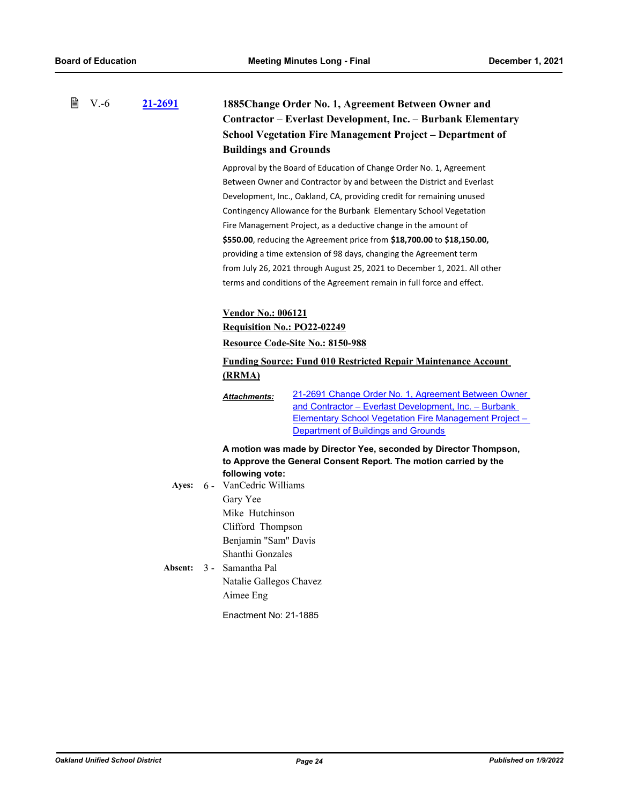| 昏<br>$V - 6$ | 21-2691 | 1885 Change Order No. 1, Agreement Between Owner and             |
|--------------|---------|------------------------------------------------------------------|
|              |         | Contractor – Everlast Development, Inc. – Burbank Elementary     |
|              |         | <b>School Vegetation Fire Management Project – Department of</b> |
|              |         | <b>Buildings and Grounds</b>                                     |

Approval by the Board of Education of Change Order No. 1, Agreement Between Owner and Contractor by and between the District and Everlast Development, Inc., Oakland, CA, providing credit for remaining unused Contingency Allowance for the Burbank Elementary School Vegetation Fire Management Project, as a deductive change in the amount of **\$550.00**, reducing the Agreement price from **\$18,700.00** to **\$18,150.00,**  providing a time extension of 98 days, changing the Agreement term from July 26, 2021 through August 25, 2021 to December 1, 2021. All other terms and conditions of the Agreement remain in full force and effect.

#### **Vendor No.: 006121**

**Requisition No.: PO22-02249**

### **Resource Code-Site No.: 8150-988**

### **Funding Source: Fund 010 Restricted Repair Maintenance Account (RRMA)**

[21-2691 Change Order No. 1, Agreement Between Owner](http://ousd.legistar.com/gateway.aspx?M=F&ID=101517.pdf)  and Contractor – Everlast Development, Inc. – Burbank Elementary School Vegetation Fire Management Project – **Department of Buildings and Grounds** *Attachments:*

**A motion was made by Director Yee, seconded by Director Thompson, to Approve the General Consent Report. The motion carried by the following vote:**

Ayes: 6 - VanCedric Williams Gary Yee Mike Hutchinson Clifford Thompson Benjamin "Sam" Davis Shanthi Gonzales Absent: 3 - Samantha Pal Natalie Gallegos Chavez Aimee Eng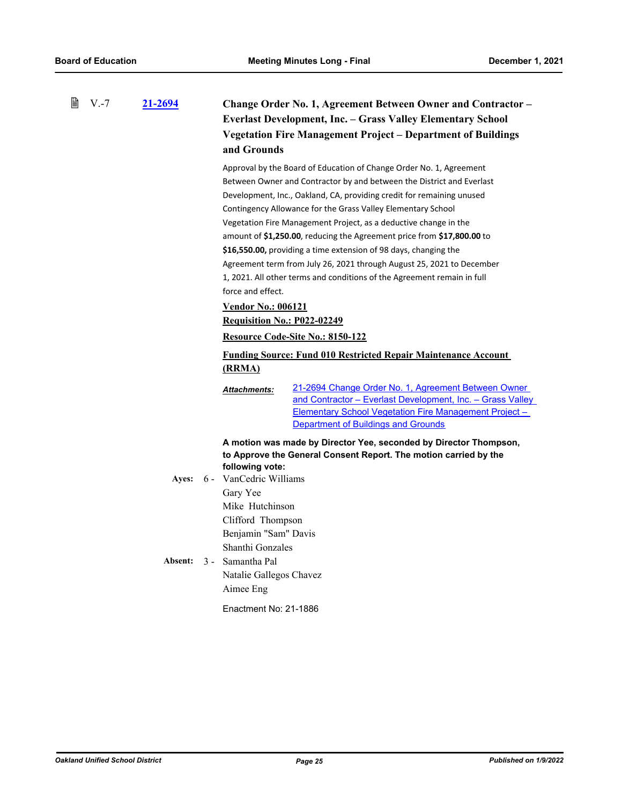| ₿ | $V.-7$ | 21-2694 | and Grounds                                                                                                  | Change Order No. 1, Agreement Between Owner and Contractor -<br>Everlast Development, Inc. - Grass Valley Elementary School<br><b>Vegetation Fire Management Project - Department of Buildings</b>                                                                                                                                                                                                                                                                                                                                                                                                                                                          |
|---|--------|---------|--------------------------------------------------------------------------------------------------------------|-------------------------------------------------------------------------------------------------------------------------------------------------------------------------------------------------------------------------------------------------------------------------------------------------------------------------------------------------------------------------------------------------------------------------------------------------------------------------------------------------------------------------------------------------------------------------------------------------------------------------------------------------------------|
|   |        |         | force and effect.                                                                                            | Approval by the Board of Education of Change Order No. 1, Agreement<br>Between Owner and Contractor by and between the District and Everlast<br>Development, Inc., Oakland, CA, providing credit for remaining unused<br>Contingency Allowance for the Grass Valley Elementary School<br>Vegetation Fire Management Project, as a deductive change in the<br>amount of \$1,250.00, reducing the Agreement price from \$17,800.00 to<br>\$16,550.00, providing a time extension of 98 days, changing the<br>Agreement term from July 26, 2021 through August 25, 2021 to December<br>1, 2021. All other terms and conditions of the Agreement remain in full |
|   |        |         | <b>Vendor No.: 006121</b>                                                                                    |                                                                                                                                                                                                                                                                                                                                                                                                                                                                                                                                                                                                                                                             |
|   |        |         | <b>Requisition No.: P022-02249</b>                                                                           |                                                                                                                                                                                                                                                                                                                                                                                                                                                                                                                                                                                                                                                             |
|   |        |         |                                                                                                              | Resource Code-Site No.: 8150-122                                                                                                                                                                                                                                                                                                                                                                                                                                                                                                                                                                                                                            |
|   |        |         | (RRMA)                                                                                                       | <b>Funding Source: Fund 010 Restricted Repair Maintenance Account</b>                                                                                                                                                                                                                                                                                                                                                                                                                                                                                                                                                                                       |
|   |        |         | <b>Attachments:</b>                                                                                          | 21-2694 Change Order No. 1, Agreement Between Owner<br>and Contractor - Everlast Development, Inc. - Grass Valley<br><b>Elementary School Vegetation Fire Management Project -</b><br><b>Department of Buildings and Grounds</b>                                                                                                                                                                                                                                                                                                                                                                                                                            |
|   |        |         | following vote:<br>Ayes: 6 - VanCedric Williams                                                              | A motion was made by Director Yee, seconded by Director Thompson,<br>to Approve the General Consent Report. The motion carried by the                                                                                                                                                                                                                                                                                                                                                                                                                                                                                                                       |
|   |        |         | Gary Yee<br>Mike Hutchinson<br>Clifford Thompson                                                             |                                                                                                                                                                                                                                                                                                                                                                                                                                                                                                                                                                                                                                                             |
|   |        |         | Benjamin "Sam" Davis<br>Shanthi Gonzales<br>Absent: 3 - Samantha Pal<br>Natalie Gallegos Chavez<br>Aimee Eng |                                                                                                                                                                                                                                                                                                                                                                                                                                                                                                                                                                                                                                                             |
|   |        |         | Enactment No: 21-1886                                                                                        |                                                                                                                                                                                                                                                                                                                                                                                                                                                                                                                                                                                                                                                             |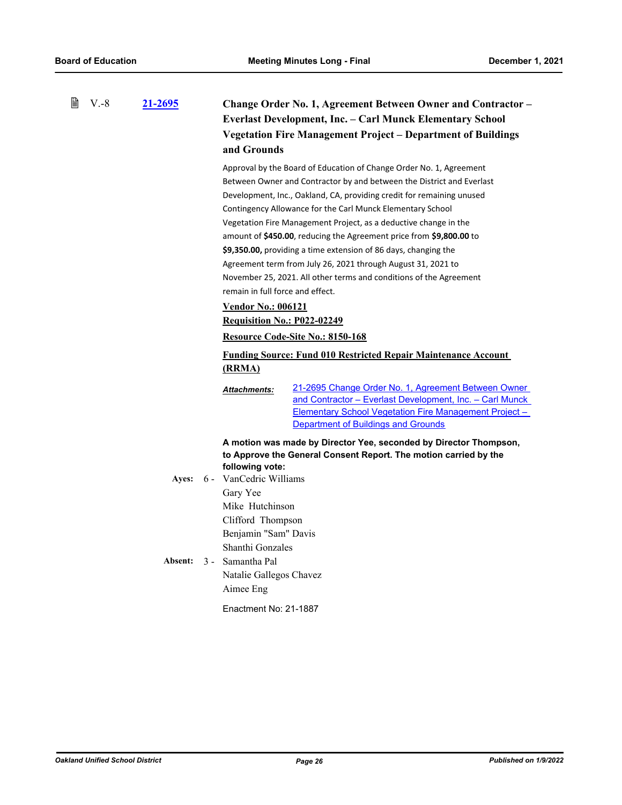| 窅 | $V.-8$ | 21-2695        | Change Order No. 1, Agreement Between Owner and Contractor -<br>Everlast Development, Inc. - Carl Munck Elementary School<br><b>Vegetation Fire Management Project - Department of Buildings</b><br>and Grounds                                                                                                                                                                                                                                                                                                                                                                                                                                                                                                                                                                                                                                                       |
|---|--------|----------------|-----------------------------------------------------------------------------------------------------------------------------------------------------------------------------------------------------------------------------------------------------------------------------------------------------------------------------------------------------------------------------------------------------------------------------------------------------------------------------------------------------------------------------------------------------------------------------------------------------------------------------------------------------------------------------------------------------------------------------------------------------------------------------------------------------------------------------------------------------------------------|
|   |        |                | Approval by the Board of Education of Change Order No. 1, Agreement<br>Between Owner and Contractor by and between the District and Everlast<br>Development, Inc., Oakland, CA, providing credit for remaining unused<br>Contingency Allowance for the Carl Munck Elementary School<br>Vegetation Fire Management Project, as a deductive change in the<br>amount of \$450.00, reducing the Agreement price from \$9,800.00 to<br>\$9,350.00, providing a time extension of 86 days, changing the<br>Agreement term from July 26, 2021 through August 31, 2021 to<br>November 25, 2021. All other terms and conditions of the Agreement<br>remain in full force and effect.<br><b>Vendor No.: 006121</b><br>Requisition No.: P022-02249<br><b>Resource Code-Site No.: 8150-168</b><br><b>Funding Source: Fund 010 Restricted Repair Maintenance Account</b><br>(RRMA) |
|   |        |                | 21-2695 Change Order No. 1, Agreement Between Owner<br><b>Attachments:</b><br>and Contractor - Everlast Development, Inc. - Carl Munck<br>Elementary School Vegetation Fire Management Project -<br><b>Department of Buildings and Grounds</b>                                                                                                                                                                                                                                                                                                                                                                                                                                                                                                                                                                                                                        |
|   |        | <b>Absent:</b> | A motion was made by Director Yee, seconded by Director Thompson,<br>to Approve the General Consent Report. The motion carried by the<br>following vote:<br>Ayes: 6 - VanCedric Williams<br>Gary Yee<br>Mike Hutchinson<br>Clifford Thompson<br>Benjamin "Sam" Davis<br>Shanthi Gonzales<br>3 - Samantha Pal<br>Natalie Gallegos Chavez<br>Aimee Eng<br>Enactment No: 21-1887                                                                                                                                                                                                                                                                                                                                                                                                                                                                                         |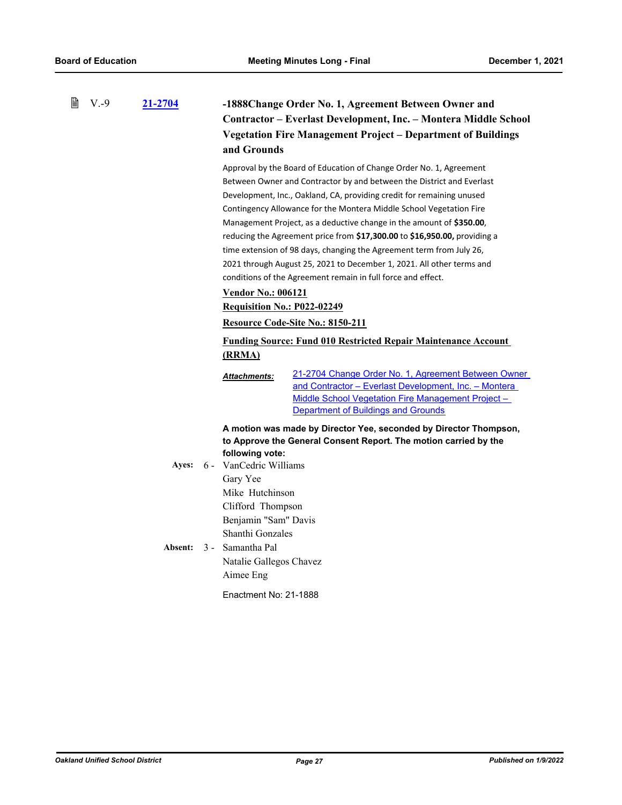| $\mathbb{B}$ V.-9 | 21-2704 | -1888Change Order No. 1, Agreement Between Owner and<br>Contractor – Everlast Development, Inc. – Montera Middle School<br>Vegetation Fire Management Project – Department of Buildings<br>and Grounds |
|-------------------|---------|--------------------------------------------------------------------------------------------------------------------------------------------------------------------------------------------------------|
|                   |         |                                                                                                                                                                                                        |

Approval by the Board of Education of Change Order No. 1, Agreement Between Owner and Contractor by and between the District and Everlast Development, Inc., Oakland, CA, providing credit for remaining unused Contingency Allowance for the Montera Middle School Vegetation Fire Management Project, as a deductive change in the amount of **\$350.00**, reducing the Agreement price from **\$17,300.00** to **\$16,950.00,** providing a time extension of 98 days, changing the Agreement term from July 26, 2021 through August 25, 2021 to December 1, 2021. All other terms and conditions of the Agreement remain in full force and effect.

#### **Vendor No.: 006121**

#### **Requisition No.: P022-02249**

**Resource Code-Site No.: 8150-211**

### **Funding Source: Fund 010 Restricted Repair Maintenance Account (RRMA)**

[21-2704 Change Order No. 1, Agreement Between Owner](http://ousd.legistar.com/gateway.aspx?M=F&ID=101520.pdf)  and Contractor – Everlast Development, Inc. – Montera Middle School Vegetation Fire Management Project – **Department of Buildings and Grounds** *Attachments:*

**A motion was made by Director Yee, seconded by Director Thompson, to Approve the General Consent Report. The motion carried by the following vote:**

Ayes: 6 - VanCedric Williams Gary Yee Mike Hutchinson Clifford Thompson Benjamin "Sam" Davis Shanthi Gonzales **Absent:** Samantha Pal Natalie Gallegos Chavez Aimee Eng Absent:  $3 -$ Enactment No: 21-1888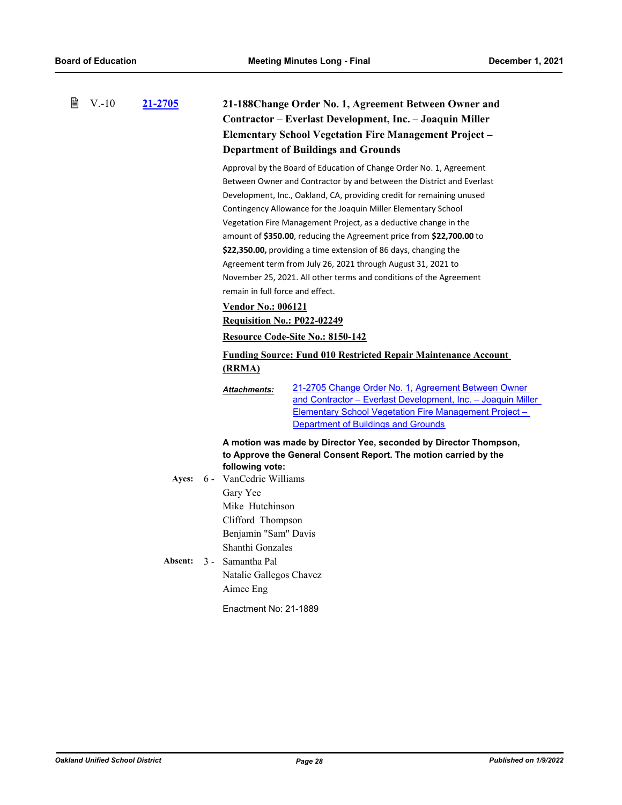| B | $V.-10$ | <u>21-2705</u> |  |                                                                                                                                                                                                                                                                                                                                                                                                                                                                                                                                                                                                                                                                                                                                 | 21-188Change Order No. 1, Agreement Between Owner and                                                                                                                                                                |  |
|---|---------|----------------|--|---------------------------------------------------------------------------------------------------------------------------------------------------------------------------------------------------------------------------------------------------------------------------------------------------------------------------------------------------------------------------------------------------------------------------------------------------------------------------------------------------------------------------------------------------------------------------------------------------------------------------------------------------------------------------------------------------------------------------------|----------------------------------------------------------------------------------------------------------------------------------------------------------------------------------------------------------------------|--|
|   |         |                |  | Contractor - Everlast Development, Inc. - Joaquin Miller                                                                                                                                                                                                                                                                                                                                                                                                                                                                                                                                                                                                                                                                        |                                                                                                                                                                                                                      |  |
|   |         |                |  | <b>Elementary School Vegetation Fire Management Project -</b>                                                                                                                                                                                                                                                                                                                                                                                                                                                                                                                                                                                                                                                                   |                                                                                                                                                                                                                      |  |
|   |         |                |  | <b>Department of Buildings and Grounds</b><br>Approval by the Board of Education of Change Order No. 1, Agreement<br>Between Owner and Contractor by and between the District and Everlast<br>Development, Inc., Oakland, CA, providing credit for remaining unused<br>Contingency Allowance for the Joaquin Miller Elementary School<br>Vegetation Fire Management Project, as a deductive change in the<br>amount of \$350.00, reducing the Agreement price from \$22,700.00 to<br>\$22,350.00, providing a time extension of 86 days, changing the<br>Agreement term from July 26, 2021 through August 31, 2021 to<br>November 25, 2021. All other terms and conditions of the Agreement<br>remain in full force and effect. |                                                                                                                                                                                                                      |  |
|   |         |                |  |                                                                                                                                                                                                                                                                                                                                                                                                                                                                                                                                                                                                                                                                                                                                 |                                                                                                                                                                                                                      |  |
|   |         |                |  |                                                                                                                                                                                                                                                                                                                                                                                                                                                                                                                                                                                                                                                                                                                                 |                                                                                                                                                                                                                      |  |
|   |         |                |  |                                                                                                                                                                                                                                                                                                                                                                                                                                                                                                                                                                                                                                                                                                                                 |                                                                                                                                                                                                                      |  |
|   |         |                |  | <b>Vendor No.: 006121</b>                                                                                                                                                                                                                                                                                                                                                                                                                                                                                                                                                                                                                                                                                                       |                                                                                                                                                                                                                      |  |
|   |         |                |  | <b>Requisition No.: P022-02249</b>                                                                                                                                                                                                                                                                                                                                                                                                                                                                                                                                                                                                                                                                                              |                                                                                                                                                                                                                      |  |
|   |         |                |  | Resource Code-Site No.: 8150-142                                                                                                                                                                                                                                                                                                                                                                                                                                                                                                                                                                                                                                                                                                |                                                                                                                                                                                                                      |  |
|   |         |                |  |                                                                                                                                                                                                                                                                                                                                                                                                                                                                                                                                                                                                                                                                                                                                 | <b>Funding Source: Fund 010 Restricted Repair Maintenance Account</b>                                                                                                                                                |  |
|   |         |                |  | <u>(RRMA)</u>                                                                                                                                                                                                                                                                                                                                                                                                                                                                                                                                                                                                                                                                                                                   |                                                                                                                                                                                                                      |  |
|   |         |                |  | <u> Attachments:</u>                                                                                                                                                                                                                                                                                                                                                                                                                                                                                                                                                                                                                                                                                                            | 21-2705 Change Order No. 1, Agreement Between Owner<br>and Contractor - Everlast Development, Inc. - Joaquin Miller<br>Elementary School Vegetation Fire Management Project -<br>Department of Buildings and Grounds |  |
|   |         | Ayes:          |  | A motion was made by Director Yee, seconded by Director Thompson,<br>to Approve the General Consent Report. The motion carried by the<br>following vote:<br>6 - VanCedric Williams<br>Gary Yee<br>Mike Hutchinson<br>Clifford Thompson                                                                                                                                                                                                                                                                                                                                                                                                                                                                                          |                                                                                                                                                                                                                      |  |
|   |         | Absent:        |  | Benjamin "Sam" Davis<br>Shanthi Gonzales<br>3 - Samantha Pal<br>Natalie Gallegos Chavez<br>Aimee Eng                                                                                                                                                                                                                                                                                                                                                                                                                                                                                                                                                                                                                            |                                                                                                                                                                                                                      |  |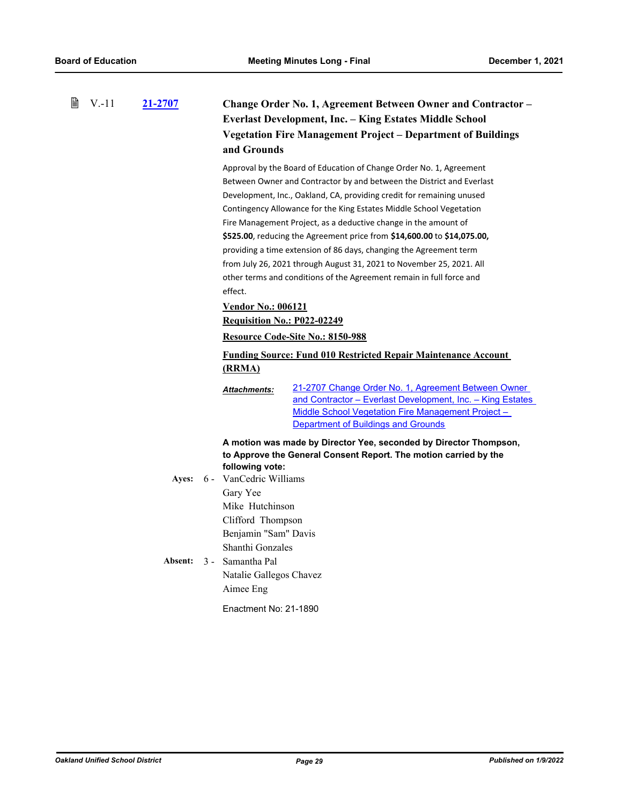| 閶<br>$V - 11$ | 21-2707 | Change Order No. 1, Agreement Between Owner and Contractor – |  |
|---------------|---------|--------------------------------------------------------------|--|
|               |         | Everlast Development, Inc. – King Estates Middle School      |  |
|               |         | Vegetation Fire Management Project – Department of Buildings |  |
|               |         | and Grounds                                                  |  |

Approval by the Board of Education of Change Order No. 1, Agreement Between Owner and Contractor by and between the District and Everlast Development, Inc., Oakland, CA, providing credit for remaining unused Contingency Allowance for the King Estates Middle School Vegetation Fire Management Project, as a deductive change in the amount of **\$525.00**, reducing the Agreement price from **\$14,600.00** to **\$14,075.00,**  providing a time extension of 86 days, changing the Agreement term from July 26, 2021 through August 31, 2021 to November 25, 2021. All other terms and conditions of the Agreement remain in full force and effect.

#### **Vendor No.: 006121**

**Requisition No.: P022-02249**

#### **Resource Code-Site No.: 8150-988**

**Funding Source: Fund 010 Restricted Repair Maintenance Account (RRMA)**

21-2707 Change Order No. 1, Agreement Between Owner [and Contractor – Everlast Development, Inc. – King Estates](http://ousd.legistar.com/gateway.aspx?M=F&ID=101664.pdf)  Middle School Vegetation Fire Management Project – Department of Buildings and Grounds *Attachments:*

**A motion was made by Director Yee, seconded by Director Thompson, to Approve the General Consent Report. The motion carried by the following vote:**

Ayes: 6 - VanCedric Williams Gary Yee Mike Hutchinson Clifford Thompson Benjamin "Sam" Davis Shanthi Gonzales Absent: 3 - Samantha Pal

Natalie Gallegos Chavez Aimee Eng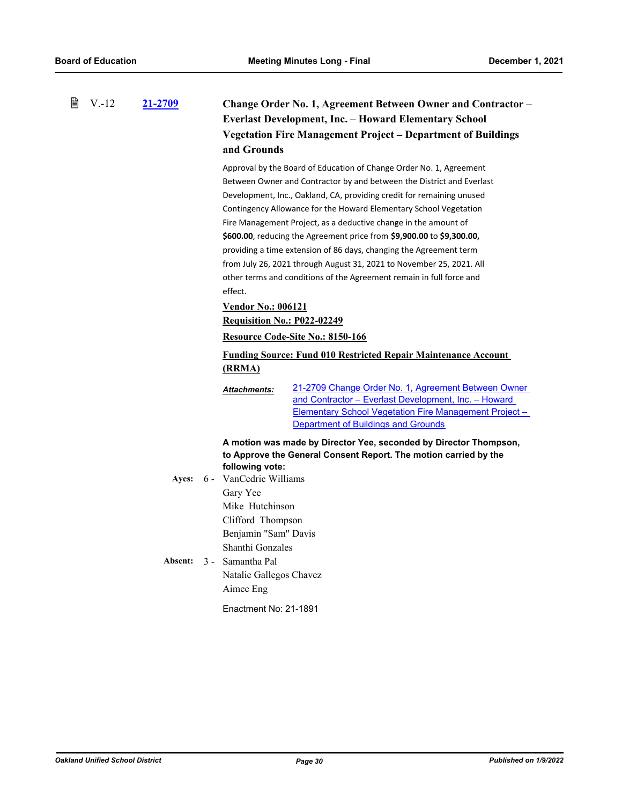| 閶<br>$V - 12$ | 21-2709 | Change Order No. 1, Agreement Between Owner and Contractor – |  |
|---------------|---------|--------------------------------------------------------------|--|
|               |         | Everlast Development, Inc. – Howard Elementary School        |  |
|               |         | Vegetation Fire Management Project – Department of Buildings |  |
|               |         | and Grounds                                                  |  |

Approval by the Board of Education of Change Order No. 1, Agreement Between Owner and Contractor by and between the District and Everlast Development, Inc., Oakland, CA, providing credit for remaining unused Contingency Allowance for the Howard Elementary School Vegetation Fire Management Project, as a deductive change in the amount of **\$600.00**, reducing the Agreement price from **\$9,900.00** to **\$9,300.00,**  providing a time extension of 86 days, changing the Agreement term from July 26, 2021 through August 31, 2021 to November 25, 2021. All other terms and conditions of the Agreement remain in full force and effect.

### **Vendor No.: 006121**

**Requisition No.: P022-02249**

#### **Resource Code-Site No.: 8150-166**

**Funding Source: Fund 010 Restricted Repair Maintenance Account (RRMA)**

[21-2709 Change Order No. 1, Agreement Between Owner](http://ousd.legistar.com/gateway.aspx?M=F&ID=101523.pdf)  and Contractor – Everlast Development, Inc. – Howard Elementary School Vegetation Fire Management Project – Department of Buildings and Grounds *Attachments:*

**A motion was made by Director Yee, seconded by Director Thompson, to Approve the General Consent Report. The motion carried by the following vote:**

Ayes: 6 - VanCedric Williams Gary Yee Mike Hutchinson Clifford Thompson Benjamin "Sam" Davis Shanthi Gonzales Absent: 3 - Samantha Pal

Natalie Gallegos Chavez Aimee Eng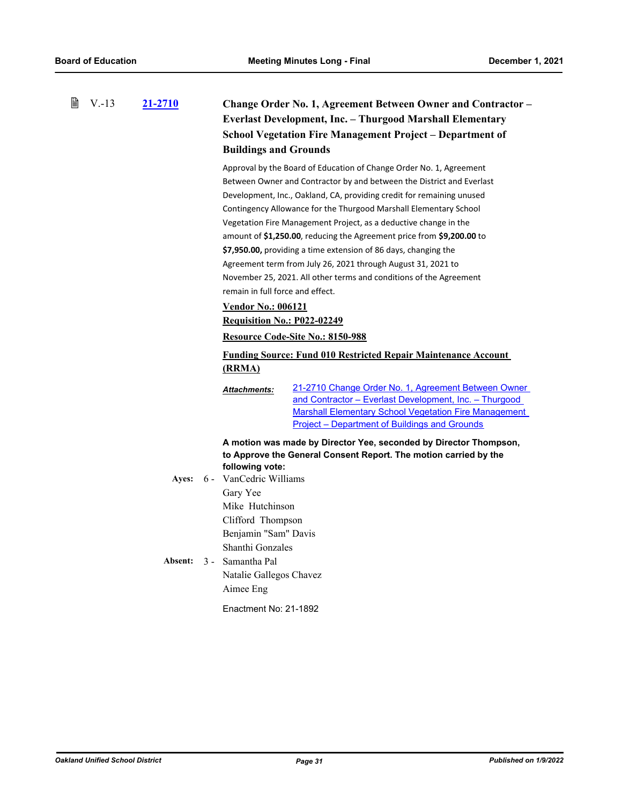昏 V.-13 **[21-2710](http://ousd.legistar.com/gateway.aspx?m=l&id=/matter.aspx?key=53844) Change Order No. 1, Agreement Between Owner and Contractor – Everlast Development, Inc. – Thurgood Marshall Elementary School Vegetation Fire Management Project – Department of Buildings and Grounds**

> Approval by the Board of Education of Change Order No. 1, Agreement Between Owner and Contractor by and between the District and Everlast Development, Inc., Oakland, CA, providing credit for remaining unused Contingency Allowance for the Thurgood Marshall Elementary School Vegetation Fire Management Project, as a deductive change in the amount of **\$1,250.00**, reducing the Agreement price from **\$9,200.00** to **\$7,950.00,** providing a time extension of 86 days, changing the Agreement term from July 26, 2021 through August 31, 2021 to November 25, 2021. All other terms and conditions of the Agreement remain in full force and effect.

### **Vendor No.: 006121**

**Requisition No.: P022-02249**

#### **Resource Code-Site No.: 8150-988**

**Funding Source: Fund 010 Restricted Repair Maintenance Account (RRMA)**

[21-2710 Change Order No. 1, Agreement Between Owner](http://ousd.legistar.com/gateway.aspx?M=F&ID=101524.pdf)  and Contractor – Everlast Development, Inc. – Thurgood Marshall Elementary School Vegetation Fire Management Project – Department of Buildings and Grounds *Attachments:*

**A motion was made by Director Yee, seconded by Director Thompson, to Approve the General Consent Report. The motion carried by the following vote:**

Ayes: 6 - VanCedric Williams Gary Yee Mike Hutchinson Clifford Thompson Benjamin "Sam" Davis Shanthi Gonzales Absent: 3 - Samantha Pal

Natalie Gallegos Chavez Aimee Eng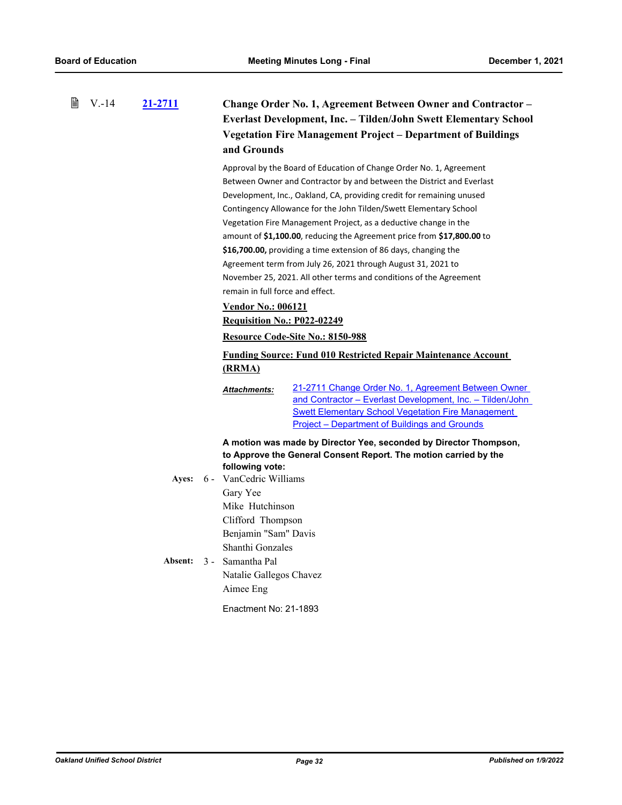閶 V.-14 **[21-2711](http://ousd.legistar.com/gateway.aspx?m=l&id=/matter.aspx?key=53845) Change Order No. 1, Agreement Between Owner and Contractor – Everlast Development, Inc. – Tilden/John Swett Elementary School Vegetation Fire Management Project – Department of Buildings and Grounds**

> Approval by the Board of Education of Change Order No. 1, Agreement Between Owner and Contractor by and between the District and Everlast Development, Inc., Oakland, CA, providing credit for remaining unused Contingency Allowance for the John Tilden/Swett Elementary School Vegetation Fire Management Project, as a deductive change in the amount of **\$1,100.00**, reducing the Agreement price from **\$17,800.00** to **\$16,700.00,** providing a time extension of 86 days, changing the Agreement term from July 26, 2021 through August 31, 2021 to November 25, 2021. All other terms and conditions of the Agreement remain in full force and effect.

#### **Vendor No.: 006121**

**Requisition No.: P022-02249**

**Resource Code-Site No.: 8150-988**

**Funding Source: Fund 010 Restricted Repair Maintenance Account (RRMA)**

21-2711 Change Order No. 1, Agreement Between Owner [and Contractor – Everlast Development, Inc. – Tilden/John](http://ousd.legistar.com/gateway.aspx?M=F&ID=101525.pdf)  Swett Elementary School Vegetation Fire Management Project – Department of Buildings and Grounds *Attachments:*

**A motion was made by Director Yee, seconded by Director Thompson, to Approve the General Consent Report. The motion carried by the following vote:**

Ayes: 6 - VanCedric Williams Gary Yee Mike Hutchinson Clifford Thompson Benjamin "Sam" Davis Shanthi Gonzales Absent: 3 - Samantha Pal

Natalie Gallegos Chavez Aimee Eng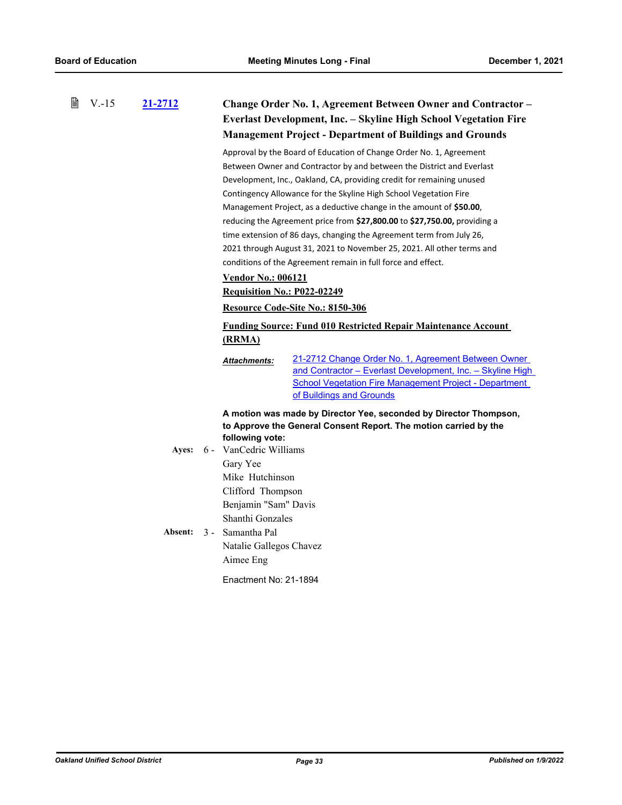| 閶<br>$V.-15$<br>21-2712 |  |         | Change Order No. 1, Agreement Between Owner and Contractor -<br>Everlast Development, Inc. - Skyline High School Vegetation Fire<br><b>Management Project - Department of Buildings and Grounds</b> |                                                                                                                                                                                                                                                                                                                                                                                                                                                                                                                                                                                                                                                                                                      |  |
|-------------------------|--|---------|-----------------------------------------------------------------------------------------------------------------------------------------------------------------------------------------------------|------------------------------------------------------------------------------------------------------------------------------------------------------------------------------------------------------------------------------------------------------------------------------------------------------------------------------------------------------------------------------------------------------------------------------------------------------------------------------------------------------------------------------------------------------------------------------------------------------------------------------------------------------------------------------------------------------|--|
|                         |  |         | <b>Vendor No.: 006121</b><br><b>Requisition No.: P022-02249</b>                                                                                                                                     | Approval by the Board of Education of Change Order No. 1, Agreement<br>Between Owner and Contractor by and between the District and Everlast<br>Development, Inc., Oakland, CA, providing credit for remaining unused<br>Contingency Allowance for the Skyline High School Vegetation Fire<br>Management Project, as a deductive change in the amount of \$50.00,<br>reducing the Agreement price from \$27,800.00 to \$27,750.00, providing a<br>time extension of 86 days, changing the Agreement term from July 26,<br>2021 through August 31, 2021 to November 25, 2021. All other terms and<br>conditions of the Agreement remain in full force and effect.<br>Resource Code-Site No.: 8150-306 |  |
|                         |  |         | <b>Funding Source: Fund 010 Restricted Repair Maintenance Account</b>                                                                                                                               |                                                                                                                                                                                                                                                                                                                                                                                                                                                                                                                                                                                                                                                                                                      |  |
|                         |  |         | (RRMA)                                                                                                                                                                                              |                                                                                                                                                                                                                                                                                                                                                                                                                                                                                                                                                                                                                                                                                                      |  |
|                         |  |         | <b>Attachments:</b>                                                                                                                                                                                 | 21-2712 Change Order No. 1, Agreement Between Owner<br>and Contractor - Everlast Development, Inc. - Skyline High<br><b>School Vegetation Fire Management Project - Department</b><br>of Buildings and Grounds                                                                                                                                                                                                                                                                                                                                                                                                                                                                                       |  |
|                         |  |         | following vote:                                                                                                                                                                                     | A motion was made by Director Yee, seconded by Director Thompson,<br>to Approve the General Consent Report. The motion carried by the                                                                                                                                                                                                                                                                                                                                                                                                                                                                                                                                                                |  |
|                         |  | Ayes:   | 6 - VanCedric Williams<br>Gary Yee<br>Mike Hutchinson<br>Clifford Thompson<br>Benjamin "Sam" Davis<br>Shanthi Gonzales                                                                              |                                                                                                                                                                                                                                                                                                                                                                                                                                                                                                                                                                                                                                                                                                      |  |
|                         |  | Absent: | 3 - Samantha Pal<br>Natalie Gallegos Chavez<br>Aimee Eng                                                                                                                                            |                                                                                                                                                                                                                                                                                                                                                                                                                                                                                                                                                                                                                                                                                                      |  |
|                         |  |         | Enactment No: 21-1894                                                                                                                                                                               |                                                                                                                                                                                                                                                                                                                                                                                                                                                                                                                                                                                                                                                                                                      |  |
|                         |  |         |                                                                                                                                                                                                     |                                                                                                                                                                                                                                                                                                                                                                                                                                                                                                                                                                                                                                                                                                      |  |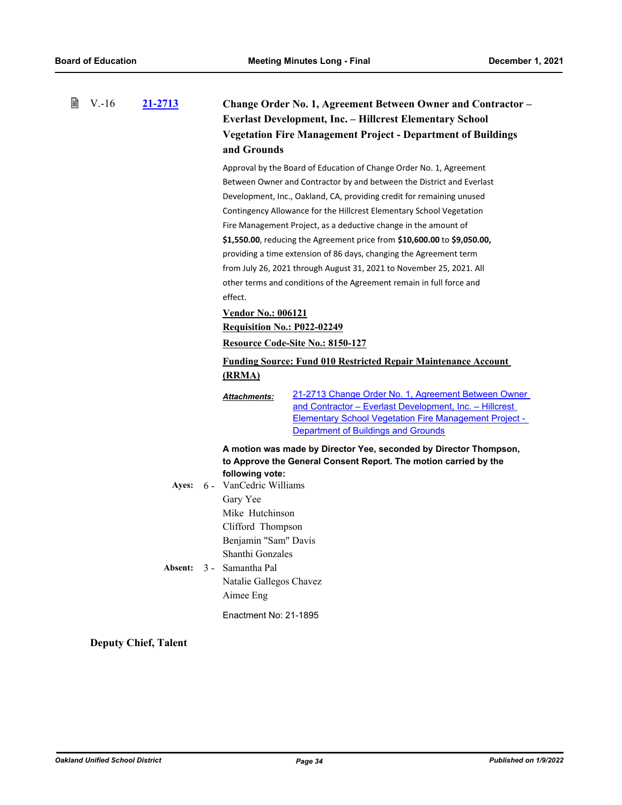| 窅 | $V - 16$ | <u>21-2713 </u> |                                                                                                                                                                                    | Change Order No. 1, Agreement Between Owner and Contractor -<br><b>Everlast Development, Inc. - Hillcrest Elementary School</b><br><b>Vegetation Fire Management Project - Department of Buildings</b><br>and Grounds<br>Approval by the Board of Education of Change Order No. 1, Agreement<br>Between Owner and Contractor by and between the District and Everlast<br>Development, Inc., Oakland, CA, providing credit for remaining unused<br>Contingency Allowance for the Hillcrest Elementary School Vegetation<br>Fire Management Project, as a deductive change in the amount of<br>\$1,550.00, reducing the Agreement price from \$10,600.00 to \$9,050.00,<br>providing a time extension of 86 days, changing the Agreement term<br>from July 26, 2021 through August 31, 2021 to November 25, 2021. All<br>other terms and conditions of the Agreement remain in full force and<br>effect. |                                                                                                                                                                                                                        |  |
|---|----------|-----------------|------------------------------------------------------------------------------------------------------------------------------------------------------------------------------------|--------------------------------------------------------------------------------------------------------------------------------------------------------------------------------------------------------------------------------------------------------------------------------------------------------------------------------------------------------------------------------------------------------------------------------------------------------------------------------------------------------------------------------------------------------------------------------------------------------------------------------------------------------------------------------------------------------------------------------------------------------------------------------------------------------------------------------------------------------------------------------------------------------|------------------------------------------------------------------------------------------------------------------------------------------------------------------------------------------------------------------------|--|
|   |          |                 |                                                                                                                                                                                    |                                                                                                                                                                                                                                                                                                                                                                                                                                                                                                                                                                                                                                                                                                                                                                                                                                                                                                        |                                                                                                                                                                                                                        |  |
|   |          |                 |                                                                                                                                                                                    | <b>Vendor No.: 006121</b>                                                                                                                                                                                                                                                                                                                                                                                                                                                                                                                                                                                                                                                                                                                                                                                                                                                                              |                                                                                                                                                                                                                        |  |
|   |          |                 |                                                                                                                                                                                    | Requisition No.: P022-02249                                                                                                                                                                                                                                                                                                                                                                                                                                                                                                                                                                                                                                                                                                                                                                                                                                                                            |                                                                                                                                                                                                                        |  |
|   |          |                 | Resource Code-Site No.: 8150-127                                                                                                                                                   |                                                                                                                                                                                                                                                                                                                                                                                                                                                                                                                                                                                                                                                                                                                                                                                                                                                                                                        |                                                                                                                                                                                                                        |  |
|   |          |                 | <b>Funding Source: Fund 010 Restricted Repair Maintenance Account</b>                                                                                                              |                                                                                                                                                                                                                                                                                                                                                                                                                                                                                                                                                                                                                                                                                                                                                                                                                                                                                                        |                                                                                                                                                                                                                        |  |
|   |          |                 | (RRMA)                                                                                                                                                                             |                                                                                                                                                                                                                                                                                                                                                                                                                                                                                                                                                                                                                                                                                                                                                                                                                                                                                                        |                                                                                                                                                                                                                        |  |
|   |          |                 |                                                                                                                                                                                    | Attachments:                                                                                                                                                                                                                                                                                                                                                                                                                                                                                                                                                                                                                                                                                                                                                                                                                                                                                           | 21-2713 Change Order No. 1, Agreement Between Owner<br>and Contractor - Everlast Development, Inc. - Hillcrest<br><b>Elementary School Vegetation Fire Management Project -</b><br>Department of Buildings and Grounds |  |
|   |          | Ayes:           | A motion was made by Director Yee, seconded by Director Thompson,<br>to Approve the General Consent Report. The motion carried by the<br>following vote:<br>6 - VanCedric Williams |                                                                                                                                                                                                                                                                                                                                                                                                                                                                                                                                                                                                                                                                                                                                                                                                                                                                                                        |                                                                                                                                                                                                                        |  |
|   |          |                 |                                                                                                                                                                                    | Gary Yee<br>Mike Hutchinson<br>Clifford Thompson<br>Benjamin "Sam" Davis                                                                                                                                                                                                                                                                                                                                                                                                                                                                                                                                                                                                                                                                                                                                                                                                                               |                                                                                                                                                                                                                        |  |
|   |          | Absent:         |                                                                                                                                                                                    | Shanthi Gonzales<br>3 - Samantha Pal<br>Natalie Gallegos Chavez<br>Aimee Eng                                                                                                                                                                                                                                                                                                                                                                                                                                                                                                                                                                                                                                                                                                                                                                                                                           |                                                                                                                                                                                                                        |  |
|   |          |                 |                                                                                                                                                                                    | Enactment No: 21-1895                                                                                                                                                                                                                                                                                                                                                                                                                                                                                                                                                                                                                                                                                                                                                                                                                                                                                  |                                                                                                                                                                                                                        |  |

**Deputy Chief, Talent**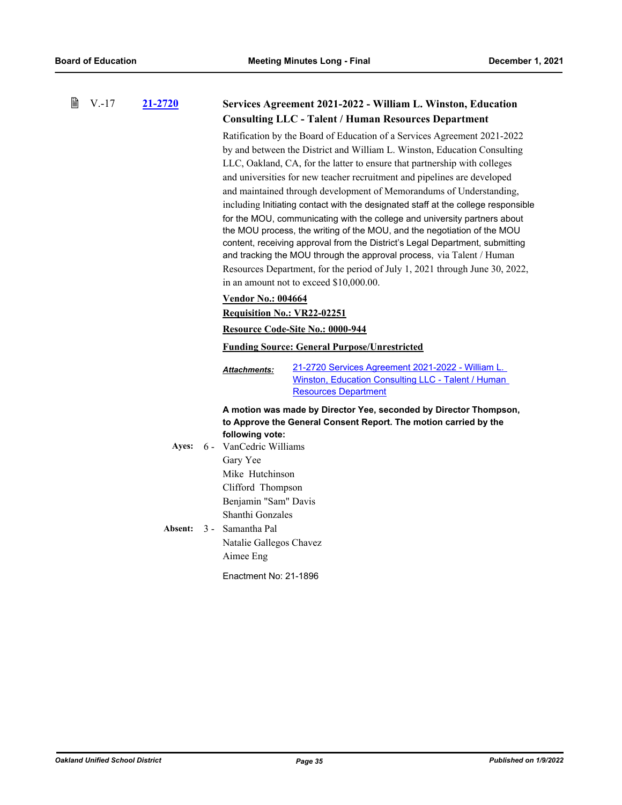₿

| $V - 17$ | 21-2720 |                                                                                                                        | Services Agreement 2021-2022 - William L. Winston, Education<br><b>Consulting LLC - Talent / Human Resources Department</b>                                                                                                                                                                                                                                                                                                                                                                                                                                                                                                                                                                                                                                                                                                                                                                                          |                                                                                                                                        |  |  |  |
|----------|---------|------------------------------------------------------------------------------------------------------------------------|----------------------------------------------------------------------------------------------------------------------------------------------------------------------------------------------------------------------------------------------------------------------------------------------------------------------------------------------------------------------------------------------------------------------------------------------------------------------------------------------------------------------------------------------------------------------------------------------------------------------------------------------------------------------------------------------------------------------------------------------------------------------------------------------------------------------------------------------------------------------------------------------------------------------|----------------------------------------------------------------------------------------------------------------------------------------|--|--|--|
|          |         |                                                                                                                        | Ratification by the Board of Education of a Services Agreement 2021-2022<br>by and between the District and William L. Winston, Education Consulting<br>LLC, Oakland, CA, for the latter to ensure that partnership with colleges<br>and universities for new teacher recruitment and pipelines are developed<br>and maintained through development of Memorandums of Understanding,<br>including Initiating contact with the designated staff at the college responsible<br>for the MOU, communicating with the college and university partners about<br>the MOU process, the writing of the MOU, and the negotiation of the MOU<br>content, receiving approval from the District's Legal Department, submitting<br>and tracking the MOU through the approval process, via Talent / Human<br>Resources Department, for the period of July 1, 2021 through June 30, 2022,<br>in an amount not to exceed \$10,000.00. |                                                                                                                                        |  |  |  |
|          |         |                                                                                                                        | <b>Vendor No.: 004664</b>                                                                                                                                                                                                                                                                                                                                                                                                                                                                                                                                                                                                                                                                                                                                                                                                                                                                                            |                                                                                                                                        |  |  |  |
|          |         |                                                                                                                        | <b>Requisition No.: VR22-02251</b>                                                                                                                                                                                                                                                                                                                                                                                                                                                                                                                                                                                                                                                                                                                                                                                                                                                                                   |                                                                                                                                        |  |  |  |
|          |         |                                                                                                                        | Resource Code-Site No.: 0000-944                                                                                                                                                                                                                                                                                                                                                                                                                                                                                                                                                                                                                                                                                                                                                                                                                                                                                     |                                                                                                                                        |  |  |  |
|          |         |                                                                                                                        | <b>Funding Source: General Purpose/Unrestricted</b>                                                                                                                                                                                                                                                                                                                                                                                                                                                                                                                                                                                                                                                                                                                                                                                                                                                                  |                                                                                                                                        |  |  |  |
|          |         |                                                                                                                        | <b>Attachments:</b>                                                                                                                                                                                                                                                                                                                                                                                                                                                                                                                                                                                                                                                                                                                                                                                                                                                                                                  | 21-2720 Services Agreement 2021-2022 - William L.<br>Winston, Education Consulting LLC - Talent / Human<br><b>Resources Department</b> |  |  |  |
|          |         |                                                                                                                        | A motion was made by Director Yee, seconded by Director Thompson,<br>to Approve the General Consent Report. The motion carried by the<br>following vote:                                                                                                                                                                                                                                                                                                                                                                                                                                                                                                                                                                                                                                                                                                                                                             |                                                                                                                                        |  |  |  |
|          | Ayes:   | 6 - VanCedric Williams<br>Gary Yee<br>Mike Hutchinson<br>Clifford Thompson<br>Benjamin "Sam" Davis<br>Shanthi Gonzales |                                                                                                                                                                                                                                                                                                                                                                                                                                                                                                                                                                                                                                                                                                                                                                                                                                                                                                                      |                                                                                                                                        |  |  |  |
|          | Absent: |                                                                                                                        | 3 - Samantha Pal<br>Natalie Gallegos Chavez<br>Aimee Eng<br>Enactment No: 21-1896                                                                                                                                                                                                                                                                                                                                                                                                                                                                                                                                                                                                                                                                                                                                                                                                                                    |                                                                                                                                        |  |  |  |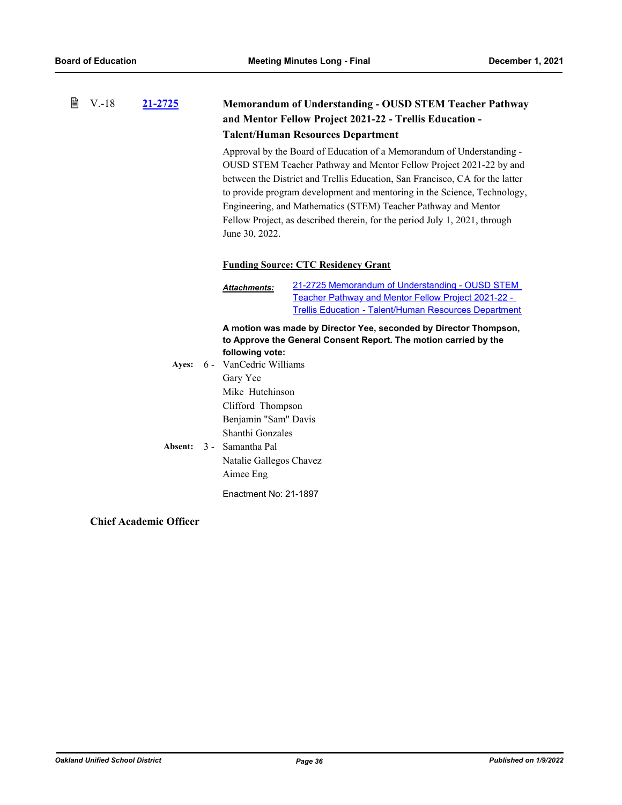| ■ V.-18 | 21-2725 | <b>Memorandum of Understanding - OUSD STEM Teacher Pathway</b> |
|---------|---------|----------------------------------------------------------------|
|         |         | and Mentor Fellow Project 2021-22 - Trellis Education -        |
|         |         | <b>Talent/Human Resources Department</b>                       |

Approval by the Board of Education of a Memorandum of Understanding - OUSD STEM Teacher Pathway and Mentor Fellow Project 2021-22 by and between the District and Trellis Education, San Francisco, CA for the latter to provide program development and mentoring in the Science, Technology, Engineering, and Mathematics (STEM) Teacher Pathway and Mentor Fellow Project, as described therein, for the period July 1, 2021, through June 30, 2022.

## **Funding Source: CTC Residency Grant**

[21-2725 Memorandum of Understanding - OUSD STEM](http://ousd.legistar.com/gateway.aspx?M=F&ID=101528.pdf)  Teacher Pathway and Mentor Fellow Project 2021-22 - Trellis Education - Talent/Human Resources Department *Attachments:*

**A motion was made by Director Yee, seconded by Director Thompson, to Approve the General Consent Report. The motion carried by the following vote:**

Ayes: 6 - VanCedric Williams Gary Yee Mike Hutchinson Clifford Thompson Benjamin "Sam" Davis Shanthi Gonzales Absent: 3 - Samantha Pal Natalie Gallegos Chavez Aimee Eng

Enactment No: 21-1897

**Chief Academic Officer**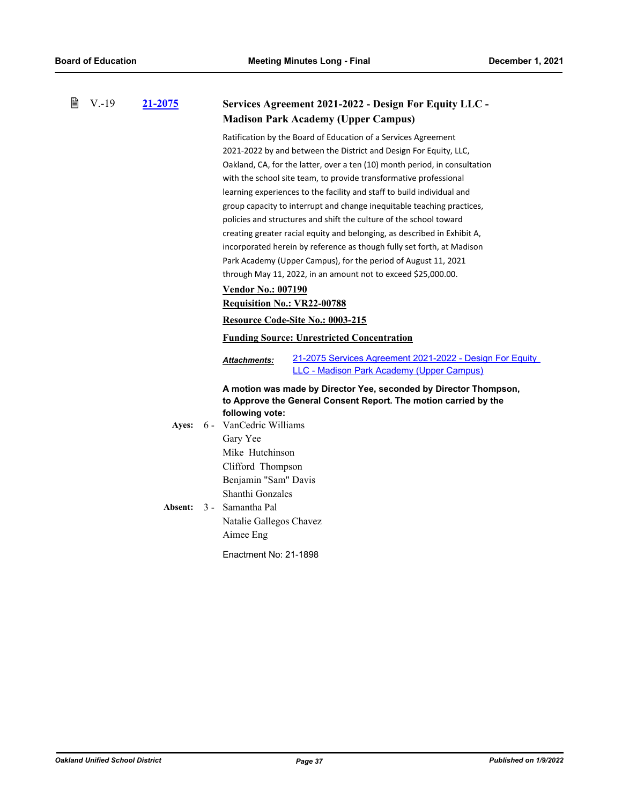| 誾 | $V.-19$ | 21-2075          | Services Agreement 2021-2022 - Design For Equity LLC -<br><b>Madison Park Academy (Upper Campus)</b>                                                                                                                                                                                                                                                                                                                                                                                                                                                                                                                                                                                                                                                                                                                                                                                                             |  |  |
|---|---------|------------------|------------------------------------------------------------------------------------------------------------------------------------------------------------------------------------------------------------------------------------------------------------------------------------------------------------------------------------------------------------------------------------------------------------------------------------------------------------------------------------------------------------------------------------------------------------------------------------------------------------------------------------------------------------------------------------------------------------------------------------------------------------------------------------------------------------------------------------------------------------------------------------------------------------------|--|--|
|   |         |                  | Ratification by the Board of Education of a Services Agreement<br>2021-2022 by and between the District and Design For Equity, LLC,<br>Oakland, CA, for the latter, over a ten (10) month period, in consultation<br>with the school site team, to provide transformative professional<br>learning experiences to the facility and staff to build individual and<br>group capacity to interrupt and change inequitable teaching practices,<br>policies and structures and shift the culture of the school toward<br>creating greater racial equity and belonging, as described in Exhibit A,<br>incorporated herein by reference as though fully set forth, at Madison<br>Park Academy (Upper Campus), for the period of August 11, 2021<br>through May 11, 2022, in an amount not to exceed \$25,000.00.<br><b>Vendor No.: 007190</b><br><b>Requisition No.: VR22-00788</b><br>Resource Code-Site No.: 0003-215 |  |  |
|   |         |                  | <b>Funding Source: Unrestricted Concentration</b>                                                                                                                                                                                                                                                                                                                                                                                                                                                                                                                                                                                                                                                                                                                                                                                                                                                                |  |  |
|   |         |                  | 21-2075 Services Agreement 2021-2022 - Design For Equity<br><b>Attachments:</b><br><b>LLC - Madison Park Academy (Upper Campus)</b>                                                                                                                                                                                                                                                                                                                                                                                                                                                                                                                                                                                                                                                                                                                                                                              |  |  |
|   |         | Ayes:<br>Absent: | A motion was made by Director Yee, seconded by Director Thompson,<br>to Approve the General Consent Report. The motion carried by the<br>following vote:<br>6 - VanCedric Williams<br>Gary Yee<br>Mike Hutchinson<br>Clifford Thompson<br>Benjamin "Sam" Davis<br>Shanthi Gonzales<br>3 - Samantha Pal<br>Natalie Gallegos Chavez<br>Aimee Eng<br>Enactment No: 21-1898                                                                                                                                                                                                                                                                                                                                                                                                                                                                                                                                          |  |  |
|   |         |                  |                                                                                                                                                                                                                                                                                                                                                                                                                                                                                                                                                                                                                                                                                                                                                                                                                                                                                                                  |  |  |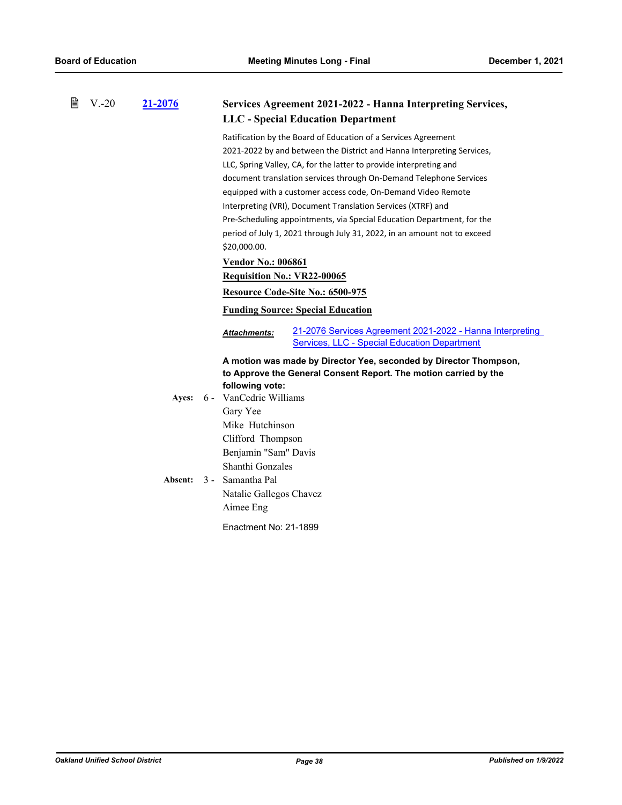| 21-2076          | Services Agreement 2021-2022 - Hanna Interpreting Services,<br><b>LLC</b> - Special Education Department                                                                                                                                                                                                                                                                                                                                                                                                                                                                                                                |  |  |
|------------------|-------------------------------------------------------------------------------------------------------------------------------------------------------------------------------------------------------------------------------------------------------------------------------------------------------------------------------------------------------------------------------------------------------------------------------------------------------------------------------------------------------------------------------------------------------------------------------------------------------------------------|--|--|
|                  | Ratification by the Board of Education of a Services Agreement<br>2021-2022 by and between the District and Hanna Interpreting Services,<br>LLC, Spring Valley, CA, for the latter to provide interpreting and<br>document translation services through On-Demand Telephone Services<br>equipped with a customer access code, On-Demand Video Remote<br>Interpreting (VRI), Document Translation Services (XTRF) and<br>Pre-Scheduling appointments, via Special Education Department, for the<br>period of July 1, 2021 through July 31, 2022, in an amount not to exceed<br>\$20,000.00.<br><b>Vendor No.: 006861</b> |  |  |
|                  | <b>Requisition No.: VR22-00065</b>                                                                                                                                                                                                                                                                                                                                                                                                                                                                                                                                                                                      |  |  |
|                  | Resource Code-Site No.: 6500-975                                                                                                                                                                                                                                                                                                                                                                                                                                                                                                                                                                                        |  |  |
|                  | <b>Funding Source: Special Education</b>                                                                                                                                                                                                                                                                                                                                                                                                                                                                                                                                                                                |  |  |
|                  | 21-2076 Services Agreement 2021-2022 - Hanna Interpreting<br><b>Attachments:</b><br><b>Services, LLC - Special Education Department</b>                                                                                                                                                                                                                                                                                                                                                                                                                                                                                 |  |  |
| Ayes:<br>Absent: | A motion was made by Director Yee, seconded by Director Thompson,<br>to Approve the General Consent Report. The motion carried by the<br>following vote:<br>6 - VanCedric Williams<br>Gary Yee<br>Mike Hutchinson<br>Clifford Thompson<br>Benjamin "Sam" Davis<br>Shanthi Gonzales<br>3 - Samantha Pal<br>Natalie Gallegos Chavez<br>Aimee Eng<br>Enactment No: 21-1899                                                                                                                                                                                                                                                 |  |  |
|                  |                                                                                                                                                                                                                                                                                                                                                                                                                                                                                                                                                                                                                         |  |  |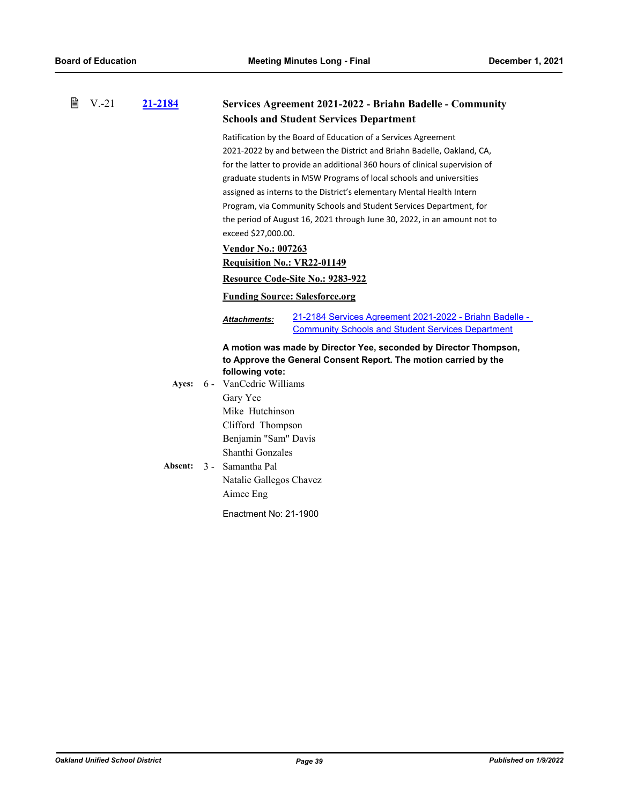| 窅<br>$V - 21$ | <u>21-2184</u> | <b>Services Agreement 2021-2022 - Briahn Badelle - Community</b>                                                                           |
|---------------|----------------|--------------------------------------------------------------------------------------------------------------------------------------------|
|               |                | <b>Schools and Student Services Department</b>                                                                                             |
|               |                | Ratification by the Board of Education of a Services Agreement<br>2021-2022 by and between the District and Briahn Badelle, Oakland, CA,   |
|               |                | for the latter to provide an additional 360 hours of clinical supervision of                                                               |
|               |                | graduate students in MSW Programs of local schools and universities                                                                        |
|               |                | assigned as interns to the District's elementary Mental Health Intern                                                                      |
|               |                | Program, via Community Schools and Student Services Department, for                                                                        |
|               |                | the period of August 16, 2021 through June 30, 2022, in an amount not to                                                                   |
|               |                | exceed \$27,000.00.                                                                                                                        |
|               |                | <b>Vendor No.: 007263</b>                                                                                                                  |
|               |                | <b>Requisition No.: VR22-01149</b>                                                                                                         |
|               |                | Resource Code-Site No.: 9283-922                                                                                                           |
|               |                | <b>Funding Source: Salesforce.org</b>                                                                                                      |
|               |                | 21-2184 Services Agreement 2021-2022 - Briahn Badelle -<br><b>Attachments:</b><br><b>Community Schools and Student Services Department</b> |
|               |                | A motion was made by Director Yee, seconded by Director Thompson,<br>to Approve the General Consent Report. The motion carried by the      |
|               |                | following vote:                                                                                                                            |
|               | Ayes:          | 6 - VanCedric Williams                                                                                                                     |
|               |                | Gary Yee                                                                                                                                   |
|               |                | Mike Hutchinson                                                                                                                            |
|               |                | Clifford Thompson                                                                                                                          |
|               |                | Benjamin "Sam" Davis                                                                                                                       |
|               |                | Shanthi Gonzales                                                                                                                           |
|               | Absent:        | 3 - Samantha Pal                                                                                                                           |
|               |                | Natalie Gallegos Chavez                                                                                                                    |
|               |                | Aimee Eng                                                                                                                                  |
|               |                | Enactment No: 21-1900                                                                                                                      |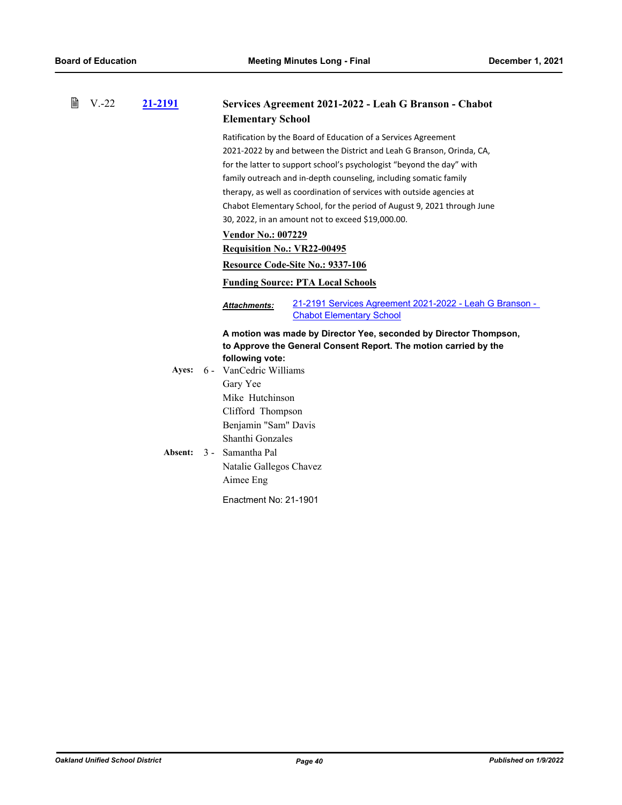| € | $V.-22$ | 21-2191 |       |                             | Services Agreement 2021-2022 - Leah G Branson - Chabot                                                                                |
|---|---------|---------|-------|-----------------------------|---------------------------------------------------------------------------------------------------------------------------------------|
|   |         |         |       | <b>Elementary School</b>    |                                                                                                                                       |
|   |         |         |       |                             | Ratification by the Board of Education of a Services Agreement                                                                        |
|   |         |         |       |                             | 2021-2022 by and between the District and Leah G Branson, Orinda, CA,                                                                 |
|   |         |         |       |                             | for the latter to support school's psychologist "beyond the day" with                                                                 |
|   |         |         |       |                             | family outreach and in-depth counseling, including somatic family                                                                     |
|   |         |         |       |                             | therapy, as well as coordination of services with outside agencies at                                                                 |
|   |         |         |       |                             | Chabot Elementary School, for the period of August 9, 2021 through June                                                               |
|   |         |         |       |                             | 30, 2022, in an amount not to exceed \$19,000.00.                                                                                     |
|   |         |         |       | <b>Vendor No.: 007229</b>   |                                                                                                                                       |
|   |         |         |       | Requisition No.: VR22-00495 |                                                                                                                                       |
|   |         |         |       |                             | Resource Code-Site No.: 9337-106                                                                                                      |
|   |         |         |       |                             | <b>Funding Source: PTA Local Schools</b>                                                                                              |
|   |         |         |       | <b>Attachments:</b>         | 21-2191 Services Agreement 2021-2022 - Leah G Branson -<br><b>Chabot Elementary School</b>                                            |
|   |         |         |       |                             | A motion was made by Director Yee, seconded by Director Thompson,<br>to Approve the General Consent Report. The motion carried by the |
|   |         |         |       | following vote:             |                                                                                                                                       |
|   |         | Ayes:   |       | 6 - VanCedric Williams      |                                                                                                                                       |
|   |         |         |       | Gary Yee                    |                                                                                                                                       |
|   |         |         |       | Mike Hutchinson             |                                                                                                                                       |
|   |         |         |       | Clifford Thompson           |                                                                                                                                       |
|   |         |         |       | Benjamin "Sam" Davis        |                                                                                                                                       |
|   |         |         |       | Shanthi Gonzales            |                                                                                                                                       |
|   |         | Absent: | $3 -$ | Samantha Pal                |                                                                                                                                       |
|   |         |         |       | Natalie Gallegos Chavez     |                                                                                                                                       |
|   |         |         |       | Aimee Eng                   |                                                                                                                                       |
|   |         |         |       | Enactment No: 21-1901       |                                                                                                                                       |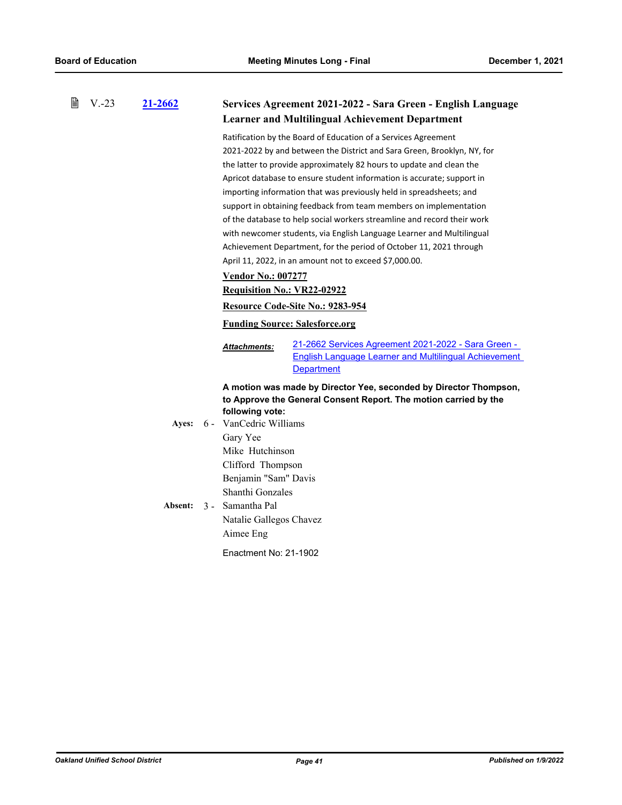| 閶<br>$V - 23$ | 21-2662          |                                                                                                                                                                                                                                                                                                                                                                                                                                                                                                                                                                                                                                                                                                                                                          | Services Agreement 2021-2022 - Sara Green - English Language                                                                          |  |
|---------------|------------------|----------------------------------------------------------------------------------------------------------------------------------------------------------------------------------------------------------------------------------------------------------------------------------------------------------------------------------------------------------------------------------------------------------------------------------------------------------------------------------------------------------------------------------------------------------------------------------------------------------------------------------------------------------------------------------------------------------------------------------------------------------|---------------------------------------------------------------------------------------------------------------------------------------|--|
|               |                  |                                                                                                                                                                                                                                                                                                                                                                                                                                                                                                                                                                                                                                                                                                                                                          | <b>Learner and Multilingual Achievement Department</b>                                                                                |  |
|               |                  | Ratification by the Board of Education of a Services Agreement<br>2021-2022 by and between the District and Sara Green, Brooklyn, NY, for<br>the latter to provide approximately 82 hours to update and clean the<br>Apricot database to ensure student information is accurate; support in<br>importing information that was previously held in spreadsheets; and<br>support in obtaining feedback from team members on implementation<br>of the database to help social workers streamline and record their work<br>with newcomer students, via English Language Learner and Multilingual<br>Achievement Department, for the period of October 11, 2021 through<br>April 11, 2022, in an amount not to exceed \$7,000.00.<br><b>Vendor No.: 007277</b> |                                                                                                                                       |  |
|               |                  | <b>Requisition No.: VR22-02922</b>                                                                                                                                                                                                                                                                                                                                                                                                                                                                                                                                                                                                                                                                                                                       |                                                                                                                                       |  |
|               |                  |                                                                                                                                                                                                                                                                                                                                                                                                                                                                                                                                                                                                                                                                                                                                                          | Resource Code-Site No.: 9283-954                                                                                                      |  |
|               |                  | <b>Funding Source: Salesforce.org</b>                                                                                                                                                                                                                                                                                                                                                                                                                                                                                                                                                                                                                                                                                                                    |                                                                                                                                       |  |
|               |                  | <b>Attachments:</b>                                                                                                                                                                                                                                                                                                                                                                                                                                                                                                                                                                                                                                                                                                                                      | 21-2662 Services Agreement 2021-2022 - Sara Green -<br><b>English Language Learner and Multilingual Achievement</b><br>Department     |  |
|               | Ayes:<br>Absent: | following vote:<br>6 - VanCedric Williams<br>Gary Yee<br>Mike Hutchinson<br>Clifford Thompson<br>Benjamin "Sam" Davis<br>Shanthi Gonzales<br>3 - Samantha Pal<br>Natalie Gallegos Chavez<br>Aimee Eng<br>Enactment No: 21-1902                                                                                                                                                                                                                                                                                                                                                                                                                                                                                                                           | A motion was made by Director Yee, seconded by Director Thompson,<br>to Approve the General Consent Report. The motion carried by the |  |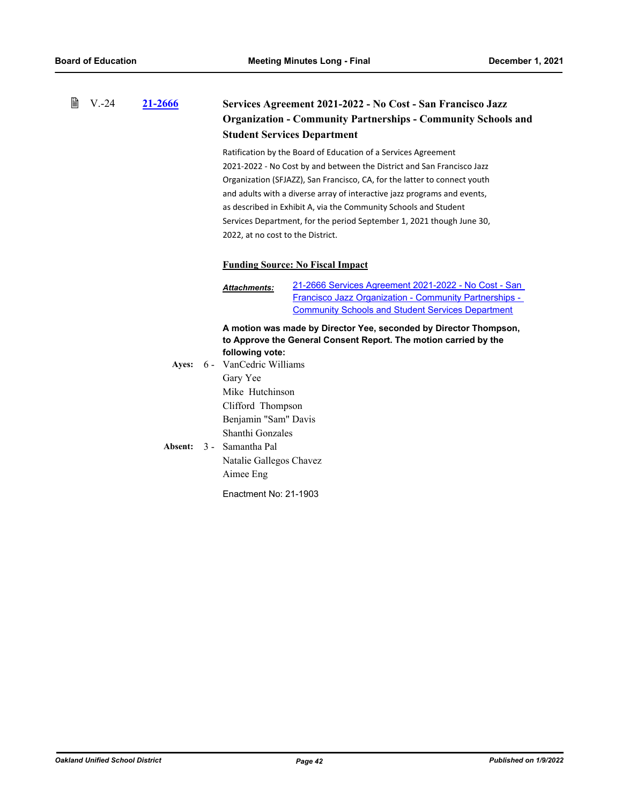#### 昏 V.-24 **[21-2666](http://ousd.legistar.com/gateway.aspx?m=l&id=/matter.aspx?key=53800) Services Agreement 2021-2022 - No Cost - San Francisco Jazz Organization - Community Partnerships - Community Schools and Student Services Department**

Ratification by the Board of Education of a Services Agreement 2021-2022 - No Cost by and between the District and San Francisco Jazz Organization (SFJAZZ), San Francisco, CA, for the latter to connect youth and adults with a diverse array of interactive jazz programs and events, as described in Exhibit A, via the Community Schools and Student Services Department, for the period September 1, 2021 though June 30, 2022, at no cost to the District.

### **Funding Source: No Fiscal Impact**

[21-2666 Services Agreement 2021-2022 - No Cost - San](http://ousd.legistar.com/gateway.aspx?M=F&ID=101472.pdf)  Francisco Jazz Organization - Community Partnerships - Community Schools and Student Services Department *Attachments:*

**A motion was made by Director Yee, seconded by Director Thompson, to Approve the General Consent Report. The motion carried by the following vote:**

Ayes: 6 - VanCedric Williams Gary Yee Mike Hutchinson Clifford Thompson Benjamin "Sam" Davis Shanthi Gonzales Absent: 3 - Samantha Pal Natalie Gallegos Chavez Aimee Eng

Enactment No: 21-1903

*Oakland Unified School District Page 42 Published on 1/9/2022*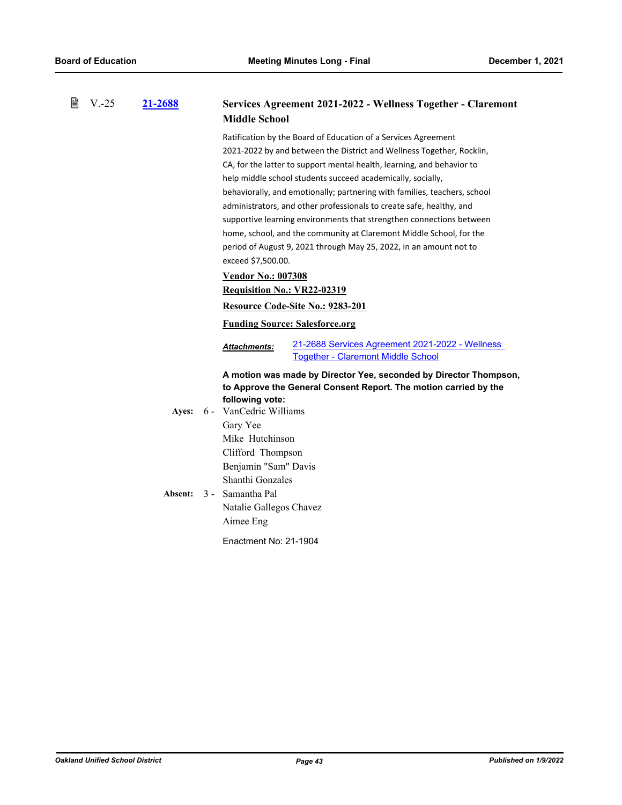| 窅 | $V.-25$ | 21-2688 | Services Agreement 2021-2022 - Wellness Together - Claremont<br><b>Middle School</b>                                                  |
|---|---------|---------|---------------------------------------------------------------------------------------------------------------------------------------|
|   |         |         | Ratification by the Board of Education of a Services Agreement                                                                        |
|   |         |         | 2021-2022 by and between the District and Wellness Together, Rocklin,                                                                 |
|   |         |         | CA, for the latter to support mental health, learning, and behavior to                                                                |
|   |         |         | help middle school students succeed academically, socially,                                                                           |
|   |         |         | behaviorally, and emotionally; partnering with families, teachers, school                                                             |
|   |         |         | administrators, and other professionals to create safe, healthy, and                                                                  |
|   |         |         | supportive learning environments that strengthen connections between                                                                  |
|   |         |         | home, school, and the community at Claremont Middle School, for the                                                                   |
|   |         |         | period of August 9, 2021 through May 25, 2022, in an amount not to                                                                    |
|   |         |         | exceed \$7,500.00.                                                                                                                    |
|   |         |         | <b>Vendor No.: 007308</b>                                                                                                             |
|   |         |         | <b>Requisition No.: VR22-02319</b>                                                                                                    |
|   |         |         | Resource Code-Site No.: 9283-201                                                                                                      |
|   |         |         | <b>Funding Source: Salesforce.org</b>                                                                                                 |
|   |         |         | 21-2688 Services Agreement 2021-2022 - Wellness<br><b>Attachments:</b><br>Together - Claremont Middle School                          |
|   |         |         | A motion was made by Director Yee, seconded by Director Thompson,<br>to Approve the General Consent Report. The motion carried by the |
|   |         |         | following vote:                                                                                                                       |
|   |         | Ayes:   | 6 - VanCedric Williams                                                                                                                |
|   |         |         | Gary Yee                                                                                                                              |
|   |         |         | Mike Hutchinson                                                                                                                       |
|   |         |         | Clifford Thompson                                                                                                                     |
|   |         |         | Benjamin "Sam" Davis                                                                                                                  |
|   |         |         | Shanthi Gonzales                                                                                                                      |
|   |         | Absent: | 3 - Samantha Pal                                                                                                                      |
|   |         |         | Natalie Gallegos Chavez                                                                                                               |
|   |         |         | Aimee Eng                                                                                                                             |
|   |         |         | Enactment No: 21-1904                                                                                                                 |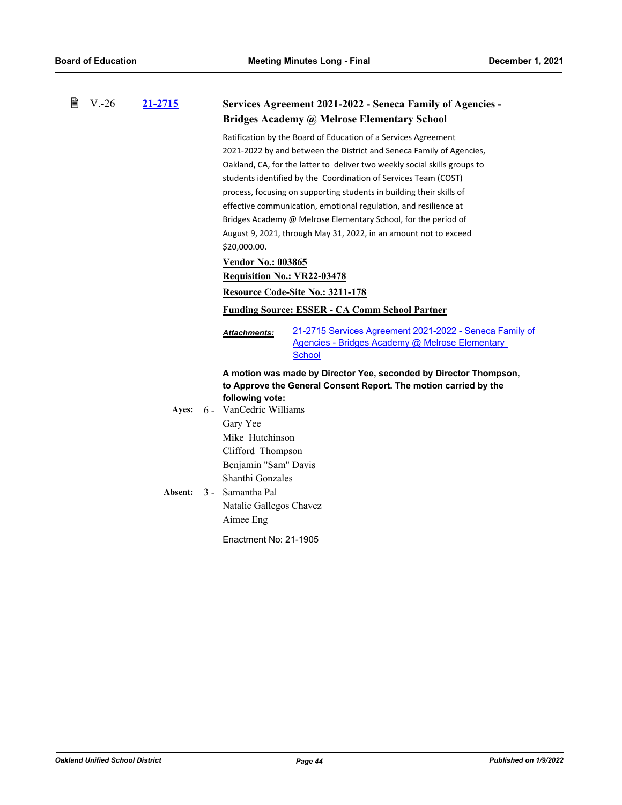| 閆 | $V.-26$ | 21-2715 | Services Agreement 2021-2022 - Seneca Family of Agencies -<br>Bridges Academy @ Melrose Elementary School                                   |  |  |
|---|---------|---------|---------------------------------------------------------------------------------------------------------------------------------------------|--|--|
|   |         |         | Ratification by the Board of Education of a Services Agreement                                                                              |  |  |
|   |         |         | 2021-2022 by and between the District and Seneca Family of Agencies,                                                                        |  |  |
|   |         |         | Oakland, CA, for the latter to deliver two weekly social skills groups to                                                                   |  |  |
|   |         |         | students identified by the Coordination of Services Team (COST)                                                                             |  |  |
|   |         |         |                                                                                                                                             |  |  |
|   |         |         | process, focusing on supporting students in building their skills of                                                                        |  |  |
|   |         |         | effective communication, emotional regulation, and resilience at                                                                            |  |  |
|   |         |         | Bridges Academy @ Melrose Elementary School, for the period of                                                                              |  |  |
|   |         |         | August 9, 2021, through May 31, 2022, in an amount not to exceed                                                                            |  |  |
|   |         |         | \$20,000.00.                                                                                                                                |  |  |
|   |         |         | <b>Vendor No.: 003865</b>                                                                                                                   |  |  |
|   |         |         | <b>Requisition No.: VR22-03478</b>                                                                                                          |  |  |
|   |         |         | Resource Code-Site No.: 3211-178                                                                                                            |  |  |
|   |         |         | <b>Funding Source: ESSER - CA Comm School Partner</b>                                                                                       |  |  |
|   |         |         | 21-2715 Services Agreement 2021-2022 - Seneca Family of<br><b>Attachments:</b><br>Agencies - Bridges Academy @ Melrose Elementary<br>School |  |  |
|   |         |         |                                                                                                                                             |  |  |
|   |         |         | A motion was made by Director Yee, seconded by Director Thompson,<br>to Approve the General Consent Report. The motion carried by the       |  |  |
|   |         |         | following vote:                                                                                                                             |  |  |
|   |         | Ayes:   | 6 - VanCedric Williams                                                                                                                      |  |  |
|   |         |         | Gary Yee                                                                                                                                    |  |  |
|   |         |         | Mike Hutchinson                                                                                                                             |  |  |
|   |         |         | Clifford Thompson                                                                                                                           |  |  |
|   |         |         | Benjamin "Sam" Davis                                                                                                                        |  |  |
|   |         |         | Shanthi Gonzales                                                                                                                            |  |  |
|   |         | Absent: | 3 - Samantha Pal                                                                                                                            |  |  |
|   |         |         | Natalie Gallegos Chavez                                                                                                                     |  |  |
|   |         |         | Aimee Eng                                                                                                                                   |  |  |
|   |         |         |                                                                                                                                             |  |  |
|   |         |         | Enactment No: 21-1905                                                                                                                       |  |  |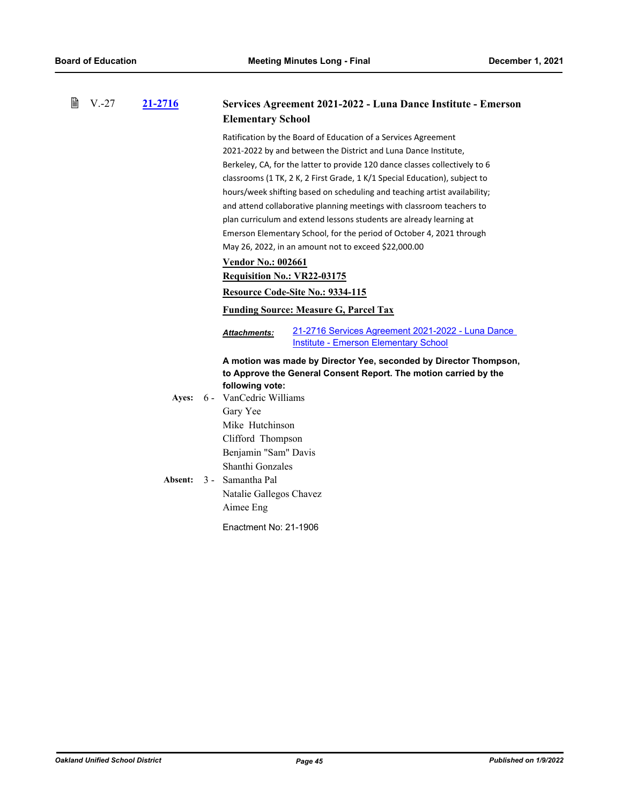| 閶<br>$V - 27$ | 21-2716          |                                                                                                                                                                                                                                                                                                                                                                                                                                                                                                                                                                                                                                                                                                                                                                    | Services Agreement 2021-2022 - Luna Dance Institute - Emerson<br><b>Elementary School</b>                                             |  |  |
|---------------|------------------|--------------------------------------------------------------------------------------------------------------------------------------------------------------------------------------------------------------------------------------------------------------------------------------------------------------------------------------------------------------------------------------------------------------------------------------------------------------------------------------------------------------------------------------------------------------------------------------------------------------------------------------------------------------------------------------------------------------------------------------------------------------------|---------------------------------------------------------------------------------------------------------------------------------------|--|--|
|               |                  | Ratification by the Board of Education of a Services Agreement<br>2021-2022 by and between the District and Luna Dance Institute,<br>Berkeley, CA, for the latter to provide 120 dance classes collectively to 6<br>classrooms (1 TK, 2 K, 2 First Grade, 1 K/1 Special Education), subject to<br>hours/week shifting based on scheduling and teaching artist availability;<br>and attend collaborative planning meetings with classroom teachers to<br>plan curriculum and extend lessons students are already learning at<br>Emerson Elementary School, for the period of October 4, 2021 through<br>May 26, 2022, in an amount not to exceed \$22,000.00<br><b>Vendor No.: 002661</b><br><b>Requisition No.: VR22-03175</b><br>Resource Code-Site No.: 9334-115 |                                                                                                                                       |  |  |
|               |                  |                                                                                                                                                                                                                                                                                                                                                                                                                                                                                                                                                                                                                                                                                                                                                                    | <b>Funding Source: Measure G, Parcel Tax</b>                                                                                          |  |  |
|               |                  | 21-2716 Services Agreement 2021-2022 - Luna Dance<br><b>Attachments:</b><br><b>Institute - Emerson Elementary School</b>                                                                                                                                                                                                                                                                                                                                                                                                                                                                                                                                                                                                                                           |                                                                                                                                       |  |  |
|               | Ayes:<br>Absent: | following vote:<br>6 - VanCedric Williams<br>Gary Yee<br>Mike Hutchinson<br>Clifford Thompson<br>Benjamin "Sam" Davis<br>Shanthi Gonzales<br>3 - Samantha Pal<br>Natalie Gallegos Chavez<br>Aimee Eng<br>Enactment No: 21-1906                                                                                                                                                                                                                                                                                                                                                                                                                                                                                                                                     | A motion was made by Director Yee, seconded by Director Thompson,<br>to Approve the General Consent Report. The motion carried by the |  |  |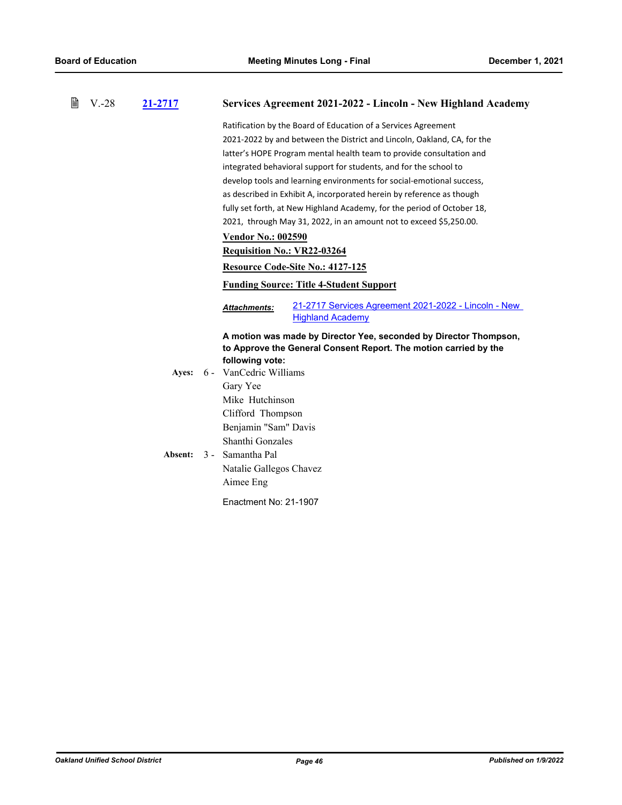| 誾 | $V.-28$ | 21-2717 | Services Agreement 2021-2022 - Lincoln - New Highland Academy                                                                         |
|---|---------|---------|---------------------------------------------------------------------------------------------------------------------------------------|
|   |         |         | Ratification by the Board of Education of a Services Agreement                                                                        |
|   |         |         | 2021-2022 by and between the District and Lincoln, Oakland, CA, for the                                                               |
|   |         |         | latter's HOPE Program mental health team to provide consultation and                                                                  |
|   |         |         | integrated behavioral support for students, and for the school to                                                                     |
|   |         |         | develop tools and learning environments for social-emotional success,                                                                 |
|   |         |         | as described in Exhibit A, incorporated herein by reference as though                                                                 |
|   |         |         | fully set forth, at New Highland Academy, for the period of October 18,                                                               |
|   |         |         | 2021, through May 31, 2022, in an amount not to exceed \$5,250.00.                                                                    |
|   |         |         | <b>Vendor No.: 002590</b>                                                                                                             |
|   |         |         | <b>Requisition No.: VR22-03264</b>                                                                                                    |
|   |         |         | Resource Code-Site No.: 4127-125                                                                                                      |
|   |         |         | <b>Funding Source: Title 4-Student Support</b>                                                                                        |
|   |         |         | 21-2717 Services Agreement 2021-2022 - Lincoln - New<br><b>Attachments:</b><br><b>Highland Academy</b>                                |
|   |         |         | A motion was made by Director Yee, seconded by Director Thompson,<br>to Approve the General Consent Report. The motion carried by the |
|   |         |         | following vote:                                                                                                                       |
|   |         | Ayes:   | 6 - VanCedric Williams                                                                                                                |
|   |         |         | Gary Yee                                                                                                                              |
|   |         |         | Mike Hutchinson                                                                                                                       |
|   |         |         | Clifford Thompson                                                                                                                     |
|   |         |         | Benjamin "Sam" Davis                                                                                                                  |
|   |         |         | Shanthi Gonzales                                                                                                                      |
|   |         | Absent: | 3 - Samantha Pal                                                                                                                      |
|   |         |         | Natalie Gallegos Chavez                                                                                                               |
|   |         |         | Aimee Eng                                                                                                                             |
|   |         |         | Enactment No: 21-1907                                                                                                                 |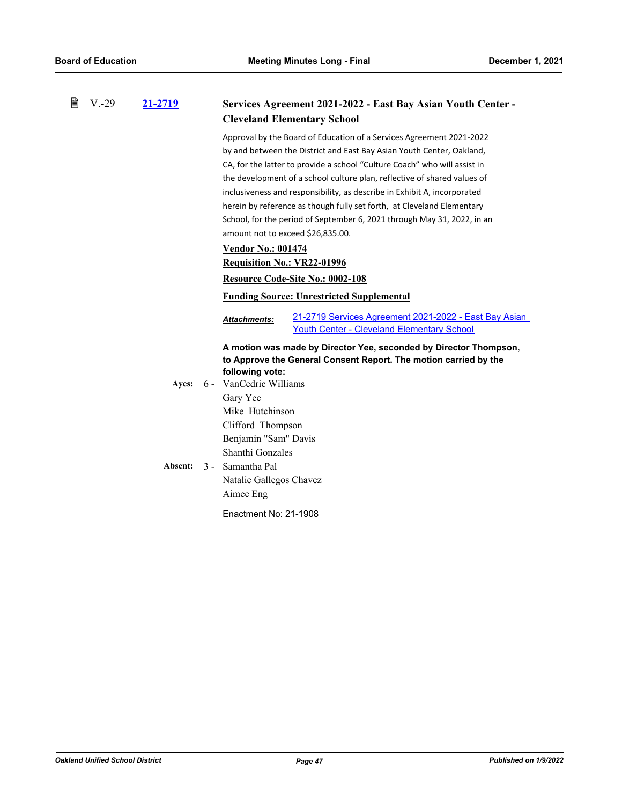| 閶<br>$V - 29$ | 21-2719 |                                                                                                                        | Services Agreement 2021-2022 - East Bay Asian Youth Center -<br><b>Cleveland Elementary School</b>                                                                                                                                                                                                                                                                                                                                                                                                                                                                           |  |  |
|---------------|---------|------------------------------------------------------------------------------------------------------------------------|------------------------------------------------------------------------------------------------------------------------------------------------------------------------------------------------------------------------------------------------------------------------------------------------------------------------------------------------------------------------------------------------------------------------------------------------------------------------------------------------------------------------------------------------------------------------------|--|--|
|               |         |                                                                                                                        | Approval by the Board of Education of a Services Agreement 2021-2022<br>by and between the District and East Bay Asian Youth Center, Oakland,<br>CA, for the latter to provide a school "Culture Coach" who will assist in<br>the development of a school culture plan, reflective of shared values of<br>inclusiveness and responsibility, as describe in Exhibit A, incorporated<br>herein by reference as though fully set forth, at Cleveland Elementary<br>School, for the period of September 6, 2021 through May 31, 2022, in an<br>amount not to exceed \$26,835.00. |  |  |
|               |         | <b>Vendor No.: 001474</b>                                                                                              |                                                                                                                                                                                                                                                                                                                                                                                                                                                                                                                                                                              |  |  |
|               |         |                                                                                                                        | <b>Requisition No.: VR22-01996</b>                                                                                                                                                                                                                                                                                                                                                                                                                                                                                                                                           |  |  |
|               |         |                                                                                                                        | Resource Code-Site No.: 0002-108                                                                                                                                                                                                                                                                                                                                                                                                                                                                                                                                             |  |  |
|               |         |                                                                                                                        | <b>Funding Source: Unrestricted Supplemental</b>                                                                                                                                                                                                                                                                                                                                                                                                                                                                                                                             |  |  |
|               |         | <b>Attachments:</b>                                                                                                    | 21-2719 Services Agreement 2021-2022 - East Bay Asian<br><b>Youth Center - Cleveland Elementary School</b>                                                                                                                                                                                                                                                                                                                                                                                                                                                                   |  |  |
|               |         | following vote:                                                                                                        | A motion was made by Director Yee, seconded by Director Thompson,<br>to Approve the General Consent Report. The motion carried by the                                                                                                                                                                                                                                                                                                                                                                                                                                        |  |  |
|               | Ayes:   | 6 - VanCedric Williams<br>Gary Yee<br>Mike Hutchinson<br>Clifford Thompson<br>Benjamin "Sam" Davis<br>Shanthi Gonzales |                                                                                                                                                                                                                                                                                                                                                                                                                                                                                                                                                                              |  |  |
|               | Absent: | 3 - Samantha Pal<br>Natalie Gallegos Chavez<br>Aimee Eng<br>Enactment No: 21-1908                                      |                                                                                                                                                                                                                                                                                                                                                                                                                                                                                                                                                                              |  |  |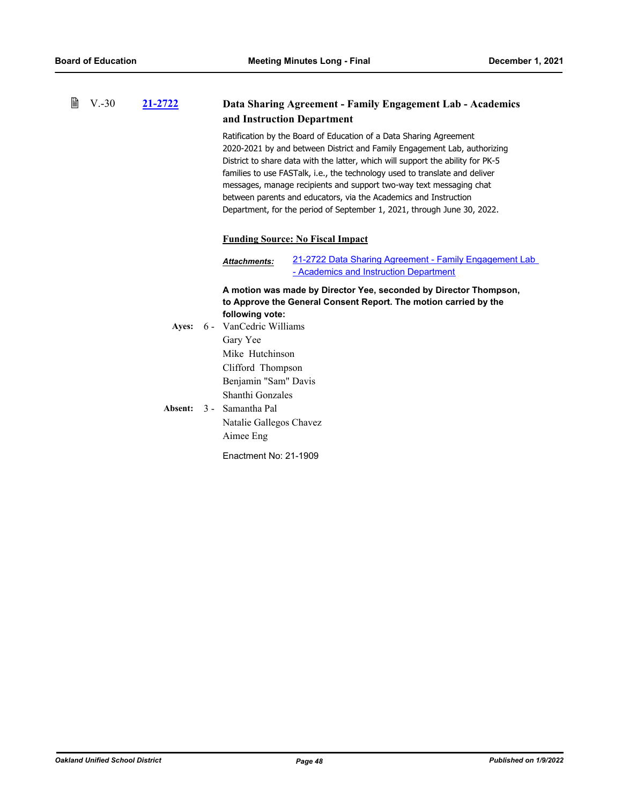#### 昏 V.-30 **[21-2722](http://ousd.legistar.com/gateway.aspx?m=l&id=/matter.aspx?key=53856) Data Sharing Agreement - Family Engagement Lab - Academics and Instruction Department**

Ratification by the Board of Education of a Data Sharing Agreement 2020-2021 by and between District and Family Engagement Lab, authorizing District to share data with the latter, which will support the ability for PK-5 families to use FASTalk, i.e., the technology used to translate and deliver messages, manage recipients and support two-way text messaging chat between parents and educators, via the Academics and Instruction Department, for the period of September 1, 2021, through June 30, 2022.

## **Funding Source: No Fiscal Impact**

[21-2722 Data Sharing Agreement - Family Engagement Lab](http://ousd.legistar.com/gateway.aspx?M=F&ID=101473.pdf)  - Academics and Instruction Department *Attachments:*

**A motion was made by Director Yee, seconded by Director Thompson, to Approve the General Consent Report. The motion carried by the following vote:**

Ayes: 6 - VanCedric Williams Gary Yee Mike Hutchinson Clifford Thompson Benjamin "Sam" Davis Shanthi Gonzales Absent: 3 - Samantha Pal Natalie Gallegos Chavez Aimee Eng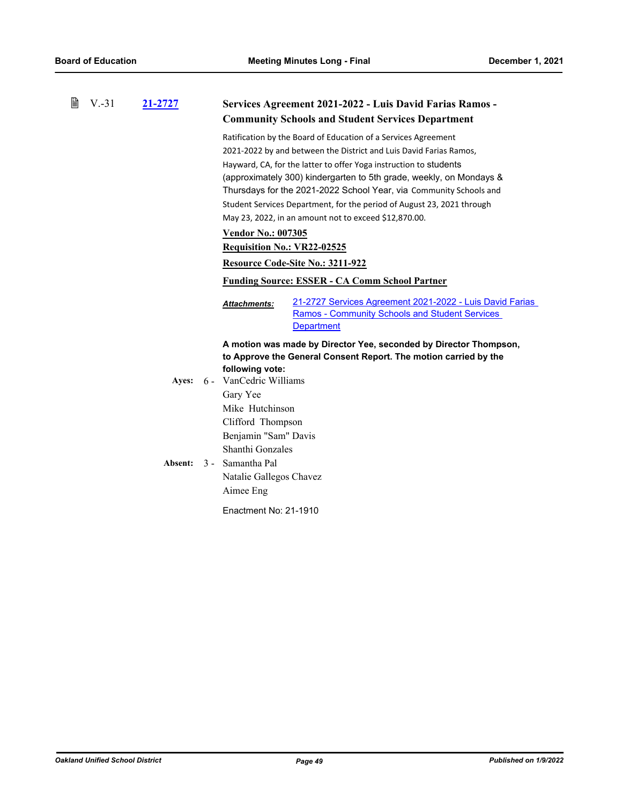| 閆 | $V.-31$ | <u>21-2727</u> |                           | Services Agreement 2021-2022 - Luis David Farias Ramos -                   |  |  |
|---|---------|----------------|---------------------------|----------------------------------------------------------------------------|--|--|
|   |         |                |                           | <b>Community Schools and Student Services Department</b>                   |  |  |
|   |         |                |                           | Ratification by the Board of Education of a Services Agreement             |  |  |
|   |         |                |                           | 2021-2022 by and between the District and Luis David Farias Ramos,         |  |  |
|   |         |                |                           | Hayward, CA, for the latter to offer Yoga instruction to students          |  |  |
|   |         |                |                           | (approximately 300) kindergarten to 5th grade, weekly, on Mondays &        |  |  |
|   |         |                |                           | Thursdays for the 2021-2022 School Year, via Community Schools and         |  |  |
|   |         |                |                           | Student Services Department, for the period of August 23, 2021 through     |  |  |
|   |         |                |                           | May 23, 2022, in an amount not to exceed \$12,870.00.                      |  |  |
|   |         |                | <u>Vendor No.: 007305</u> |                                                                            |  |  |
|   |         |                |                           | <b>Requisition No.: VR22-02525</b>                                         |  |  |
|   |         |                |                           | Resource Code-Site No.: 3211-922                                           |  |  |
|   |         |                |                           | <b>Funding Source: ESSER - CA Comm School Partner</b>                      |  |  |
|   |         |                | Attachments:              | 21-2727 Services Agreement 2021-2022 - Luis David Farias                   |  |  |
|   |         |                |                           | <b>Ramos - Community Schools and Student Services</b><br><b>Department</b> |  |  |
|   |         |                |                           | A motion was made by Director Yee, seconded by Director Thompson,          |  |  |
|   |         |                |                           | to Approve the General Consent Report. The motion carried by the           |  |  |
|   |         |                | following vote:           |                                                                            |  |  |
|   |         | Ayes:          | 6 - VanCedric Williams    |                                                                            |  |  |
|   |         |                | Gary Yee                  |                                                                            |  |  |
|   |         |                | Mike Hutchinson           |                                                                            |  |  |
|   |         |                | Clifford Thompson         |                                                                            |  |  |
|   |         |                | Benjamin "Sam" Davis      |                                                                            |  |  |
|   |         |                | Shanthi Gonzales          |                                                                            |  |  |
|   |         | Absent:        | 3 - Samantha Pal          |                                                                            |  |  |
|   |         |                | Natalie Gallegos Chavez   |                                                                            |  |  |
|   |         |                | Aimee Eng                 |                                                                            |  |  |
|   |         |                | Enactment No: 21-1910     |                                                                            |  |  |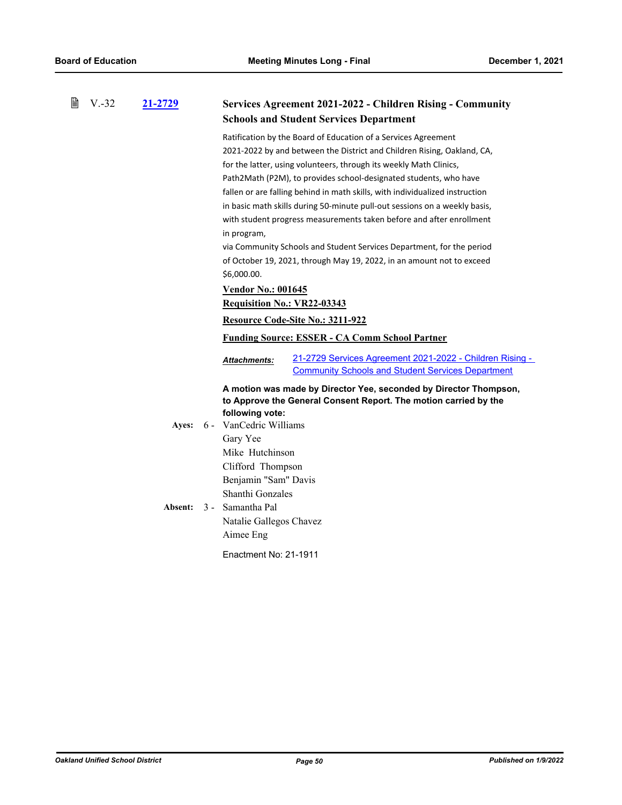| 窅 | $V - 32$ | 21-2729 | Services Agreement 2021-2022 - Children Rising - Community                                                                                                                                                                                                                                                                                                                                                                                                                                                                                                                                                                                                                                                 |
|---|----------|---------|------------------------------------------------------------------------------------------------------------------------------------------------------------------------------------------------------------------------------------------------------------------------------------------------------------------------------------------------------------------------------------------------------------------------------------------------------------------------------------------------------------------------------------------------------------------------------------------------------------------------------------------------------------------------------------------------------------|
|   |          |         | <b>Schools and Student Services Department</b>                                                                                                                                                                                                                                                                                                                                                                                                                                                                                                                                                                                                                                                             |
|   |          |         | Ratification by the Board of Education of a Services Agreement<br>2021-2022 by and between the District and Children Rising, Oakland, CA,<br>for the latter, using volunteers, through its weekly Math Clinics,<br>Path2Math (P2M), to provides school-designated students, who have<br>fallen or are falling behind in math skills, with individualized instruction<br>in basic math skills during 50-minute pull-out sessions on a weekly basis,<br>with student progress measurements taken before and after enrollment<br>in program,<br>via Community Schools and Student Services Department, for the period<br>of October 19, 2021, through May 19, 2022, in an amount not to exceed<br>\$6,000.00. |
|   |          |         | <b>Vendor No.: 001645</b>                                                                                                                                                                                                                                                                                                                                                                                                                                                                                                                                                                                                                                                                                  |
|   |          |         | <b>Requisition No.: VR22-03343</b>                                                                                                                                                                                                                                                                                                                                                                                                                                                                                                                                                                                                                                                                         |
|   |          |         | Resource Code-Site No.: 3211-922                                                                                                                                                                                                                                                                                                                                                                                                                                                                                                                                                                                                                                                                           |
|   |          |         | <b>Funding Source: ESSER - CA Comm School Partner</b>                                                                                                                                                                                                                                                                                                                                                                                                                                                                                                                                                                                                                                                      |
|   |          |         | 21-2729 Services Agreement 2021-2022 - Children Rising -<br><b>Attachments:</b><br><b>Community Schools and Student Services Department</b>                                                                                                                                                                                                                                                                                                                                                                                                                                                                                                                                                                |
|   |          |         | A motion was made by Director Yee, seconded by Director Thompson,<br>to Approve the General Consent Report. The motion carried by the<br>following vote:                                                                                                                                                                                                                                                                                                                                                                                                                                                                                                                                                   |
|   |          | Ayes:   | 6 - VanCedric Williams<br>Gary Yee                                                                                                                                                                                                                                                                                                                                                                                                                                                                                                                                                                                                                                                                         |
|   |          |         | Mike Hutchinson                                                                                                                                                                                                                                                                                                                                                                                                                                                                                                                                                                                                                                                                                            |
|   |          |         | Clifford Thompson                                                                                                                                                                                                                                                                                                                                                                                                                                                                                                                                                                                                                                                                                          |
|   |          |         | Benjamin "Sam" Davis                                                                                                                                                                                                                                                                                                                                                                                                                                                                                                                                                                                                                                                                                       |
|   |          | Absent: | Shanthi Gonzales<br>3 - Samantha Pal                                                                                                                                                                                                                                                                                                                                                                                                                                                                                                                                                                                                                                                                       |
|   |          |         | Natalie Gallegos Chavez<br>Aimee Eng                                                                                                                                                                                                                                                                                                                                                                                                                                                                                                                                                                                                                                                                       |
|   |          |         | Enactment No: 21-1911                                                                                                                                                                                                                                                                                                                                                                                                                                                                                                                                                                                                                                                                                      |
|   |          |         |                                                                                                                                                                                                                                                                                                                                                                                                                                                                                                                                                                                                                                                                                                            |
|   |          |         |                                                                                                                                                                                                                                                                                                                                                                                                                                                                                                                                                                                                                                                                                                            |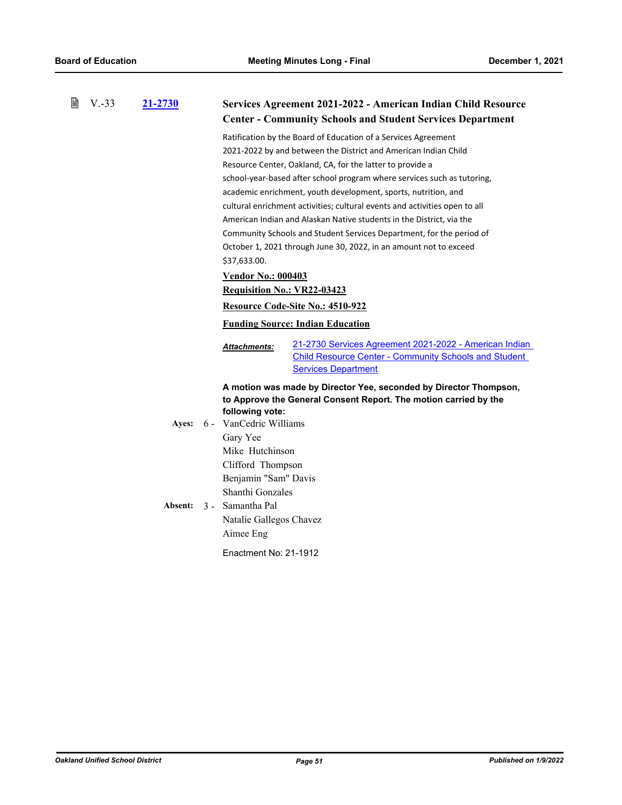| 閶 | $V - 33$ | 21-2730                 |                                                                                                                                                                                                                                | Services Agreement 2021-2022 - American Indian Child Resource                                                                                        |
|---|----------|-------------------------|--------------------------------------------------------------------------------------------------------------------------------------------------------------------------------------------------------------------------------|------------------------------------------------------------------------------------------------------------------------------------------------------|
|   |          |                         |                                                                                                                                                                                                                                | <b>Center - Community Schools and Student Services Department</b>                                                                                    |
|   |          |                         |                                                                                                                                                                                                                                | Ratification by the Board of Education of a Services Agreement                                                                                       |
|   |          |                         |                                                                                                                                                                                                                                | 2021-2022 by and between the District and American Indian Child                                                                                      |
|   |          |                         |                                                                                                                                                                                                                                | Resource Center, Oakland, CA, for the latter to provide a                                                                                            |
|   |          |                         |                                                                                                                                                                                                                                | school-year-based after school program where services such as tutoring,                                                                              |
|   |          |                         |                                                                                                                                                                                                                                | academic enrichment, youth development, sports, nutrition, and                                                                                       |
|   |          |                         |                                                                                                                                                                                                                                | cultural enrichment activities; cultural events and activities open to all                                                                           |
|   |          |                         |                                                                                                                                                                                                                                | American Indian and Alaskan Native students in the District, via the                                                                                 |
|   |          |                         |                                                                                                                                                                                                                                | Community Schools and Student Services Department, for the period of                                                                                 |
|   |          |                         |                                                                                                                                                                                                                                | October 1, 2021 through June 30, 2022, in an amount not to exceed                                                                                    |
|   |          |                         | \$37,633.00.                                                                                                                                                                                                                   |                                                                                                                                                      |
|   |          |                         | <b>Vendor No.: 000403</b>                                                                                                                                                                                                      |                                                                                                                                                      |
|   |          |                         |                                                                                                                                                                                                                                | <b>Requisition No.: VR22-03423</b>                                                                                                                   |
|   |          |                         |                                                                                                                                                                                                                                | Resource Code-Site No.: 4510-922                                                                                                                     |
|   |          |                         |                                                                                                                                                                                                                                | <b>Funding Source: Indian Education</b>                                                                                                              |
|   |          |                         | Attachments:                                                                                                                                                                                                                   | 21-2730 Services Agreement 2021-2022 - American Indian<br><b>Child Resource Center - Community Schools and Student</b><br><b>Services Department</b> |
|   |          | <b>Ayes:</b><br>Absent: | following vote:<br>6 - VanCedric Williams<br>Gary Yee<br>Mike Hutchinson<br>Clifford Thompson<br>Benjamin "Sam" Davis<br>Shanthi Gonzales<br>3 - Samantha Pal<br>Natalie Gallegos Chavez<br>Aimee Eng<br>Enactment No: 21-1912 | A motion was made by Director Yee, seconded by Director Thompson,<br>to Approve the General Consent Report. The motion carried by the                |
|   |          |                         |                                                                                                                                                                                                                                |                                                                                                                                                      |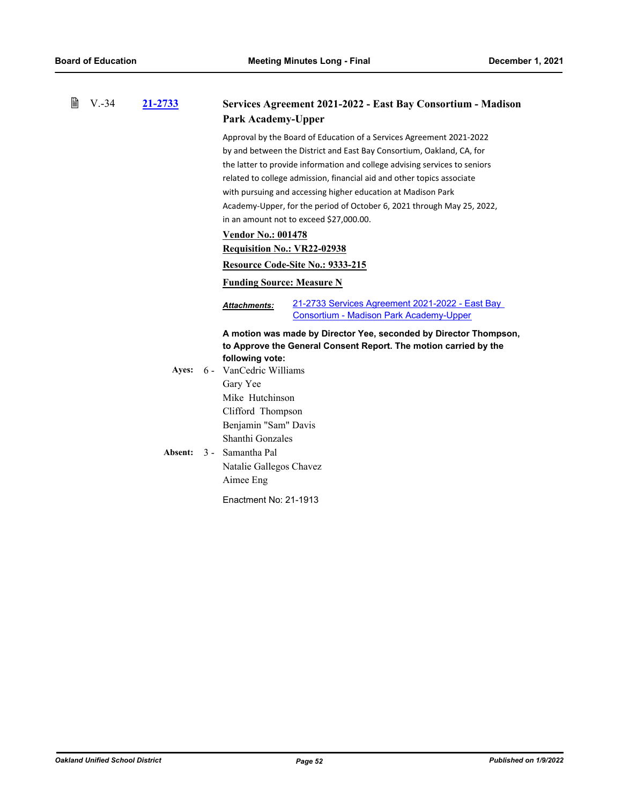| 閶 | $V.-34$ | 21-2733 | Services Agreement 2021-2022 - East Bay Consortium - Madison<br><b>Park Academy-Upper</b>                                                                                                                                                                                                                                                                                                                                                                                                                                                                     |
|---|---------|---------|---------------------------------------------------------------------------------------------------------------------------------------------------------------------------------------------------------------------------------------------------------------------------------------------------------------------------------------------------------------------------------------------------------------------------------------------------------------------------------------------------------------------------------------------------------------|
|   |         |         | Approval by the Board of Education of a Services Agreement 2021-2022<br>by and between the District and East Bay Consortium, Oakland, CA, for<br>the latter to provide information and college advising services to seniors<br>related to college admission, financial aid and other topics associate<br>with pursuing and accessing higher education at Madison Park<br>Academy-Upper, for the period of October 6, 2021 through May 25, 2022,<br>in an amount not to exceed \$27,000.00.<br><b>Vendor No.: 001478</b><br><b>Requisition No.: VR22-02938</b> |
|   |         |         | Resource Code-Site No.: 9333-215                                                                                                                                                                                                                                                                                                                                                                                                                                                                                                                              |
|   |         |         | <b>Funding Source: Measure N</b>                                                                                                                                                                                                                                                                                                                                                                                                                                                                                                                              |
|   |         |         | 21-2733 Services Agreement 2021-2022 - East Bay<br>Attachments:<br><b>Consortium - Madison Park Academy-Upper</b>                                                                                                                                                                                                                                                                                                                                                                                                                                             |
|   |         |         | A motion was made by Director Yee, seconded by Director Thompson,<br>to Approve the General Consent Report. The motion carried by the<br>following vote:                                                                                                                                                                                                                                                                                                                                                                                                      |
|   |         | Ayes:   | 6 - VanCedric Williams                                                                                                                                                                                                                                                                                                                                                                                                                                                                                                                                        |
|   |         | Absent: | Gary Yee<br>Mike Hutchinson<br>Clifford Thompson<br>Benjamin "Sam" Davis<br>Shanthi Gonzales<br>3 - Samantha Pal                                                                                                                                                                                                                                                                                                                                                                                                                                              |
|   |         |         | Natalie Gallegos Chavez                                                                                                                                                                                                                                                                                                                                                                                                                                                                                                                                       |
|   |         |         | Aimee Eng                                                                                                                                                                                                                                                                                                                                                                                                                                                                                                                                                     |
|   |         |         | Enactment No: 21-1913                                                                                                                                                                                                                                                                                                                                                                                                                                                                                                                                         |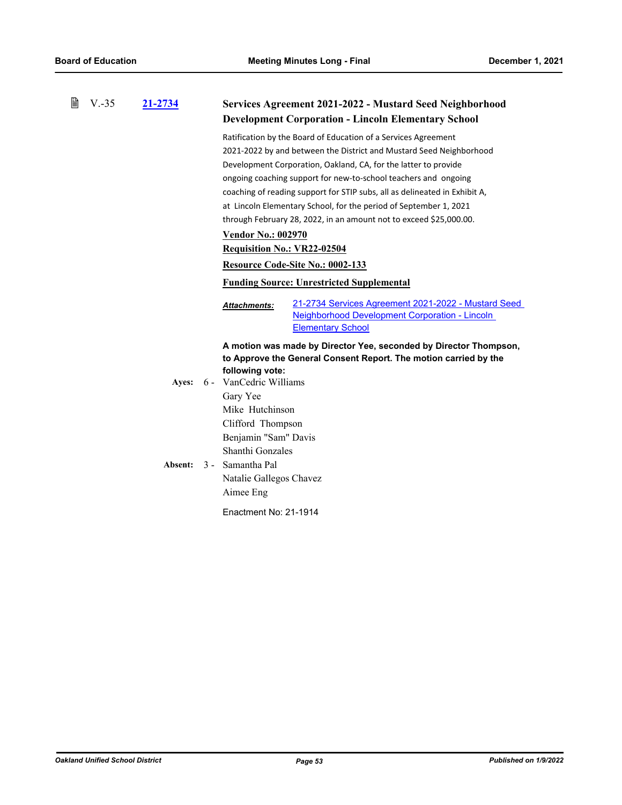| 閶 | $V.-35$ | 21-2734 |                                    | Services Agreement 2021-2022 - Mustard Seed Neighborhood<br><b>Development Corporation - Lincoln Elementary School</b>            |
|---|---------|---------|------------------------------------|-----------------------------------------------------------------------------------------------------------------------------------|
|   |         |         |                                    | Ratification by the Board of Education of a Services Agreement                                                                    |
|   |         |         |                                    | 2021-2022 by and between the District and Mustard Seed Neighborhood                                                               |
|   |         |         |                                    | Development Corporation, Oakland, CA, for the latter to provide                                                                   |
|   |         |         |                                    | ongoing coaching support for new-to-school teachers and ongoing                                                                   |
|   |         |         |                                    | coaching of reading support for STIP subs, all as delineated in Exhibit A,                                                        |
|   |         |         |                                    | at Lincoln Elementary School, for the period of September 1, 2021                                                                 |
|   |         |         |                                    | through February 28, 2022, in an amount not to exceed \$25,000.00.                                                                |
|   |         |         | <b>Vendor No.: 002970</b>          |                                                                                                                                   |
|   |         |         | <b>Requisition No.: VR22-02504</b> |                                                                                                                                   |
|   |         |         |                                    | Resource Code-Site No.: 0002-133                                                                                                  |
|   |         |         |                                    | <b>Funding Source: Unrestricted Supplemental</b>                                                                                  |
|   |         |         | <b>Attachments:</b>                | 21-2734 Services Agreement 2021-2022 - Mustard Seed<br>Neighborhood Development Corporation - Lincoln<br><b>Elementary School</b> |
|   |         |         |                                    | A motion was made by Director Yee, seconded by Director Thompson,                                                                 |
|   |         |         |                                    | to Approve the General Consent Report. The motion carried by the                                                                  |
|   |         |         | following vote:                    |                                                                                                                                   |
|   |         | Ayes:   | 6 - VanCedric Williams             |                                                                                                                                   |
|   |         |         | Gary Yee                           |                                                                                                                                   |
|   |         |         | Mike Hutchinson                    |                                                                                                                                   |
|   |         |         | Clifford Thompson                  |                                                                                                                                   |
|   |         |         | Benjamin "Sam" Davis               |                                                                                                                                   |
|   |         |         | Shanthi Gonzales                   |                                                                                                                                   |
|   |         | Absent: | 3 - Samantha Pal                   |                                                                                                                                   |
|   |         |         | Natalie Gallegos Chavez            |                                                                                                                                   |
|   |         |         | Aimee Eng                          |                                                                                                                                   |
|   |         |         | Enactment No: 21-1914              |                                                                                                                                   |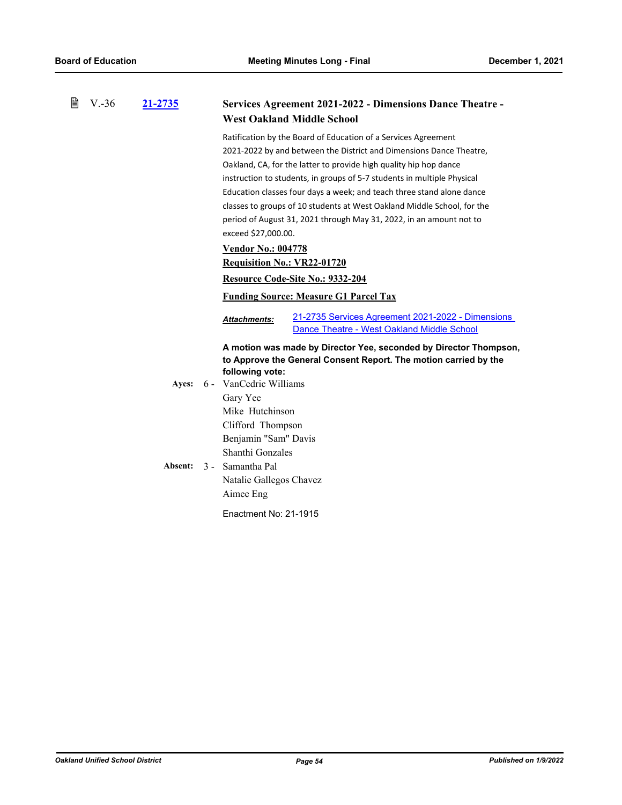| 閶 | $V - 36$ | 21-2735 |                                           | <b>Services Agreement 2021-2022 - Dimensions Dance Theatre -</b><br><b>West Oakland Middle School</b>                                 |
|---|----------|---------|-------------------------------------------|---------------------------------------------------------------------------------------------------------------------------------------|
|   |          |         |                                           | Ratification by the Board of Education of a Services Agreement                                                                        |
|   |          |         |                                           | 2021-2022 by and between the District and Dimensions Dance Theatre,                                                                   |
|   |          |         |                                           | Oakland, CA, for the latter to provide high quality hip hop dance                                                                     |
|   |          |         |                                           | instruction to students, in groups of 5-7 students in multiple Physical                                                               |
|   |          |         |                                           | Education classes four days a week; and teach three stand alone dance                                                                 |
|   |          |         |                                           | classes to groups of 10 students at West Oakland Middle School, for the                                                               |
|   |          |         |                                           | period of August 31, 2021 through May 31, 2022, in an amount not to                                                                   |
|   |          |         | exceed \$27,000.00.                       |                                                                                                                                       |
|   |          |         | <b>Vendor No.: 004778</b>                 |                                                                                                                                       |
|   |          |         | <b>Requisition No.: VR22-01720</b>        |                                                                                                                                       |
|   |          |         |                                           | Resource Code-Site No.: 9332-204                                                                                                      |
|   |          |         |                                           | <b>Funding Source: Measure G1 Parcel Tax</b>                                                                                          |
|   |          |         | <b>Attachments:</b>                       | 21-2735 Services Agreement 2021-2022 - Dimensions<br>Dance Theatre - West Oakland Middle School                                       |
|   |          |         |                                           | A motion was made by Director Yee, seconded by Director Thompson,<br>to Approve the General Consent Report. The motion carried by the |
|   |          | Ayes:   | following vote:<br>6 - VanCedric Williams |                                                                                                                                       |
|   |          |         |                                           |                                                                                                                                       |
|   |          |         | Gary Yee<br>Mike Hutchinson               |                                                                                                                                       |
|   |          |         | Clifford Thompson                         |                                                                                                                                       |
|   |          |         | Benjamin "Sam" Davis                      |                                                                                                                                       |
|   |          |         | Shanthi Gonzales                          |                                                                                                                                       |
|   |          | Absent: | 3 - Samantha Pal                          |                                                                                                                                       |
|   |          |         | Natalie Gallegos Chavez                   |                                                                                                                                       |
|   |          |         | Aimee Eng                                 |                                                                                                                                       |
|   |          |         |                                           |                                                                                                                                       |
|   |          |         | Enactment No: 21-1915                     |                                                                                                                                       |
|   |          |         |                                           |                                                                                                                                       |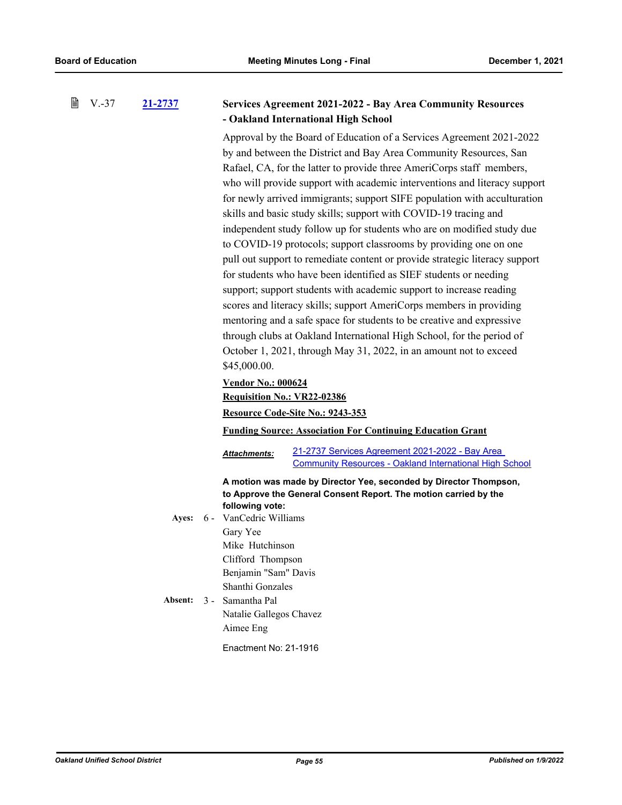#### 閶 V.-37 **[21-2737](http://ousd.legistar.com/gateway.aspx?m=l&id=/matter.aspx?key=53871) Services Agreement 2021-2022 - Bay Area Community Resources - Oakland International High School**

Approval by the Board of Education of a Services Agreement 2021-2022 by and between the District and Bay Area Community Resources, San Rafael, CA, for the latter to provide three AmeriCorps staff members, who will provide support with academic interventions and literacy support for newly arrived immigrants; support SIFE population with acculturation skills and basic study skills; support with COVID-19 tracing and independent study follow up for students who are on modified study due to COVID-19 protocols; support classrooms by providing one on one pull out support to remediate content or provide strategic literacy support for students who have been identified as SIEF students or needing support; support students with academic support to increase reading scores and literacy skills; support AmeriCorps members in providing mentoring and a safe space for students to be creative and expressive through clubs at Oakland International High School, for the period of October 1, 2021, through May 31, 2022, in an amount not to exceed \$45,000.00.

## **Vendor No.: 000624**

**Requisition No.: VR22-02386**

**Resource Code-Site No.: 9243-353**

## **Funding Source: Association For Continuing Education Grant**

21-2737 Services Agreement 2021-2022 - Bay Area [Community Resources - Oakland International High School](http://ousd.legistar.com/gateway.aspx?M=F&ID=101499.pdf) *Attachments:*

### **A motion was made by Director Yee, seconded by Director Thompson, to Approve the General Consent Report. The motion carried by the following vote:**

- Ayes: 6 VanCedric Williams Gary Yee Mike Hutchinson Clifford Thompson Benjamin "Sam" Davis Shanthi Gonzales
- **Absent:** Samantha Pal Natalie Gallegos Chavez Aimee Eng Absent:  $3 -$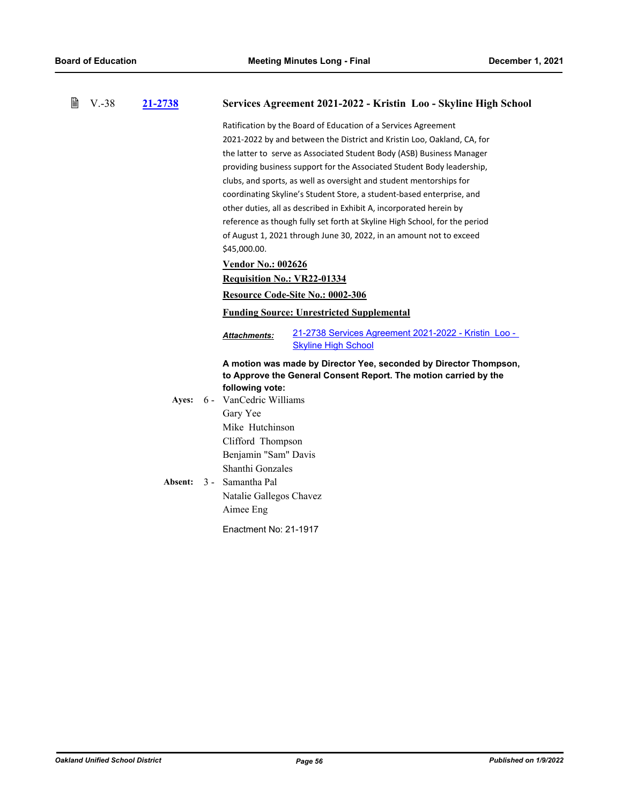| B<br>$V.-38$ | 21-2738 | Services Agreement 2021-2022 - Kristin Loo - Skyline High School           |
|--------------|---------|----------------------------------------------------------------------------|
|              |         | Ratification by the Board of Education of a Services Agreement             |
|              |         | 2021-2022 by and between the District and Kristin Loo, Oakland, CA, for    |
|              |         | the latter to serve as Associated Student Body (ASB) Business Manager      |
|              |         | providing business support for the Associated Student Body leadership,     |
|              |         | clubs, and sports, as well as oversight and student mentorships for        |
|              |         | coordinating Skyline's Student Store, a student-based enterprise, and      |
|              |         | other duties, all as described in Exhibit A, incorporated herein by        |
|              |         | reference as though fully set forth at Skyline High School, for the period |
|              |         | of August 1, 2021 through June 30, 2022, in an amount not to exceed        |
|              |         | \$45,000.00.                                                               |
|              |         | <b>Vendor No.: 002626</b>                                                  |
|              |         | <b>Requisition No.: VR22-01334</b>                                         |
|              |         | Resource Code-Site No.: 0002-306                                           |
|              |         | <b>Funding Source: Unrestricted Supplemental</b>                           |
|              |         | 21-2738 Services Agreement 2021-2022 - Kristin Loo -<br>Attachments:       |
|              |         | <b>Skyline High School</b>                                                 |
|              |         | A motion was made by Director Yee, seconded by Director Thompson,          |
|              |         | to Approve the General Consent Report. The motion carried by the           |
|              |         | following vote:                                                            |
|              | Ayes:   | 6 - VanCedric Williams                                                     |
|              |         | Gary Yee                                                                   |
|              |         | Mike Hutchinson                                                            |
|              |         | Clifford Thompson                                                          |
|              |         | Benjamin "Sam" Davis                                                       |
|              |         | Shanthi Gonzales                                                           |
|              | Absent: | 3 - Samantha Pal                                                           |
|              |         | Natalie Gallegos Chavez                                                    |
|              |         | Aimee Eng                                                                  |
|              |         | Enactment No: 21-1917                                                      |
|              |         |                                                                            |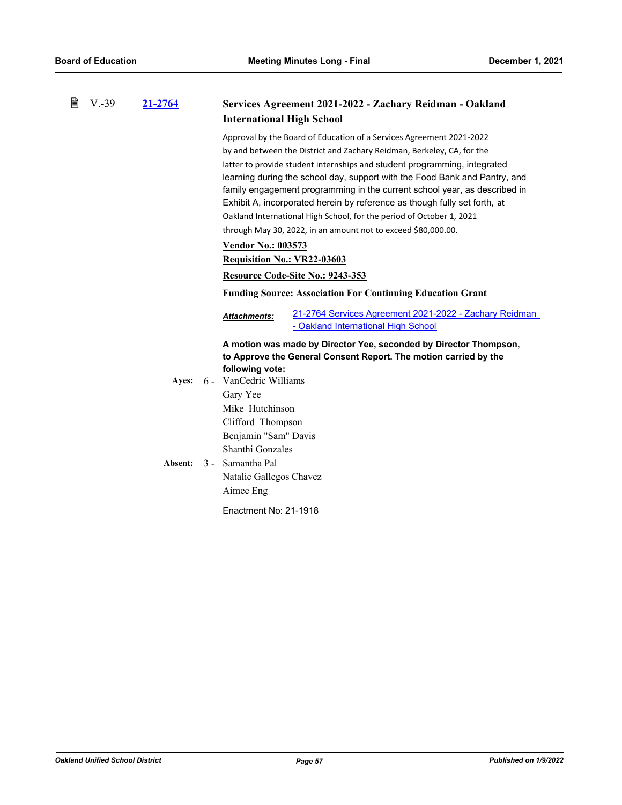| B | $V.-39$ | 21-2764 | Services Agreement 2021-2022 - Zachary Reidman - Oakland                                                             |
|---|---------|---------|----------------------------------------------------------------------------------------------------------------------|
|   |         |         | <b>International High School</b>                                                                                     |
|   |         |         | Approval by the Board of Education of a Services Agreement 2021-2022                                                 |
|   |         |         | by and between the District and Zachary Reidman, Berkeley, CA, for the                                               |
|   |         |         | latter to provide student internships and student programming, integrated                                            |
|   |         |         | learning during the school day, support with the Food Bank and Pantry, and                                           |
|   |         |         | family engagement programming in the current school year, as described in                                            |
|   |         |         | Exhibit A, incorporated herein by reference as though fully set forth, at                                            |
|   |         |         | Oakland International High School, for the period of October 1, 2021                                                 |
|   |         |         | through May 30, 2022, in an amount not to exceed \$80,000.00.                                                        |
|   |         |         | <b>Vendor No.: 003573</b>                                                                                            |
|   |         |         | Requisition No.: VR22-03603                                                                                          |
|   |         |         | Resource Code-Site No.: 9243-353                                                                                     |
|   |         |         | <b>Funding Source: Association For Continuing Education Grant</b>                                                    |
|   |         |         | 21-2764 Services Agreement 2021-2022 - Zachary Reidman<br><b>Attachments:</b><br>- Oakland International High School |
|   |         |         | A motion was made by Director Yee, seconded by Director Thompson,                                                    |
|   |         |         | to Approve the General Consent Report. The motion carried by the                                                     |
|   |         |         | following vote:                                                                                                      |
|   |         |         | Ayes: 6 - VanCedric Williams                                                                                         |
|   |         |         | Gary Yee                                                                                                             |
|   |         |         | Mike Hutchinson                                                                                                      |
|   |         |         | Clifford Thompson                                                                                                    |
|   |         |         | Benjamin "Sam" Davis                                                                                                 |
|   |         |         | Shanthi Gonzales                                                                                                     |
|   |         | Absent: | 3 - Samantha Pal                                                                                                     |
|   |         |         | Natalie Gallegos Chavez                                                                                              |
|   |         |         | Aimee Eng                                                                                                            |
|   |         |         | Enactment No: 21-1918                                                                                                |
|   |         |         |                                                                                                                      |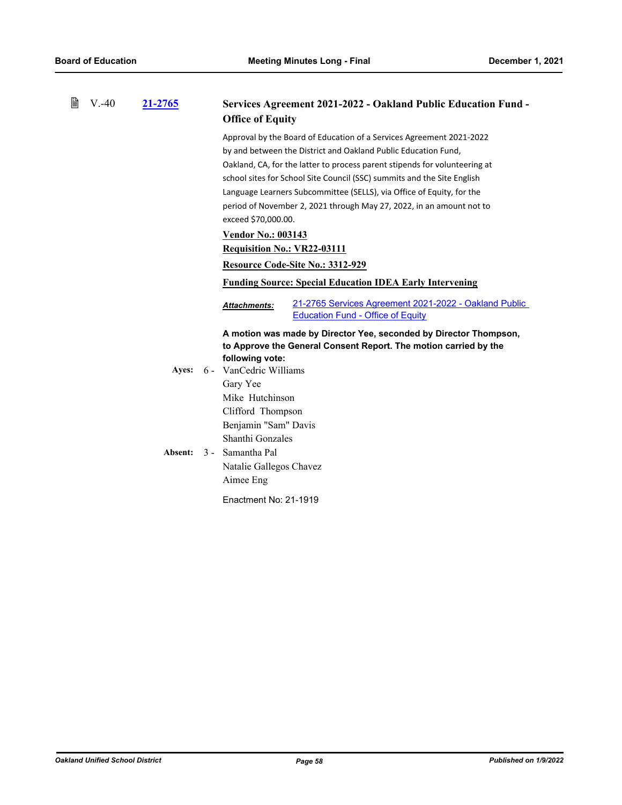| B | $V. -40$ | 21-2765 | <b>Services Agreement 2021-2022 - Oakland Public Education Fund -</b><br><b>Office of Equity</b>                                                                                                                                                                                                                                                                                                                                                                        |
|---|----------|---------|-------------------------------------------------------------------------------------------------------------------------------------------------------------------------------------------------------------------------------------------------------------------------------------------------------------------------------------------------------------------------------------------------------------------------------------------------------------------------|
|   |          |         | Approval by the Board of Education of a Services Agreement 2021-2022<br>by and between the District and Oakland Public Education Fund,<br>Oakland, CA, for the latter to process parent stipends for volunteering at<br>school sites for School Site Council (SSC) summits and the Site English<br>Language Learners Subcommittee (SELLS), via Office of Equity, for the<br>period of November 2, 2021 through May 27, 2022, in an amount not to<br>exceed \$70,000.00. |
|   |          |         | <b>Vendor No.: 003143</b><br><b>Requisition No.: VR22-03111</b>                                                                                                                                                                                                                                                                                                                                                                                                         |
|   |          |         | Resource Code-Site No.: 3312-929                                                                                                                                                                                                                                                                                                                                                                                                                                        |
|   |          |         | <b>Funding Source: Special Education IDEA Early Intervening</b>                                                                                                                                                                                                                                                                                                                                                                                                         |
|   |          |         | 21-2765 Services Agreement 2021-2022 - Oakland Public<br>Attachments:<br><b>Education Fund - Office of Equity</b>                                                                                                                                                                                                                                                                                                                                                       |
|   |          |         | A motion was made by Director Yee, seconded by Director Thompson,<br>to Approve the General Consent Report. The motion carried by the                                                                                                                                                                                                                                                                                                                                   |
|   |          | Ayes:   | following vote:<br>6 - VanCedric Williams<br>Gary Yee                                                                                                                                                                                                                                                                                                                                                                                                                   |
|   |          | Absent: | Mike Hutchinson<br>Clifford Thompson<br>Benjamin "Sam" Davis<br>Shanthi Gonzales<br>3 - Samantha Pal                                                                                                                                                                                                                                                                                                                                                                    |
|   |          |         | Natalie Gallegos Chavez<br>Aimee Eng                                                                                                                                                                                                                                                                                                                                                                                                                                    |
|   |          |         | Enactment No: 21-1919                                                                                                                                                                                                                                                                                                                                                                                                                                                   |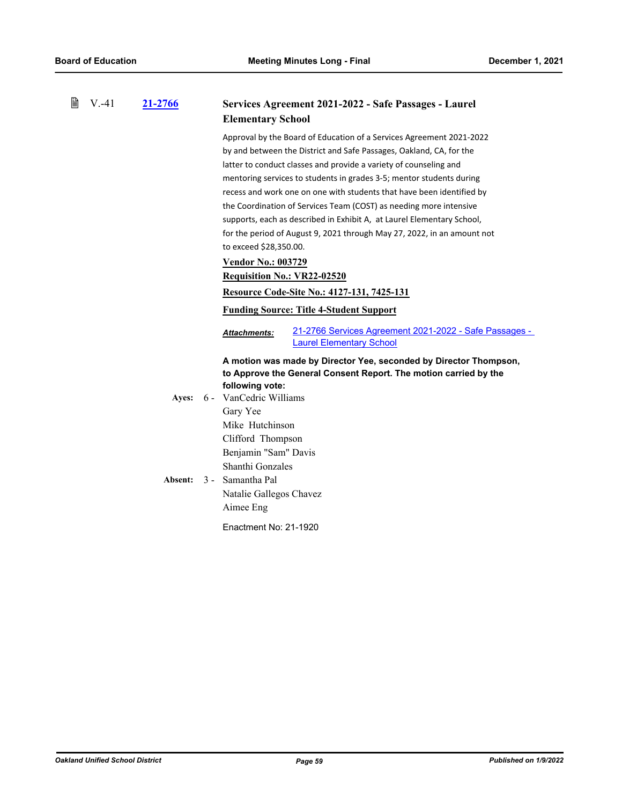| 窅 | $V. -41$ | 21-2766 | Services Agreement 2021-2022 - Safe Passages - Laurel<br><b>Elementary School</b>                                                                                                                                                                                                                                                                                                                                                                                                                                                                                                                                                                                                                                                                                                                |
|---|----------|---------|--------------------------------------------------------------------------------------------------------------------------------------------------------------------------------------------------------------------------------------------------------------------------------------------------------------------------------------------------------------------------------------------------------------------------------------------------------------------------------------------------------------------------------------------------------------------------------------------------------------------------------------------------------------------------------------------------------------------------------------------------------------------------------------------------|
|   |          |         | Approval by the Board of Education of a Services Agreement 2021-2022<br>by and between the District and Safe Passages, Oakland, CA, for the<br>latter to conduct classes and provide a variety of counseling and<br>mentoring services to students in grades 3-5; mentor students during<br>recess and work one on one with students that have been identified by<br>the Coordination of Services Team (COST) as needing more intensive<br>supports, each as described in Exhibit A, at Laurel Elementary School,<br>for the period of August 9, 2021 through May 27, 2022, in an amount not<br>to exceed \$28,350.00.<br><b>Vendor No.: 003729</b><br><b>Requisition No.: VR22-02520</b><br><b>Resource Code-Site No.: 4127-131, 7425-131</b><br><b>Funding Source: Title 4-Student Support</b> |
|   |          |         | 21-2766 Services Agreement 2021-2022 - Safe Passages -<br><b>Attachments:</b><br><b>Laurel Elementary School</b>                                                                                                                                                                                                                                                                                                                                                                                                                                                                                                                                                                                                                                                                                 |
|   |          | Ayes:   | A motion was made by Director Yee, seconded by Director Thompson,<br>to Approve the General Consent Report. The motion carried by the<br>following vote:<br>6 - VanCedric Williams<br>Gary Yee<br>Mike Hutchinson                                                                                                                                                                                                                                                                                                                                                                                                                                                                                                                                                                                |
|   |          | Absent: | Clifford Thompson<br>Benjamin "Sam" Davis<br>Shanthi Gonzales<br>3 - Samantha Pal<br>Natalie Gallegos Chavez<br>Aimee Eng<br>Enactment No: 21-1920                                                                                                                                                                                                                                                                                                                                                                                                                                                                                                                                                                                                                                               |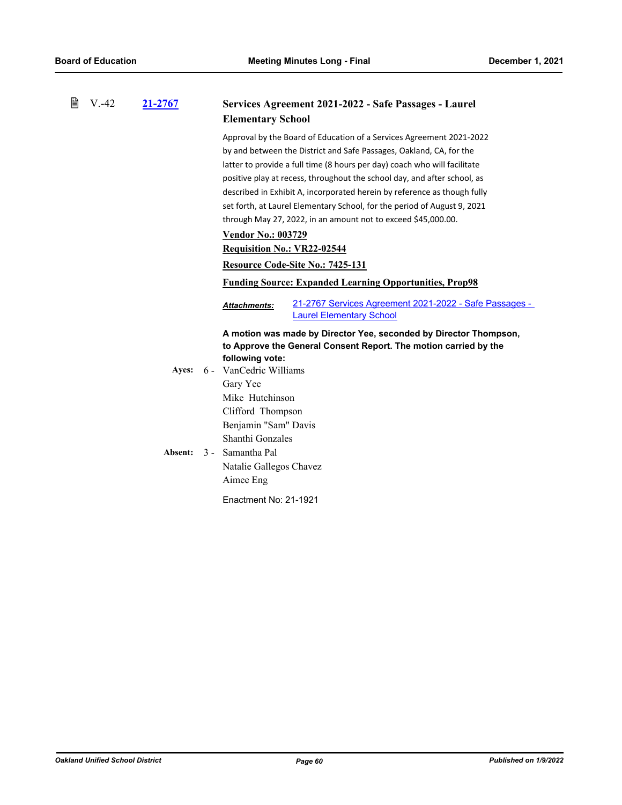| 閶 | $V. -42$ | 21-2767 | Services Agreement 2021-2022 - Safe Passages - Laurel<br><b>Elementary School</b>                                                                                                                                                                                                                                                                                                |
|---|----------|---------|----------------------------------------------------------------------------------------------------------------------------------------------------------------------------------------------------------------------------------------------------------------------------------------------------------------------------------------------------------------------------------|
|   |          |         | Approval by the Board of Education of a Services Agreement 2021-2022<br>by and between the District and Safe Passages, Oakland, CA, for the<br>latter to provide a full time (8 hours per day) coach who will facilitate<br>positive play at recess, throughout the school day, and after school, as<br>described in Exhibit A, incorporated herein by reference as though fully |
|   |          |         | set forth, at Laurel Elementary School, for the period of August 9, 2021                                                                                                                                                                                                                                                                                                         |
|   |          |         | through May 27, 2022, in an amount not to exceed \$45,000.00.                                                                                                                                                                                                                                                                                                                    |
|   |          |         | <b>Vendor No.: 003729</b>                                                                                                                                                                                                                                                                                                                                                        |
|   |          |         | <b>Requisition No.: VR22-02544</b>                                                                                                                                                                                                                                                                                                                                               |
|   |          |         | Resource Code-Site No.: 7425-131                                                                                                                                                                                                                                                                                                                                                 |
|   |          |         | <b>Funding Source: Expanded Learning Opportunities, Prop98</b>                                                                                                                                                                                                                                                                                                                   |
|   |          |         | 21-2767 Services Agreement 2021-2022 - Safe Passages -<br><b>Attachments:</b><br><b>Laurel Elementary School</b>                                                                                                                                                                                                                                                                 |
|   |          |         | A motion was made by Director Yee, seconded by Director Thompson,<br>to Approve the General Consent Report. The motion carried by the                                                                                                                                                                                                                                            |
|   |          |         | following vote:                                                                                                                                                                                                                                                                                                                                                                  |
|   |          | Ayes:   | 6 - VanCedric Williams                                                                                                                                                                                                                                                                                                                                                           |
|   |          |         | Gary Yee<br>Mike Hutchinson                                                                                                                                                                                                                                                                                                                                                      |
|   |          |         | Clifford Thompson                                                                                                                                                                                                                                                                                                                                                                |
|   |          |         | Benjamin "Sam" Davis                                                                                                                                                                                                                                                                                                                                                             |
|   |          |         | Shanthi Gonzales                                                                                                                                                                                                                                                                                                                                                                 |
|   |          | Absent: | 3 - Samantha Pal                                                                                                                                                                                                                                                                                                                                                                 |
|   |          |         | Natalie Gallegos Chavez                                                                                                                                                                                                                                                                                                                                                          |
|   |          |         | Aimee Eng                                                                                                                                                                                                                                                                                                                                                                        |
|   |          |         | Enactment No: 21-1921                                                                                                                                                                                                                                                                                                                                                            |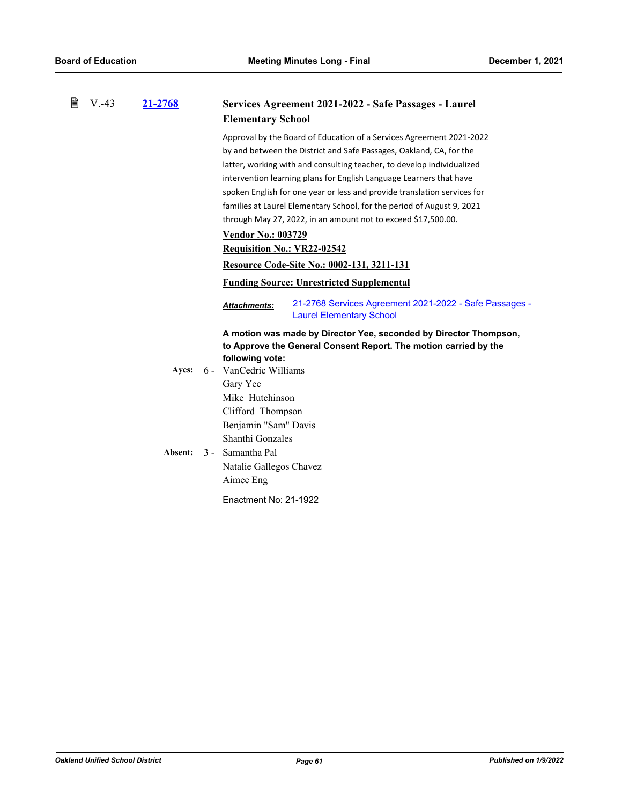| B | $V. -43$ | 21-2768 | Services Agreement 2021-2022 - Safe Passages - Laurel                                                            |
|---|----------|---------|------------------------------------------------------------------------------------------------------------------|
|   |          |         | <b>Elementary School</b>                                                                                         |
|   |          |         | Approval by the Board of Education of a Services Agreement 2021-2022                                             |
|   |          |         | by and between the District and Safe Passages, Oakland, CA, for the                                              |
|   |          |         | latter, working with and consulting teacher, to develop individualized                                           |
|   |          |         | intervention learning plans for English Language Learners that have                                              |
|   |          |         | spoken English for one year or less and provide translation services for                                         |
|   |          |         | families at Laurel Elementary School, for the period of August 9, 2021                                           |
|   |          |         | through May 27, 2022, in an amount not to exceed \$17,500.00.                                                    |
|   |          |         | <b>Vendor No.: 003729</b>                                                                                        |
|   |          |         | Requisition No.: VR22-02542                                                                                      |
|   |          |         | Resource Code-Site No.: 0002-131, 3211-131                                                                       |
|   |          |         | <b>Funding Source: Unrestricted Supplemental</b>                                                                 |
|   |          |         | 21-2768 Services Agreement 2021-2022 - Safe Passages -<br><b>Attachments:</b><br><b>Laurel Elementary School</b> |
|   |          |         | A motion was made by Director Yee, seconded by Director Thompson,                                                |
|   |          |         | to Approve the General Consent Report. The motion carried by the                                                 |
|   |          |         | following vote:                                                                                                  |
|   |          | Ayes:   | 6 - VanCedric Williams                                                                                           |
|   |          |         | Gary Yee<br>Mike Hutchinson                                                                                      |
|   |          |         |                                                                                                                  |
|   |          |         | Clifford Thompson<br>Benjamin "Sam" Davis                                                                        |
|   |          |         | Shanthi Gonzales                                                                                                 |
|   |          | Absent: | 3 - Samantha Pal                                                                                                 |
|   |          |         | Natalie Gallegos Chavez                                                                                          |
|   |          |         | Aimee Eng                                                                                                        |
|   |          |         |                                                                                                                  |
|   |          |         | Enactment No: 21-1922                                                                                            |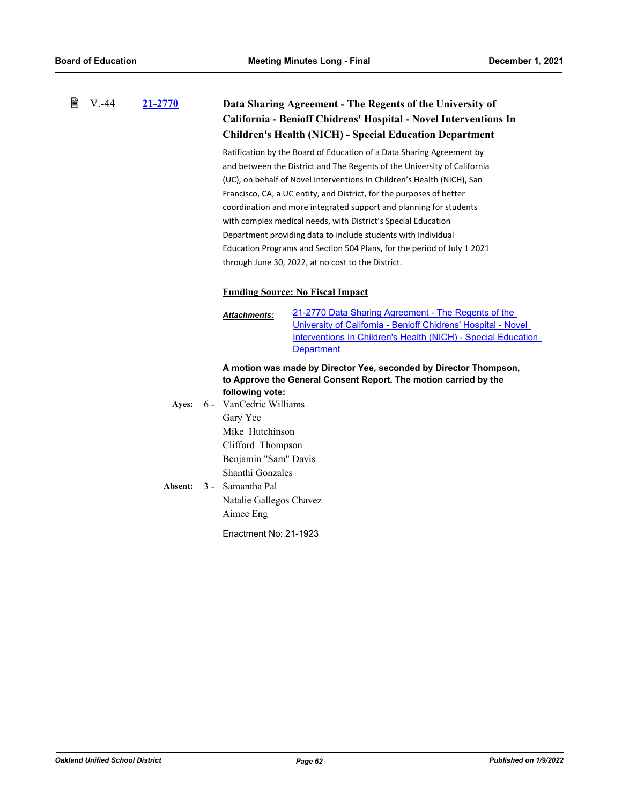#### 閶 V.-44 **[21-2770](http://ousd.legistar.com/gateway.aspx?m=l&id=/matter.aspx?key=53904) Data Sharing Agreement - The Regents of the University of California - Benioff Chidrens' Hospital - Novel Interventions In Children's Health (NICH) - Special Education Department**

Ratification by the Board of Education of a Data Sharing Agreement by and between the District and The Regents of the University of California (UC), on behalf of Novel Interventions In Children's Health (NICH), San Francisco, CA, a UC entity, and District, for the purposes of better coordination and more integrated support and planning for students with complex medical needs, with District's Special Education Department providing data to include students with Individual Education Programs and Section 504 Plans, for the period of July 1 2021 through June 30, 2022, at no cost to the District.

### **Funding Source: No Fiscal Impact**

21-2770 Data Sharing Agreement - The Regents of the University of California - Benioff Chidrens' Hospital - Novel [Interventions In Children's Health \(NICH\) - Special Education](http://ousd.legistar.com/gateway.aspx?M=F&ID=101475.pdf)  **Department** *Attachments:*

**A motion was made by Director Yee, seconded by Director Thompson, to Approve the General Consent Report. The motion carried by the following vote:**

- Ayes: 6 VanCedric Williams Gary Yee Mike Hutchinson Clifford Thompson Benjamin "Sam" Davis Shanthi Gonzales **Absent:** Samantha Pal Absent:  $3 -$
- Natalie Gallegos Chavez Aimee Eng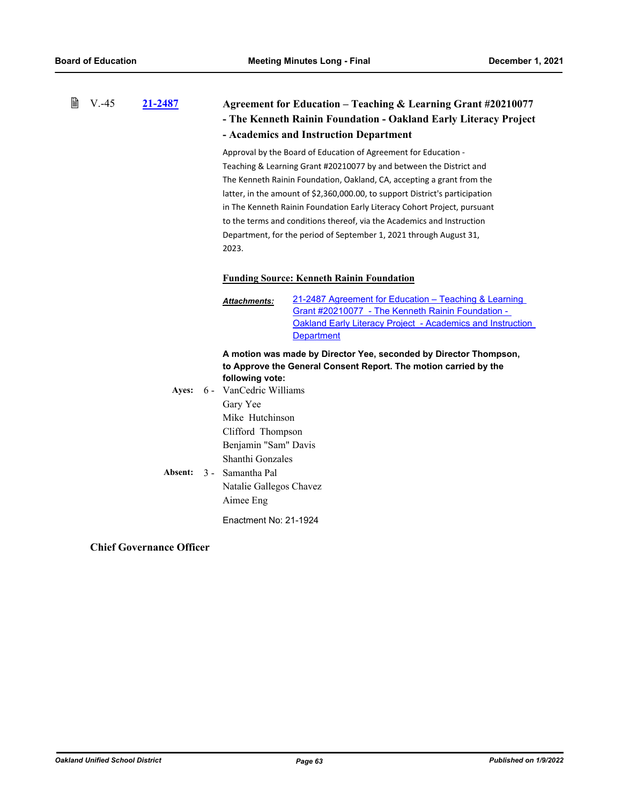| 誾<br>$V. -45$ | 21-2487          | Agreement for Education – Teaching $\&$ Learning Grant #20210077<br>- The Kenneth Rainin Foundation - Oakland Early Literacy Project<br>- Academics and Instruction Department                                                                                                                                                                                                                                                                                                                                                        |
|---------------|------------------|---------------------------------------------------------------------------------------------------------------------------------------------------------------------------------------------------------------------------------------------------------------------------------------------------------------------------------------------------------------------------------------------------------------------------------------------------------------------------------------------------------------------------------------|
|               |                  | Approval by the Board of Education of Agreement for Education -<br>Teaching & Learning Grant #20210077 by and between the District and<br>The Kenneth Rainin Foundation, Oakland, CA, accepting a grant from the<br>latter, in the amount of \$2,360,000.00, to support District's participation<br>in The Kenneth Rainin Foundation Early Literacy Cohort Project, pursuant<br>to the terms and conditions thereof, via the Academics and Instruction<br>Department, for the period of September 1, 2021 through August 31,<br>2023. |
|               |                  | <b>Funding Source: Kenneth Rainin Foundation</b><br>21-2487 Agreement for Education - Teaching & Learning<br><b>Attachments:</b><br>Grant #20210077 - The Kenneth Rainin Foundation -<br><b>Oakland Early Literacy Project - Academics and Instruction</b><br><b>Department</b>                                                                                                                                                                                                                                                       |
|               | Ayes:<br>Absent: | A motion was made by Director Yee, seconded by Director Thompson,<br>to Approve the General Consent Report. The motion carried by the<br>following vote:<br>6 - VanCedric Williams<br>Gary Yee<br>Mike Hutchinson<br>Clifford Thompson<br>Benjamin "Sam" Davis<br>Shanthi Gonzales<br>3 - Samantha Pal<br>Natalie Gallegos Chavez<br>Aimee Eng<br>Enactment No: 21-1924                                                                                                                                                               |

## **Chief Governance Officer**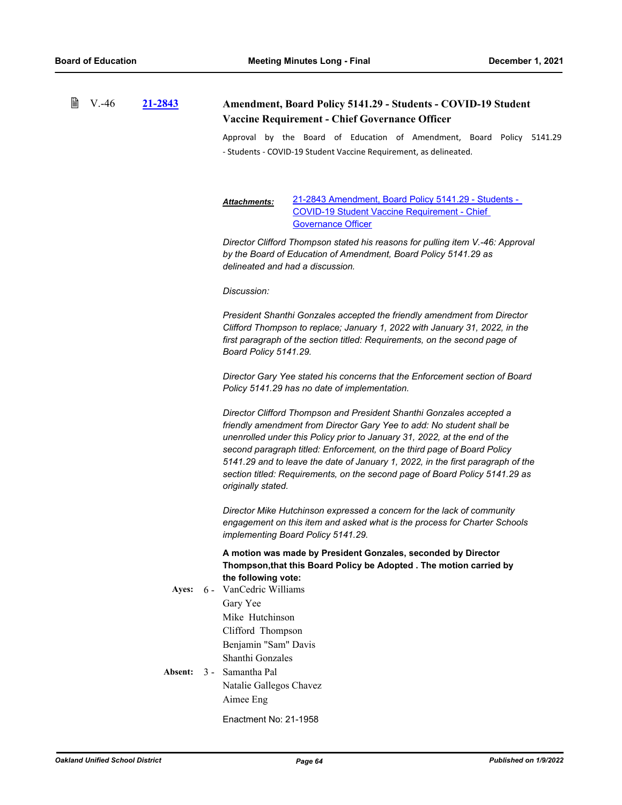| 閶 | $V. -46$ | 21-2843 | <b>Amendment, Board Policy 5141.29 - Students - COVID-19 Student</b>                                                                                                                                                                                                                                                                                                                                                                                                                          |  |  |
|---|----------|---------|-----------------------------------------------------------------------------------------------------------------------------------------------------------------------------------------------------------------------------------------------------------------------------------------------------------------------------------------------------------------------------------------------------------------------------------------------------------------------------------------------|--|--|
|   |          |         | Vaccine Requirement - Chief Governance Officer                                                                                                                                                                                                                                                                                                                                                                                                                                                |  |  |
|   |          |         | Approval by the Board of Education of Amendment, Board Policy 5141.29                                                                                                                                                                                                                                                                                                                                                                                                                         |  |  |
|   |          |         | - Students - COVID-19 Student Vaccine Requirement, as delineated.                                                                                                                                                                                                                                                                                                                                                                                                                             |  |  |
|   |          |         |                                                                                                                                                                                                                                                                                                                                                                                                                                                                                               |  |  |
|   |          |         | 21-2843 Amendment, Board Policy 5141.29 - Students -<br><b>Attachments:</b><br><b>COVID-19 Student Vaccine Requirement - Chief</b><br><b>Governance Officer</b>                                                                                                                                                                                                                                                                                                                               |  |  |
|   |          |         | Director Clifford Thompson stated his reasons for pulling item V.-46: Approval<br>by the Board of Education of Amendment, Board Policy 5141.29 as<br>delineated and had a discussion.                                                                                                                                                                                                                                                                                                         |  |  |
|   |          |         | Discussion:                                                                                                                                                                                                                                                                                                                                                                                                                                                                                   |  |  |
|   |          |         | President Shanthi Gonzales accepted the friendly amendment from Director<br>Clifford Thompson to replace; January 1, 2022 with January 31, 2022, in the<br>first paragraph of the section titled: Requirements, on the second page of<br>Board Policy 5141.29.                                                                                                                                                                                                                                |  |  |
|   |          |         | Director Gary Yee stated his concerns that the Enforcement section of Board<br>Policy 5141.29 has no date of implementation.                                                                                                                                                                                                                                                                                                                                                                  |  |  |
|   |          |         | Director Clifford Thompson and President Shanthi Gonzales accepted a<br>friendly amendment from Director Gary Yee to add: No student shall be<br>unenrolled under this Policy prior to January 31, 2022, at the end of the<br>second paragraph titled: Enforcement, on the third page of Board Policy<br>5141.29 and to leave the date of January 1, 2022, in the first paragraph of the<br>section titled: Requirements, on the second page of Board Policy 5141.29 as<br>originally stated. |  |  |
|   |          |         | Director Mike Hutchinson expressed a concern for the lack of community<br>engagement on this item and asked what is the process for Charter Schools<br>implementing Board Policy 5141.29.                                                                                                                                                                                                                                                                                                     |  |  |
|   |          | Ayes:   | A motion was made by President Gonzales, seconded by Director<br>Thompson, that this Board Policy be Adopted. The motion carried by<br>the following vote:<br>6 - VanCedric Williams                                                                                                                                                                                                                                                                                                          |  |  |
|   |          |         | Gary Yee                                                                                                                                                                                                                                                                                                                                                                                                                                                                                      |  |  |
|   |          |         | Mike Hutchinson<br>Clifford Thompson                                                                                                                                                                                                                                                                                                                                                                                                                                                          |  |  |
|   |          |         | Benjamin "Sam" Davis<br>Shanthi Gonzales                                                                                                                                                                                                                                                                                                                                                                                                                                                      |  |  |
|   |          | Absent: | 3 - Samantha Pal                                                                                                                                                                                                                                                                                                                                                                                                                                                                              |  |  |
|   |          |         | Natalie Gallegos Chavez                                                                                                                                                                                                                                                                                                                                                                                                                                                                       |  |  |
|   |          |         | Aimee Eng                                                                                                                                                                                                                                                                                                                                                                                                                                                                                     |  |  |
|   |          |         | Enactment No: 21-1958                                                                                                                                                                                                                                                                                                                                                                                                                                                                         |  |  |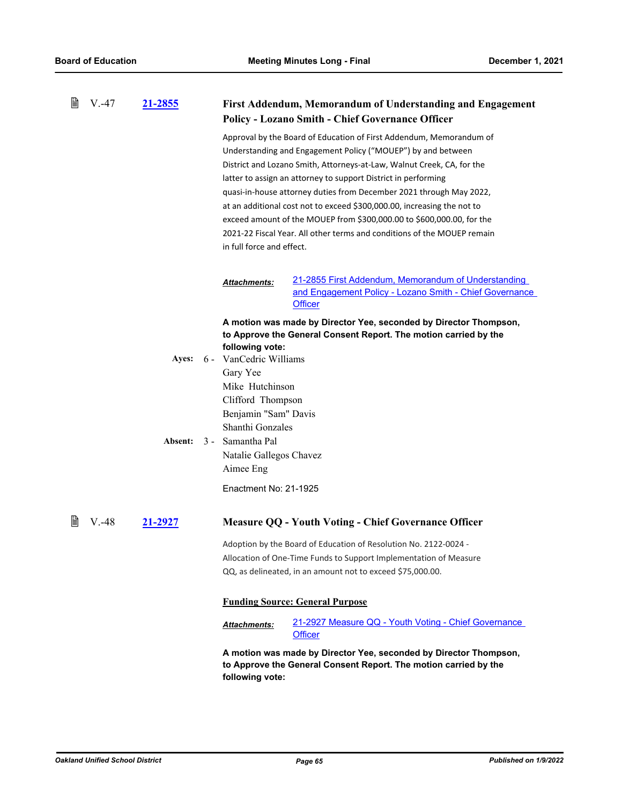| 誾 | $V. -47$ | 21-2855 |                           | First Addendum, Memorandum of Understanding and Engagement<br><b>Policy - Lozano Smith - Chief Governance Officer</b>                                                                                                                                                                                                                                                                                                                                                                                                                                                                 |  |  |
|---|----------|---------|---------------------------|---------------------------------------------------------------------------------------------------------------------------------------------------------------------------------------------------------------------------------------------------------------------------------------------------------------------------------------------------------------------------------------------------------------------------------------------------------------------------------------------------------------------------------------------------------------------------------------|--|--|
|   |          |         | in full force and effect. | Approval by the Board of Education of First Addendum, Memorandum of<br>Understanding and Engagement Policy ("MOUEP") by and between<br>District and Lozano Smith, Attorneys-at-Law, Walnut Creek, CA, for the<br>latter to assign an attorney to support District in performing<br>quasi-in-house attorney duties from December 2021 through May 2022,<br>at an additional cost not to exceed \$300,000.00, increasing the not to<br>exceed amount of the MOUEP from \$300,000.00 to \$600,000.00, for the<br>2021-22 Fiscal Year, All other terms and conditions of the MOUEP remain |  |  |
|   |          |         | <b>Attachments:</b>       | 21-2855 First Addendum, Memorandum of Understanding<br>and Engagement Policy - Lozano Smith - Chief Governance<br><b>Officer</b>                                                                                                                                                                                                                                                                                                                                                                                                                                                      |  |  |
|   |          |         |                           | A motion was made by Director Yee, seconded by Director Thompson,                                                                                                                                                                                                                                                                                                                                                                                                                                                                                                                     |  |  |
|   |          |         |                           | to Approve the General Consent Report. The motion carried by the<br>following vote:<br>6 - VanCedric Williams<br>Gary Yee                                                                                                                                                                                                                                                                                                                                                                                                                                                             |  |  |
|   |          | Ayes:   |                           |                                                                                                                                                                                                                                                                                                                                                                                                                                                                                                                                                                                       |  |  |
|   |          |         |                           |                                                                                                                                                                                                                                                                                                                                                                                                                                                                                                                                                                                       |  |  |
|   |          |         | Mike Hutchinson           |                                                                                                                                                                                                                                                                                                                                                                                                                                                                                                                                                                                       |  |  |
|   |          |         | Clifford Thompson         |                                                                                                                                                                                                                                                                                                                                                                                                                                                                                                                                                                                       |  |  |
|   |          |         | Benjamin "Sam" Davis      |                                                                                                                                                                                                                                                                                                                                                                                                                                                                                                                                                                                       |  |  |
|   |          |         | Shanthi Gonzales          |                                                                                                                                                                                                                                                                                                                                                                                                                                                                                                                                                                                       |  |  |
|   |          | Absent: | 3 - Samantha Pal          |                                                                                                                                                                                                                                                                                                                                                                                                                                                                                                                                                                                       |  |  |
|   |          |         | Natalie Gallegos Chavez   |                                                                                                                                                                                                                                                                                                                                                                                                                                                                                                                                                                                       |  |  |
|   |          |         | Aimee Eng                 |                                                                                                                                                                                                                                                                                                                                                                                                                                                                                                                                                                                       |  |  |
|   |          |         | Enactment No: 21-1925     |                                                                                                                                                                                                                                                                                                                                                                                                                                                                                                                                                                                       |  |  |
| 閆 | $V. -48$ | 21-2927 |                           | <b>Measure QQ - Youth Voting - Chief Governance Officer</b>                                                                                                                                                                                                                                                                                                                                                                                                                                                                                                                           |  |  |
|   |          |         |                           | Adoption by the Board of Education of Resolution No. 2122-0024                                                                                                                                                                                                                                                                                                                                                                                                                                                                                                                        |  |  |
|   |          |         |                           | Allocation of One-Time Funds to Support Implementation of Measure                                                                                                                                                                                                                                                                                                                                                                                                                                                                                                                     |  |  |
|   |          |         |                           | QQ, as delineated, in an amount not to exceed \$75,000.00.                                                                                                                                                                                                                                                                                                                                                                                                                                                                                                                            |  |  |
|   |          |         |                           | <b>Funding Source: General Purpose</b>                                                                                                                                                                                                                                                                                                                                                                                                                                                                                                                                                |  |  |
|   |          |         | Attachments:              | 21-2927 Measure QQ - Youth Voting - Chief Governance<br><b>Officer</b>                                                                                                                                                                                                                                                                                                                                                                                                                                                                                                                |  |  |
|   |          |         |                           | A motion was made by Director Yee, seconded by Director Thompson,                                                                                                                                                                                                                                                                                                                                                                                                                                                                                                                     |  |  |

**to Approve the General Consent Report. The motion carried by the following vote:**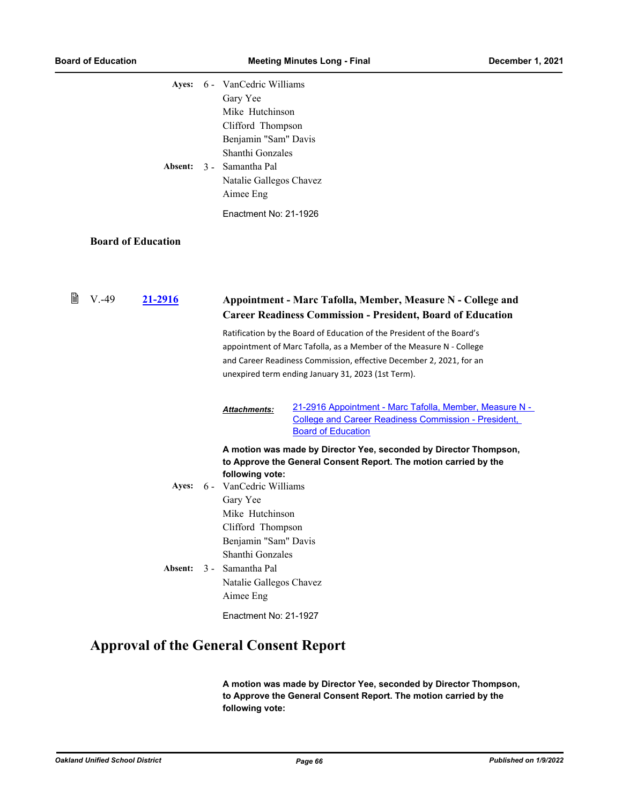|   | Absent:                   | Ayes: 6 - VanCedric Williams<br>Gary Yee<br>Mike Hutchinson<br>Clifford Thompson<br>Benjamin "Sam" Davis<br>Shanthi Gonzales<br>3 - Samantha Pal<br>Natalie Gallegos Chavez<br>Aimee Eng<br>Enactment No: 21-1926 |                                                                                                                                                                                                                                                                                                                                                                                                                 |
|---|---------------------------|-------------------------------------------------------------------------------------------------------------------------------------------------------------------------------------------------------------------|-----------------------------------------------------------------------------------------------------------------------------------------------------------------------------------------------------------------------------------------------------------------------------------------------------------------------------------------------------------------------------------------------------------------|
|   | <b>Board of Education</b> |                                                                                                                                                                                                                   |                                                                                                                                                                                                                                                                                                                                                                                                                 |
| 閆 | $V. -49$<br>21-2916       |                                                                                                                                                                                                                   | Appointment - Marc Tafolla, Member, Measure N - College and<br><b>Career Readiness Commission - President, Board of Education</b><br>Ratification by the Board of Education of the President of the Board's<br>appointment of Marc Tafolla, as a Member of the Measure N - College<br>and Career Readiness Commission, effective December 2, 2021, for an<br>unexpired term ending January 31, 2023 (1st Term). |
|   |                           | Attachments:                                                                                                                                                                                                      | 21-2916 Appointment - Marc Tafolla, Member, Measure N -<br><b>College and Career Readiness Commission - President,</b><br><b>Board of Education</b>                                                                                                                                                                                                                                                             |
|   | Ayes:                     | following vote:<br>6 - VanCedric Williams                                                                                                                                                                         | A motion was made by Director Yee, seconded by Director Thompson,<br>to Approve the General Consent Report. The motion carried by the                                                                                                                                                                                                                                                                           |
|   | Absent:                   | Gary Yee<br>Mike Hutchinson<br>Clifford Thompson<br>Benjamin "Sam" Davis<br>Shanthi Gonzales<br>3 - Samantha Pal<br>Natalie Gallegos Chavez                                                                       |                                                                                                                                                                                                                                                                                                                                                                                                                 |
|   |                           | Aimee Eng<br>Enactment No: 21-1927                                                                                                                                                                                |                                                                                                                                                                                                                                                                                                                                                                                                                 |

# **Approval of the General Consent Report**

**A motion was made by Director Yee, seconded by Director Thompson, to Approve the General Consent Report. The motion carried by the following vote:**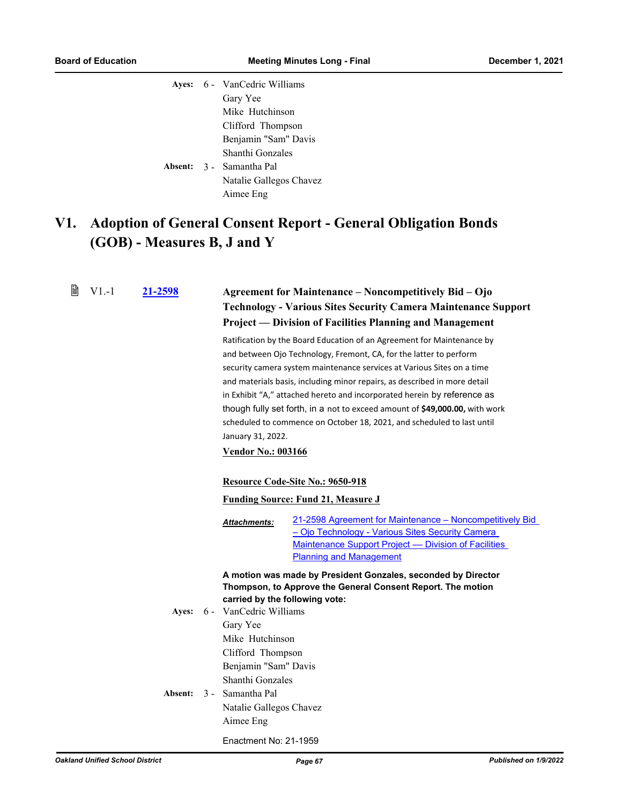|  | Ayes: 6 - VanCedric Williams |  |
|--|------------------------------|--|
|  | Gary Yee                     |  |
|  | Mike Hutchinson              |  |
|  | Clifford Thompson            |  |
|  | Benjamin "Sam" Davis         |  |
|  | Shanthi Gonzales             |  |
|  | Absent: 3 - Samantha Pal     |  |
|  | Natalie Gallegos Chavez      |  |
|  | Aimee Eng                    |  |

# **Adoption of General Consent Report - General Obligation Bonds V1. (GOB) - Measures B, J and Y**

| 閆<br>$V1 - 1$ | 21-2598 | Agreement for Maintenance - Noncompetitively Bid - Ojo<br><b>Technology - Various Sites Security Camera Maintenance Support</b><br><b>Project — Division of Facilities Planning and Management</b>                                                                                                                                                                                                                                                                                                                                                                                        |  |  |
|---------------|---------|-------------------------------------------------------------------------------------------------------------------------------------------------------------------------------------------------------------------------------------------------------------------------------------------------------------------------------------------------------------------------------------------------------------------------------------------------------------------------------------------------------------------------------------------------------------------------------------------|--|--|
|               |         | Ratification by the Board Education of an Agreement for Maintenance by<br>and between Ojo Technology, Fremont, CA, for the latter to perform<br>security camera system maintenance services at Various Sites on a time<br>and materials basis, including minor repairs, as described in more detail<br>in Exhibit "A," attached hereto and incorporated herein by reference as<br>though fully set forth, in a not to exceed amount of \$49,000.00, with work<br>scheduled to commence on October 18, 2021, and scheduled to last until<br>January 31, 2022.<br><b>Vendor No.: 003166</b> |  |  |
|               |         | Resource Code-Site No.: 9650-918<br><b>Funding Source: Fund 21, Measure J</b>                                                                                                                                                                                                                                                                                                                                                                                                                                                                                                             |  |  |
|               |         | 21-2598 Agreement for Maintenance - Noncompetitively Bid<br>Attachments:<br>- Ojo Technology - Various Sites Security Camera<br>Maintenance Support Project - Division of Facilities<br><b>Planning and Management</b>                                                                                                                                                                                                                                                                                                                                                                    |  |  |
|               | Ayes:   | A motion was made by President Gonzales, seconded by Director<br>Thompson, to Approve the General Consent Report. The motion<br>carried by the following vote:<br>6 - VanCedric Williams<br>Gary Yee<br>Mike Hutchinson<br>Clifford Thompson                                                                                                                                                                                                                                                                                                                                              |  |  |
|               | Absent: | Benjamin "Sam" Davis<br>Shanthi Gonzales<br>3 - Samantha Pal<br>Natalie Gallegos Chavez<br>Aimee Eng                                                                                                                                                                                                                                                                                                                                                                                                                                                                                      |  |  |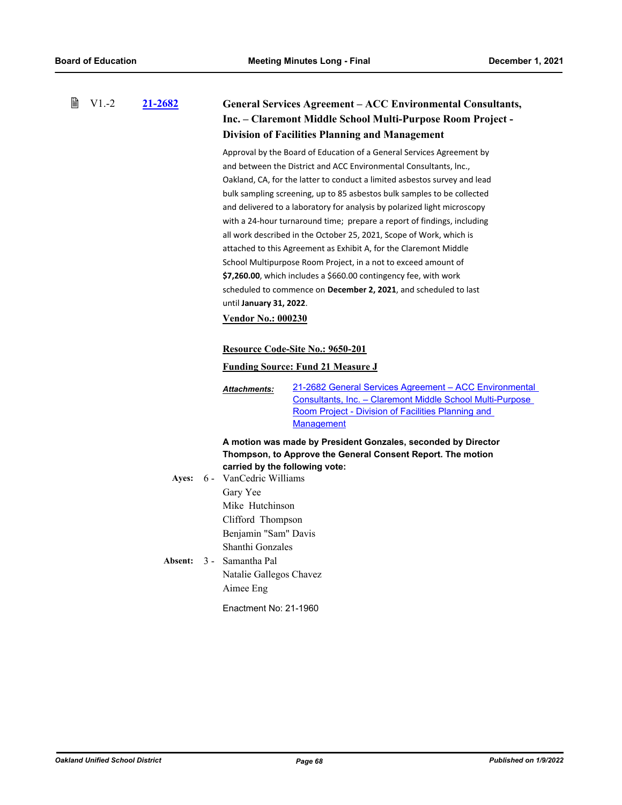| 閶 | $V1.-2$                          | 21-2682      |  |                                                      | General Services Agreement – ACC Environmental Consultants,                                                                                                                                                                                                                                                                                                                                                                                                                                                                                                                                                                                                                                                                                                                                                     |  |
|---|----------------------------------|--------------|--|------------------------------------------------------|-----------------------------------------------------------------------------------------------------------------------------------------------------------------------------------------------------------------------------------------------------------------------------------------------------------------------------------------------------------------------------------------------------------------------------------------------------------------------------------------------------------------------------------------------------------------------------------------------------------------------------------------------------------------------------------------------------------------------------------------------------------------------------------------------------------------|--|
|   |                                  |              |  |                                                      | Inc. - Claremont Middle School Multi-Purpose Room Project -                                                                                                                                                                                                                                                                                                                                                                                                                                                                                                                                                                                                                                                                                                                                                     |  |
|   |                                  |              |  |                                                      | <b>Division of Facilities Planning and Management</b>                                                                                                                                                                                                                                                                                                                                                                                                                                                                                                                                                                                                                                                                                                                                                           |  |
|   |                                  |              |  | until January 31, 2022.<br><b>Vendor No.: 000230</b> | Approval by the Board of Education of a General Services Agreement by<br>and between the District and ACC Environmental Consultants, Inc.,<br>Oakland, CA, for the latter to conduct a limited asbestos survey and lead<br>bulk sampling screening, up to 85 asbestos bulk samples to be collected<br>and delivered to a laboratory for analysis by polarized light microscopy<br>with a 24-hour turnaround time; prepare a report of findings, including<br>all work described in the October 25, 2021, Scope of Work, which is<br>attached to this Agreement as Exhibit A, for the Claremont Middle<br>School Multipurpose Room Project, in a not to exceed amount of<br>\$7,260.00, which includes a \$660.00 contingency fee, with work<br>scheduled to commence on December 2, 2021, and scheduled to last |  |
|   |                                  |              |  |                                                      |                                                                                                                                                                                                                                                                                                                                                                                                                                                                                                                                                                                                                                                                                                                                                                                                                 |  |
|   | Resource Code-Site No.: 9650-201 |              |  |                                                      |                                                                                                                                                                                                                                                                                                                                                                                                                                                                                                                                                                                                                                                                                                                                                                                                                 |  |
|   |                                  |              |  |                                                      | <b>Funding Source: Fund 21 Measure J</b>                                                                                                                                                                                                                                                                                                                                                                                                                                                                                                                                                                                                                                                                                                                                                                        |  |
|   |                                  |              |  | <b>Attachments:</b>                                  | 21-2682 General Services Agreement - ACC Environmental<br>Consultants, Inc. - Claremont Middle School Multi-Purpose<br>Room Project - Division of Facilities Planning and<br><b>Management</b>                                                                                                                                                                                                                                                                                                                                                                                                                                                                                                                                                                                                                  |  |
|   |                                  |              |  |                                                      | A motion was made by President Gonzales, seconded by Director<br>Thompson, to Approve the General Consent Report. The motion                                                                                                                                                                                                                                                                                                                                                                                                                                                                                                                                                                                                                                                                                    |  |
|   |                                  |              |  | carried by the following vote:                       |                                                                                                                                                                                                                                                                                                                                                                                                                                                                                                                                                                                                                                                                                                                                                                                                                 |  |
|   |                                  | <b>Ayes:</b> |  | 6 - VanCedric Williams                               |                                                                                                                                                                                                                                                                                                                                                                                                                                                                                                                                                                                                                                                                                                                                                                                                                 |  |
|   |                                  |              |  | Gary Yee<br>Mike Hutchinson                          |                                                                                                                                                                                                                                                                                                                                                                                                                                                                                                                                                                                                                                                                                                                                                                                                                 |  |
|   |                                  |              |  |                                                      | Clifford Thompson                                                                                                                                                                                                                                                                                                                                                                                                                                                                                                                                                                                                                                                                                                                                                                                               |  |
|   |                                  |              |  | Benjamin "Sam" Davis                                 |                                                                                                                                                                                                                                                                                                                                                                                                                                                                                                                                                                                                                                                                                                                                                                                                                 |  |
|   |                                  |              |  | Shanthi Gonzales                                     |                                                                                                                                                                                                                                                                                                                                                                                                                                                                                                                                                                                                                                                                                                                                                                                                                 |  |
|   |                                  | Absent:      |  | 3 - Samantha Pal                                     |                                                                                                                                                                                                                                                                                                                                                                                                                                                                                                                                                                                                                                                                                                                                                                                                                 |  |
|   |                                  |              |  | Natalie Gallegos Chavez                              |                                                                                                                                                                                                                                                                                                                                                                                                                                                                                                                                                                                                                                                                                                                                                                                                                 |  |
|   |                                  |              |  | Aimee Eng                                            |                                                                                                                                                                                                                                                                                                                                                                                                                                                                                                                                                                                                                                                                                                                                                                                                                 |  |
|   |                                  |              |  | Enactment No: 21-1960                                |                                                                                                                                                                                                                                                                                                                                                                                                                                                                                                                                                                                                                                                                                                                                                                                                                 |  |
|   |                                  |              |  |                                                      |                                                                                                                                                                                                                                                                                                                                                                                                                                                                                                                                                                                                                                                                                                                                                                                                                 |  |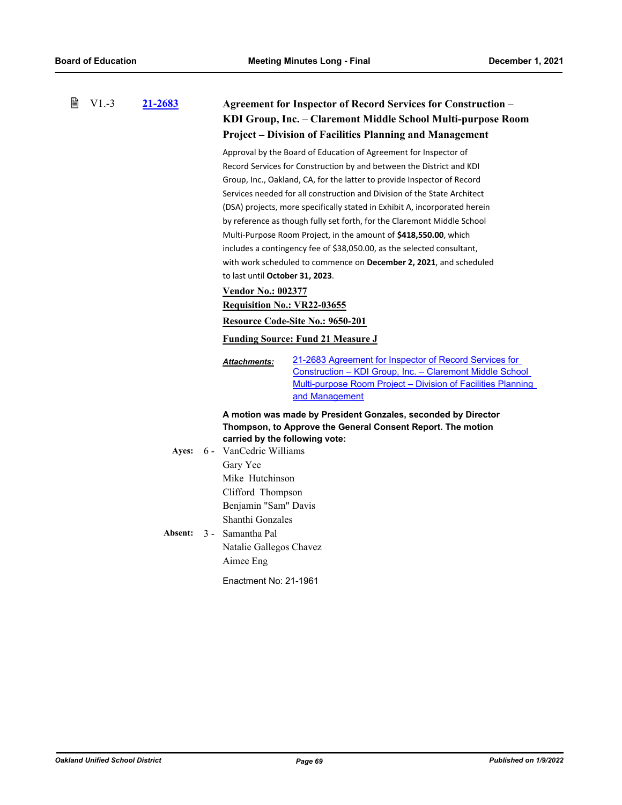| 閶 | $V1.-3$ | 21-2683 |  | <b>Agreement for Inspector of Record Services for Construction -</b><br>KDI Group, Inc. - Claremont Middle School Multi-purpose Room<br><b>Project – Division of Facilities Planning and Management</b>                                               |                                                                                                                                                                                                                                                                                                                                                                                                                                                                                                                                                                                                                                                                                      |
|---|---------|---------|--|-------------------------------------------------------------------------------------------------------------------------------------------------------------------------------------------------------------------------------------------------------|--------------------------------------------------------------------------------------------------------------------------------------------------------------------------------------------------------------------------------------------------------------------------------------------------------------------------------------------------------------------------------------------------------------------------------------------------------------------------------------------------------------------------------------------------------------------------------------------------------------------------------------------------------------------------------------|
|   |         |         |  | to last until October 31, 2023.<br><b>Vendor No.: 002377</b><br>Requisition No.: VR22-03655                                                                                                                                                           | Approval by the Board of Education of Agreement for Inspector of<br>Record Services for Construction by and between the District and KDI<br>Group, Inc., Oakland, CA, for the latter to provide Inspector of Record<br>Services needed for all construction and Division of the State Architect<br>(DSA) projects, more specifically stated in Exhibit A, incorporated herein<br>by reference as though fully set forth, for the Claremont Middle School<br>Multi-Purpose Room Project, in the amount of \$418,550.00, which<br>includes a contingency fee of \$38,050.00, as the selected consultant,<br>with work scheduled to commence on <b>December 2, 2021</b> , and scheduled |
|   |         |         |  |                                                                                                                                                                                                                                                       | Resource Code-Site No.: 9650-201                                                                                                                                                                                                                                                                                                                                                                                                                                                                                                                                                                                                                                                     |
|   |         |         |  |                                                                                                                                                                                                                                                       | <b>Funding Source: Fund 21 Measure J</b>                                                                                                                                                                                                                                                                                                                                                                                                                                                                                                                                                                                                                                             |
|   |         |         |  | <u> Attachments:</u>                                                                                                                                                                                                                                  | 21-2683 Agreement for Inspector of Record Services for<br>Construction - KDI Group, Inc. - Claremont Middle School<br>Multi-purpose Room Project - Division of Facilities Planning<br>and Management                                                                                                                                                                                                                                                                                                                                                                                                                                                                                 |
|   |         | Ayes:   |  | carried by the following vote:<br>6 - VanCedric Williams<br>Gary Yee<br>Mike Hutchinson<br>Clifford Thompson<br>Benjamin "Sam" Davis<br>Shanthi Gonzales<br>Absent: 3 - Samantha Pal<br>Natalie Gallegos Chavez<br>Aimee Eng<br>Enactment No: 21-1961 | A motion was made by President Gonzales, seconded by Director<br>Thompson, to Approve the General Consent Report. The motion                                                                                                                                                                                                                                                                                                                                                                                                                                                                                                                                                         |
|   |         |         |  |                                                                                                                                                                                                                                                       |                                                                                                                                                                                                                                                                                                                                                                                                                                                                                                                                                                                                                                                                                      |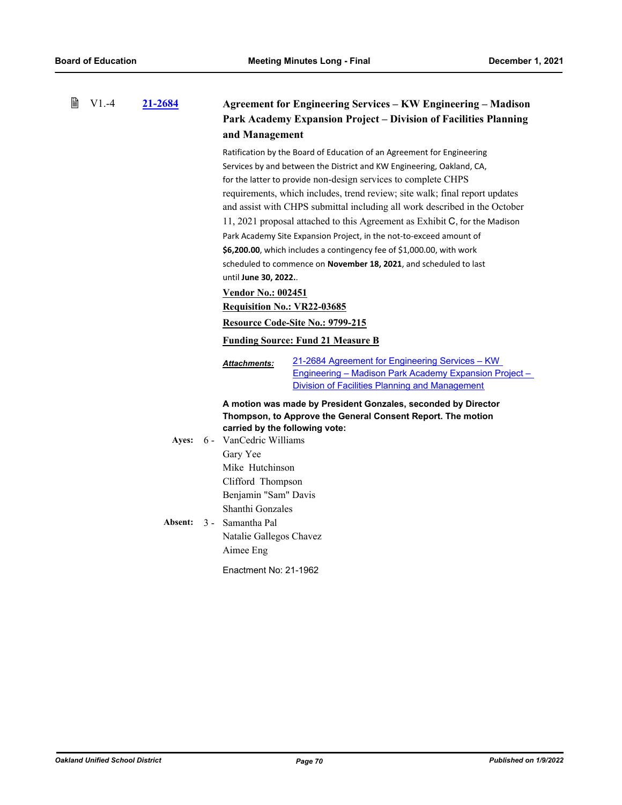| B<br>$V1.-4$ | 21-2684 | <b>Agreement for Engineering Services – KW Engineering – Madison</b><br>Park Academy Expansion Project – Division of Facilities Planning<br>and Management                                                                                                                                                                                                                                                                                                                                                                                                                                                                                                                                                                                                                  |
|--------------|---------|-----------------------------------------------------------------------------------------------------------------------------------------------------------------------------------------------------------------------------------------------------------------------------------------------------------------------------------------------------------------------------------------------------------------------------------------------------------------------------------------------------------------------------------------------------------------------------------------------------------------------------------------------------------------------------------------------------------------------------------------------------------------------------|
|              |         | Ratification by the Board of Education of an Agreement for Engineering<br>Services by and between the District and KW Engineering, Oakland, CA,<br>for the latter to provide non-design services to complete CHPS<br>requirements, which includes, trend review; site walk; final report updates<br>and assist with CHPS submittal including all work described in the October<br>11, 2021 proposal attached to this Agreement as Exhibit C, for the Madison<br>Park Academy Site Expansion Project, in the not-to-exceed amount of<br>\$6,200.00, which includes a contingency fee of \$1,000.00, with work<br>scheduled to commence on November 18, 2021, and scheduled to last<br>until June 30, 2022<br><b>Vendor No.: 002451</b><br><b>Requisition No.: VR22-03685</b> |
|              |         | Resource Code-Site No.: 9799-215<br><b>Funding Source: Fund 21 Measure B</b>                                                                                                                                                                                                                                                                                                                                                                                                                                                                                                                                                                                                                                                                                                |
|              |         | 21-2684 Agreement for Engineering Services - KW<br><b>Attachments:</b><br>Engineering - Madison Park Academy Expansion Project -<br>Division of Facilities Planning and Management                                                                                                                                                                                                                                                                                                                                                                                                                                                                                                                                                                                          |
|              | Absent: | A motion was made by President Gonzales, seconded by Director<br>Thompson, to Approve the General Consent Report. The motion<br>carried by the following vote:<br>Ayes: 6 - VanCedric Williams<br>Gary Yee<br>Mike Hutchinson<br>Clifford Thompson<br>Benjamin "Sam" Davis<br>Shanthi Gonzales<br>3 - Samantha Pal                                                                                                                                                                                                                                                                                                                                                                                                                                                          |
|              |         | Natalie Gallegos Chavez<br>Aimee Eng                                                                                                                                                                                                                                                                                                                                                                                                                                                                                                                                                                                                                                                                                                                                        |
|              |         | Enactment No: 21-1962                                                                                                                                                                                                                                                                                                                                                                                                                                                                                                                                                                                                                                                                                                                                                       |
|              |         |                                                                                                                                                                                                                                                                                                                                                                                                                                                                                                                                                                                                                                                                                                                                                                             |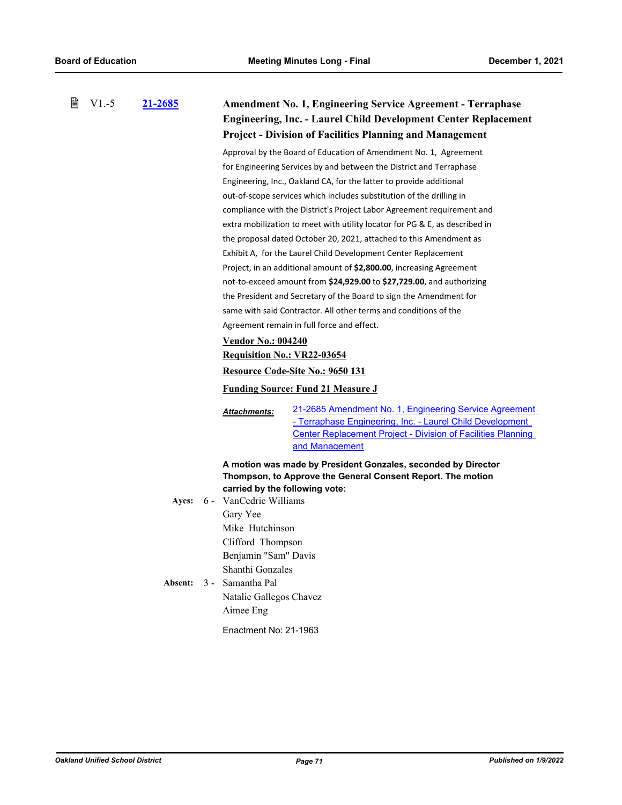| B | $V1.-5$ | 21-2685                 | <b>Amendment No. 1, Engineering Service Agreement - Terraphase</b><br><b>Engineering, Inc. - Laurel Child Development Center Replacement</b><br><b>Project - Division of Facilities Planning and Management</b> |                                                                                                                                                                                                                                                                                                                                                                                                                                                                                                                                                                                                                                                                                                                                                                                                                                                                                                                                  |
|---|---------|-------------------------|-----------------------------------------------------------------------------------------------------------------------------------------------------------------------------------------------------------------|----------------------------------------------------------------------------------------------------------------------------------------------------------------------------------------------------------------------------------------------------------------------------------------------------------------------------------------------------------------------------------------------------------------------------------------------------------------------------------------------------------------------------------------------------------------------------------------------------------------------------------------------------------------------------------------------------------------------------------------------------------------------------------------------------------------------------------------------------------------------------------------------------------------------------------|
|   |         |                         |                                                                                                                                                                                                                 | Approval by the Board of Education of Amendment No. 1, Agreement<br>for Engineering Services by and between the District and Terraphase<br>Engineering, Inc., Oakland CA, for the latter to provide additional<br>out-of-scope services which includes substitution of the drilling in<br>compliance with the District's Project Labor Agreement requirement and<br>extra mobilization to meet with utility locator for PG & E, as described in<br>the proposal dated October 20, 2021, attached to this Amendment as<br>Exhibit A, for the Laurel Child Development Center Replacement<br>Project, in an additional amount of \$2,800.00, increasing Agreement<br>not-to-exceed amount from \$24,929.00 to \$27,729.00, and authorizing<br>the President and Secretary of the Board to sign the Amendment for<br>same with said Contractor. All other terms and conditions of the<br>Agreement remain in full force and effect. |
|   |         |                         | <b>Vendor No.: 004240</b>                                                                                                                                                                                       | <b>Requisition No.: VR22-03654</b>                                                                                                                                                                                                                                                                                                                                                                                                                                                                                                                                                                                                                                                                                                                                                                                                                                                                                               |
|   |         |                         |                                                                                                                                                                                                                 | Resource Code-Site No.: 9650 131                                                                                                                                                                                                                                                                                                                                                                                                                                                                                                                                                                                                                                                                                                                                                                                                                                                                                                 |
|   |         |                         |                                                                                                                                                                                                                 | <b>Funding Source: Fund 21 Measure J</b>                                                                                                                                                                                                                                                                                                                                                                                                                                                                                                                                                                                                                                                                                                                                                                                                                                                                                         |
|   |         |                         | Attachments:                                                                                                                                                                                                    | 21-2685 Amendment No. 1, Engineering Service Agreement<br>- Terraphase Engineering, Inc. - Laurel Child Development<br><b>Center Replacement Project - Division of Facilities Planning</b><br>and Management                                                                                                                                                                                                                                                                                                                                                                                                                                                                                                                                                                                                                                                                                                                     |
|   |         | <b>Ayes:</b><br>Absent: | 6 - VanCedric Williams<br>Gary Yee<br>Mike Hutchinson<br>Clifford Thompson<br>Benjamin "Sam" Davis<br>Shanthi Gonzales<br>3 - Samantha Pal                                                                      | A motion was made by President Gonzales, seconded by Director<br>Thompson, to Approve the General Consent Report. The motion<br>carried by the following vote:                                                                                                                                                                                                                                                                                                                                                                                                                                                                                                                                                                                                                                                                                                                                                                   |
|   |         |                         | Natalie Gallegos Chavez<br>Aimee Eng<br>Enactment No: 21-1963                                                                                                                                                   |                                                                                                                                                                                                                                                                                                                                                                                                                                                                                                                                                                                                                                                                                                                                                                                                                                                                                                                                  |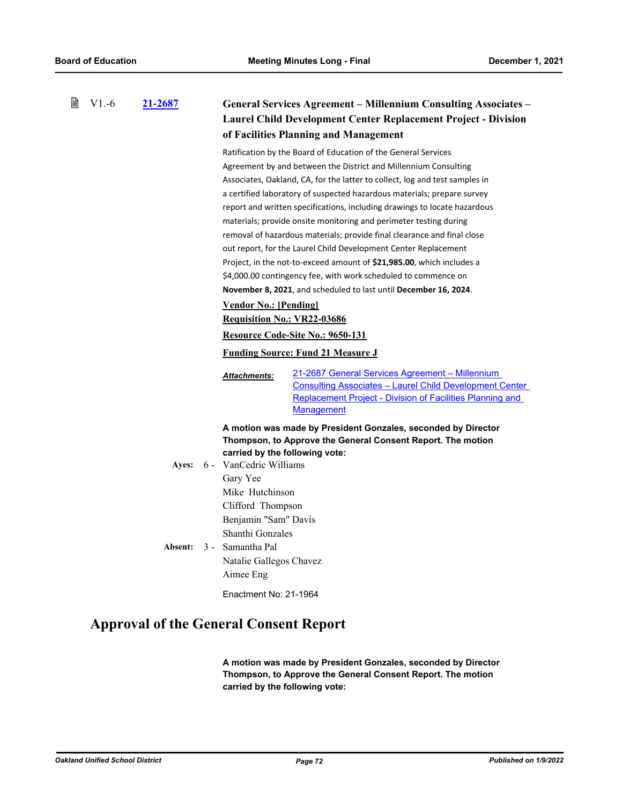| 閶 | $V1.-6$ | 21-2687 |                                                                                                                                                                                                                                                                                                                                                                                                                                                                                                                                                                                                                                                                                                                                        | <b>General Services Agreement - Millennium Consulting Associates -</b><br><b>Laurel Child Development Center Replacement Project - Division</b><br>of Facilities Planning and Management     |
|---|---------|---------|----------------------------------------------------------------------------------------------------------------------------------------------------------------------------------------------------------------------------------------------------------------------------------------------------------------------------------------------------------------------------------------------------------------------------------------------------------------------------------------------------------------------------------------------------------------------------------------------------------------------------------------------------------------------------------------------------------------------------------------|----------------------------------------------------------------------------------------------------------------------------------------------------------------------------------------------|
|   |         |         | Ratification by the Board of Education of the General Services<br>Agreement by and between the District and Millennium Consulting<br>Associates, Oakland, CA, for the latter to collect, log and test samples in<br>a certified laboratory of suspected hazardous materials; prepare survey<br>report and written specifications, including drawings to locate hazardous<br>materials; provide onsite monitoring and perimeter testing during<br>removal of hazardous materials; provide final clearance and final close<br>out report, for the Laurel Child Development Center Replacement<br>Project, in the not-to-exceed amount of \$21,985.00, which includes a<br>\$4,000.00 contingency fee, with work scheduled to commence on |                                                                                                                                                                                              |
|   |         |         | November 8, 2021, and scheduled to last until December 16, 2024.<br><b>Vendor No.: [Pending]</b>                                                                                                                                                                                                                                                                                                                                                                                                                                                                                                                                                                                                                                       |                                                                                                                                                                                              |
|   |         |         | Requisition No.: VR22-03686                                                                                                                                                                                                                                                                                                                                                                                                                                                                                                                                                                                                                                                                                                            |                                                                                                                                                                                              |
|   |         |         |                                                                                                                                                                                                                                                                                                                                                                                                                                                                                                                                                                                                                                                                                                                                        | Resource Code-Site No.: 9650-131                                                                                                                                                             |
|   |         |         | <b>Funding Source: Fund 21 Measure J</b>                                                                                                                                                                                                                                                                                                                                                                                                                                                                                                                                                                                                                                                                                               |                                                                                                                                                                                              |
|   |         |         | Attachments:                                                                                                                                                                                                                                                                                                                                                                                                                                                                                                                                                                                                                                                                                                                           | 21-2687 General Services Agreement – Millennium<br>Consulting Associates - Laurel Child Development Center<br>Replacement Project - Division of Facilities Planning and<br><b>Management</b> |
|   |         |         | A motion was made by President Gonzales, seconded by Director                                                                                                                                                                                                                                                                                                                                                                                                                                                                                                                                                                                                                                                                          |                                                                                                                                                                                              |
|   |         |         | Thompson, to Approve the General Consent Report. The motion<br>carried by the following vote:                                                                                                                                                                                                                                                                                                                                                                                                                                                                                                                                                                                                                                          |                                                                                                                                                                                              |
|   |         | Ayes:   | 6 - VanCedric Williams                                                                                                                                                                                                                                                                                                                                                                                                                                                                                                                                                                                                                                                                                                                 |                                                                                                                                                                                              |
|   |         |         | Gary Yee                                                                                                                                                                                                                                                                                                                                                                                                                                                                                                                                                                                                                                                                                                                               |                                                                                                                                                                                              |
|   |         |         | Mike Hutchinson<br>Clifford Thompson<br>Benjamin "Sam" Davis                                                                                                                                                                                                                                                                                                                                                                                                                                                                                                                                                                                                                                                                           |                                                                                                                                                                                              |
|   |         | Absent: | Shanthi Gonzales<br>3 - Samantha Pal                                                                                                                                                                                                                                                                                                                                                                                                                                                                                                                                                                                                                                                                                                   |                                                                                                                                                                                              |
|   |         |         | Natalie Gallegos Chavez                                                                                                                                                                                                                                                                                                                                                                                                                                                                                                                                                                                                                                                                                                                |                                                                                                                                                                                              |
|   |         |         | Aimee Eng                                                                                                                                                                                                                                                                                                                                                                                                                                                                                                                                                                                                                                                                                                                              |                                                                                                                                                                                              |
|   |         |         | Enactment No: 21-1964                                                                                                                                                                                                                                                                                                                                                                                                                                                                                                                                                                                                                                                                                                                  |                                                                                                                                                                                              |

## **Approval of the General Consent Report**

**A motion was made by President Gonzales, seconded by Director Thompson, to Approve the General Consent Report. The motion carried by the following vote:**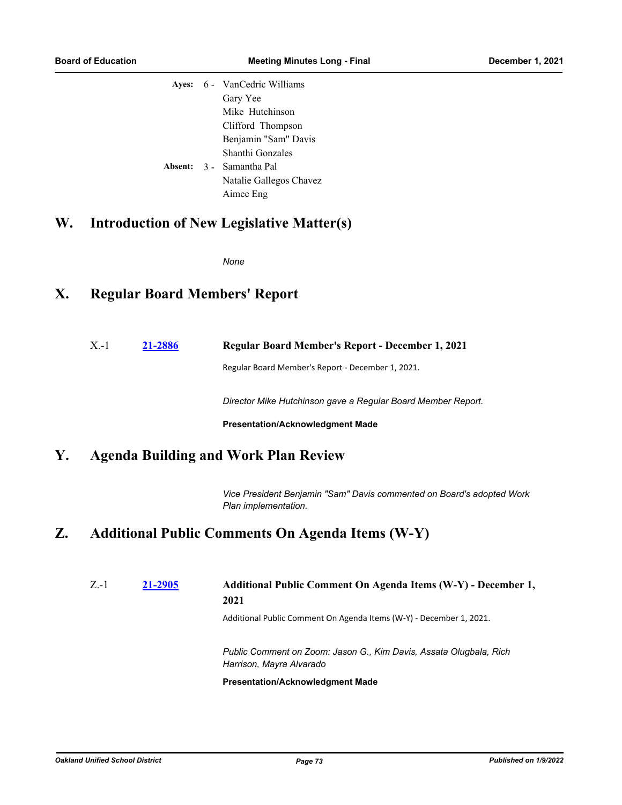|  | Ayes: 6 - VanCedric Williams |  |
|--|------------------------------|--|
|  | Gary Yee                     |  |
|  | Mike Hutchinson              |  |
|  | Clifford Thompson            |  |
|  | Benjamin "Sam" Davis         |  |
|  | Shanthi Gonzales             |  |
|  | Absent: 3 - Samantha Pal     |  |
|  | Natalie Gallegos Chavez      |  |
|  | Aimee Eng                    |  |

#### **W. Introduction of New Legislative Matter(s)**

*None*

#### **X. Regular Board Members' Report**

X.-1 **[21-2886](http://ousd.legistar.com/gateway.aspx?m=l&id=/matter.aspx?key=54020) Regular Board Member's Report - December 1, 2021**

Regular Board Member's Report - December 1, 2021.

*Director Mike Hutchinson gave a Regular Board Member Report.*

**Presentation/Acknowledgment Made**

#### **Y. Agenda Building and Work Plan Review**

*Vice President Benjamin "Sam" Davis commented on Board's adopted Work Plan implementation.*

### **Z. Additional Public Comments On Agenda Items (W-Y)**

**[21-2905](http://ousd.legistar.com/gateway.aspx?m=l&id=/matter.aspx?key=54039) Additional Public Comment On Agenda Items (W-Y) - December 1, 2021** Z.-1

Additional Public Comment On Agenda Items (W-Y) - December 1, 2021.

*Public Comment on Zoom: Jason G., Kim Davis, Assata Olugbala, Rich Harrison, Mayra Alvarado*

**Presentation/Acknowledgment Made**